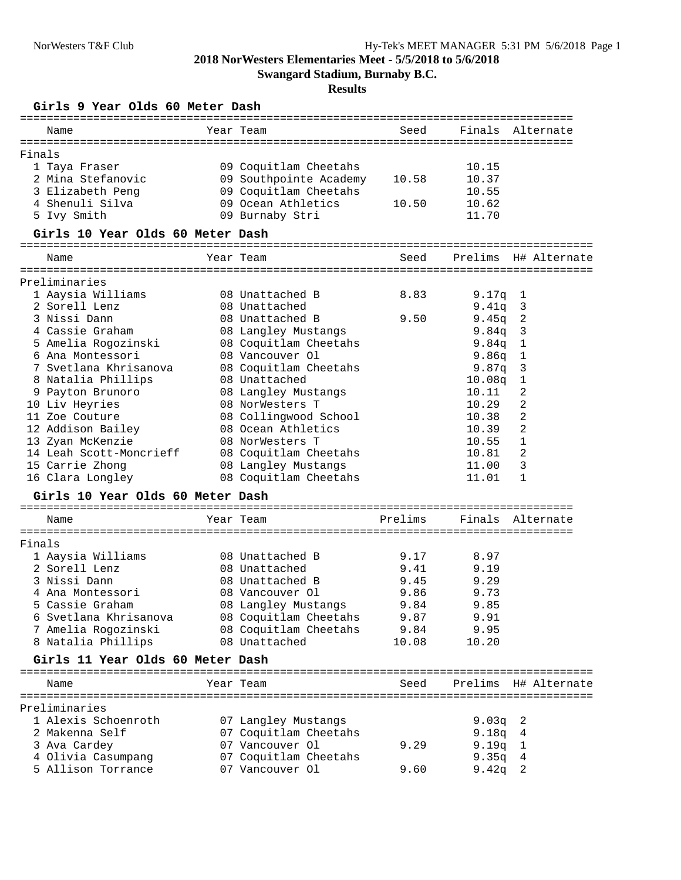**Swangard Stadium, Burnaby B.C.**

#### **Results**

### **Girls 9 Year Olds 60 Meter Dash**

| Name                             | Year Team              | Seed    | Finals             | Alternate                  |
|----------------------------------|------------------------|---------|--------------------|----------------------------|
| Finals                           |                        |         |                    |                            |
| 1 Taya Fraser                    | 09 Coquitlam Cheetahs  |         | 10.15              |                            |
| 2 Mina Stefanovic                | 09 Southpointe Academy | 10.58   | 10.37              |                            |
| 3 Elizabeth Peng                 | 09 Coquitlam Cheetahs  |         | 10.55              |                            |
| 4 Shenuli Silva                  | 09 Ocean Athletics     | 10.50   | 10.62              |                            |
| 5 Ivy Smith                      | 09 Burnaby Stri        |         | 11.70              |                            |
| Girls 10 Year Olds 60 Meter Dash |                        |         |                    |                            |
| Name                             | Year Team              | Seed    | Prelims            | H# Alternate               |
| Preliminaries                    |                        |         |                    |                            |
| 1 Aaysia Williams                | 08 Unattached B        | 8.83    | 9.17q              | $\mathbf{1}$               |
| 2 Sorell Lenz                    | 08 Unattached          |         | 9.41q              | $\overline{\mathbf{3}}$    |
| 3 Nissi Dann                     | 08 Unattached B        | 9.50    | 9.45q              | $\overline{\phantom{0}}^2$ |
| 4 Cassie Graham                  | 08 Langley Mustangs    |         | 9.84q              | $\overline{\mathbf{3}}$    |
| 5 Amelia Rogozinski              | 08 Coquitlam Cheetahs  |         | 9.84q              | $\mathbf{1}$               |
| 6 Ana Montessori                 | 08 Vancouver Ol        |         | 9.86q              | 1                          |
| 7 Svetlana Khrisanova            | 08 Coquitlam Cheetahs  |         | 9.87q              | $\overline{\mathbf{3}}$    |
| 8 Natalia Phillips               | 08 Unattached          |         | 10.08 <sub>q</sub> | $\mathbf 1$                |
| 9 Payton Brunoro                 | 08 Langley Mustangs    |         | 10.11              | 2                          |
| 10 Liv Heyries                   | 08 NorWesters T        |         | 10.29              | 2                          |
| 11 Zoe Couture                   | 08 Collingwood School  |         | 10.38              | 2                          |
| 12 Addison Bailey                | 08 Ocean Athletics     |         | 10.39              | 2                          |
| 13 Zyan McKenzie                 | 08 NorWesters T        |         | 10.55              | $\mathbf{1}$               |
| 14 Leah Scott-Moncrieff          | 08 Coquitlam Cheetahs  |         | 10.81              | 2                          |
| 15 Carrie Zhong                  | 08 Langley Mustangs    |         | 11.00              | 3                          |
| 16 Clara Longley                 | 08 Coquitlam Cheetahs  |         | 11.01              | 1                          |
| Girls 10 Year Olds 60 Meter Dash |                        |         |                    |                            |
| Name                             | Year Team              | Prelims |                    | Finals Alternate           |
|                                  |                        |         |                    |                            |
| Finals                           |                        |         |                    |                            |
| 1 Aaysia Williams                | 08 Unattached B        | 9.17    | 8.97               |                            |
| 2 Sorell Lenz                    | 08 Unattached          | 9.41    | 9.19               |                            |
| 3 Nissi Dann                     | 08 Unattached B        | 9.45    | 9.29               |                            |
| 4 Ana Montessori                 | 08 Vancouver Ol        | 9.86    | 9.73               |                            |
| 5 Cassie Graham                  | 08 Langley Mustangs    | 9.84    | 9.85               |                            |
| 6 Svetlana Khrisanova            | 08 Coquitlam Cheetahs  | 9.87    | 9.91               |                            |
| 7 Amelia Rogozinski              | 08 Coquitlam Cheetahs  | 9.84    | 9.95               |                            |
| 8 Natalia Phillips               | 08 Unattached          | 10.08   | 10.20              |                            |
| Girls 11 Year Olds 60 Meter Dash |                        |         |                    |                            |
| Name                             | Year Team              | Seed    |                    | Prelims H# Alternate       |
|                                  |                        |         |                    |                            |
| Preliminaries                    |                        |         |                    |                            |
| 1 Alexis Schoenroth              | 07 Langley Mustangs    |         | 9.03q              | 2                          |
| 2 Makenna Self                   | 07 Coquitlam Cheetahs  |         | 9.18q              | 4                          |
| 3 Ava Cardey                     | 07 Vancouver Ol        | 9.29    | 9.19q              | 1                          |
| 4 Olivia Casumpang               | 07 Coquitlam Cheetahs  |         | 9.35q              | 4                          |
| 5 Allison Torrance               | 07 Vancouver Ol        | 9.60    | 9.42q              | 2                          |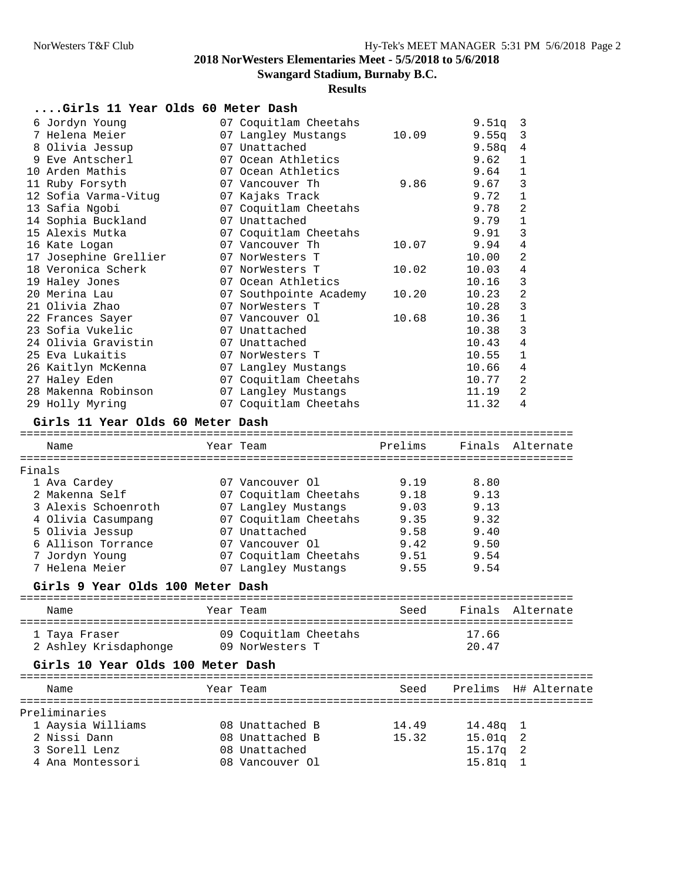**Swangard Stadium, Burnaby B.C.**

|                                       | Girls 11 Year Olds 60 Meter Dash |                                   |                    |                      |
|---------------------------------------|----------------------------------|-----------------------------------|--------------------|----------------------|
| 6 Jordyn Young                        | 07 Coquitlam Cheetahs            |                                   | 9.51q              | 3                    |
| 7 Helena Meier                        | 07 Langley Mustangs              | 10.09                             | 9.55q              | 3                    |
| 8 Olivia Jessup                       | 07 Unattached                    |                                   | 9.58q              | 4                    |
| 9 Eve Antscherl                       | 07 Ocean Athletics               |                                   | 9.62               | 1                    |
| 10 Arden Mathis                       | 07 Ocean Athletics               |                                   | 9.64               | 1                    |
| 11 Ruby Forsyth                       | 07 Vancouver Th                  | 9.86                              | 9.67               | 3                    |
| 12 Sofia Varma-Vitug                  | 07 Kajaks Track                  |                                   | 9.72               | 1                    |
| 13 Safia Ngobi                        | 07 Coquitlam Cheetahs            |                                   | 9.78               | 2                    |
| 14 Sophia Buckland                    | 07 Unattached                    |                                   | 9.79               | 1                    |
| 15 Alexis Mutka                       | 07 Coquitlam Cheetahs            |                                   | 9.91               | 3                    |
| 16 Kate Logan                         | 07 Vancouver Th                  | 10.07                             | 9.94               | 4                    |
| 17 Josephine Grellier                 | 07 NorWesters T                  |                                   | 10.00              | 2                    |
| 18 Veronica Scherk                    | 07 NorWesters T                  | 10.02                             | 10.03              | 4                    |
| 19 Haley Jones                        | 07 Ocean Athletics               |                                   | 10.16              | 3                    |
| 20 Merina Lau                         | 07 Southpointe Academy           | 10.20                             | 10.23              | 2                    |
| 21 Olivia Zhao                        | 07 NorWesters T                  |                                   | 10.28              | 3                    |
| 22 Frances Sayer                      | 07 Vancouver Ol                  | 10.68                             | 10.36              | 1                    |
| 23 Sofia Vukelic                      | 07 Unattached                    |                                   | 10.38              | 3                    |
| 24 Olivia Gravistin                   | 07 Unattached                    |                                   | 10.43              | 4                    |
| 25 Eva Lukaitis                       | 07 NorWesters T                  |                                   | 10.55              | 1                    |
| 26 Kaitlyn McKenna                    | 07 Langley Mustangs              |                                   | 10.66              | 4                    |
| 27 Haley Eden                         | 07 Coquitlam Cheetahs            |                                   | 10.77              | 2                    |
| 28 Makenna Robinson                   | 07 Langley Mustangs              |                                   | 11.19              | 2                    |
| 29 Holly Myring                       | 07 Coquitlam Cheetahs            |                                   | 11.32              | 4                    |
| Girls 11 Year Olds 60 Meter Dash      |                                  |                                   |                    |                      |
| Name                                  | Year Team                        | Prelims                           |                    | Finals Alternate     |
|                                       |                                  |                                   |                    |                      |
|                                       |                                  |                                   |                    |                      |
|                                       |                                  |                                   |                    |                      |
| 1 Ava Cardey<br>2 Makenna Self        | 07 Vancouver Ol                  | 9.19                              | 8.80               |                      |
|                                       | 07 Coquitlam Cheetahs            | 9.18                              | 9.13               |                      |
| 3 Alexis Schoenroth                   | 07 Langley Mustangs              | 9.03                              | 9.13               |                      |
| 4 Olivia Casumpang                    | 07 Coquitlam Cheetahs            | 9.35                              | 9.32               |                      |
| 5 Olivia Jessup<br>6 Allison Torrance | 07 Unattached<br>07 Vancouver Ol | 9.58<br>9.42                      | 9.40<br>9.50       |                      |
|                                       |                                  |                                   | 9.54               |                      |
| 7 Jordyn Young<br>7 Helena Meier      | 07 Coquitlam Cheetahs            | 9.51                              |                    |                      |
|                                       | 07 Langley Mustangs              | 9.55                              | 9.54               |                      |
| Girls 9 Year Olds 100 Meter Dash      |                                  |                                   |                    |                      |
| Finals<br>Name                        | Year Team                        | Seed                              | Finals             | Alternate            |
| 1 Taya Fraser                         | 09 Coquitlam Cheetahs            |                                   | 17.66              |                      |
| 2 Ashley Krisdaphonge                 | 09 NorWesters T                  |                                   | 20.47              |                      |
| Girls 10 Year Olds 100 Meter Dash     |                                  |                                   |                    |                      |
| Name                                  | Year Team                        | =========================<br>Seed |                    | Prelims H# Alternate |
|                                       |                                  |                                   |                    |                      |
|                                       |                                  |                                   |                    |                      |
| Preliminaries<br>1 Aaysia Williams    | 08 Unattached B                  | 14.49                             | 14.48q             | T                    |
| 2 Nissi Dann                          | 08 Unattached B                  | 15.32                             | 15.01q             | 2                    |
| 3 Sorell Lenz<br>4 Ana Montessori     | 08 Unattached<br>08 Vancouver Ol |                                   | 15.17q<br>15.81q 1 | 2                    |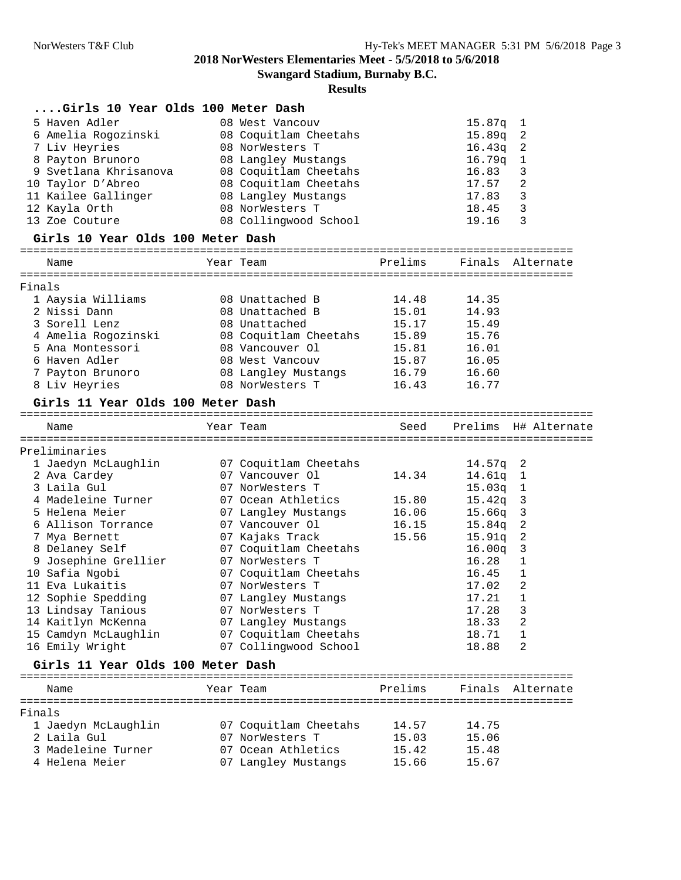**Swangard Stadium, Burnaby B.C.**

| Girls 10 Year Olds 100 Meter Dash    |                                           |                |                                    |
|--------------------------------------|-------------------------------------------|----------------|------------------------------------|
| 5 Haven Adler                        | 08 West Vancouv                           |                | 15.87q<br>$\mathbf{1}$             |
| 6 Amelia Rogozinski                  | 08 Coquitlam Cheetahs                     |                | 15.89q<br>2                        |
| 7 Liv Heyries                        | 08 NorWesters T                           |                | $\overline{\phantom{a}}$<br>16.43q |
| 8 Payton Brunoro                     | 08 Langley Mustangs                       |                | 16.79q<br>$\mathbf{1}$             |
| 9 Svetlana Khrisanova                | 08 Coquitlam Cheetahs                     |                | 16.83<br>3                         |
| 10 Taylor D'Abreo                    | 08 Coquitlam Cheetahs                     |                | 2<br>17.57                         |
| 11 Kailee Gallinger                  | 08 Langley Mustangs                       |                | 17.83<br>3                         |
| 12 Kayla Orth                        | 08 NorWesters T                           |                | 3<br>18.45                         |
| 13 Zoe Couture                       | 08 Collingwood School                     |                | 3<br>19.16                         |
| Girls 10 Year Olds 100 Meter Dash    |                                           |                |                                    |
| Name                                 | Year Team                                 | Prelims        | Finals<br>Alternate                |
| Finals                               |                                           |                |                                    |
| 1 Aaysia Williams                    | 08 Unattached B                           | 14.48          | 14.35                              |
| 2 Nissi Dann                         | 08 Unattached B                           | 15.01          | 14.93                              |
| 3 Sorell Lenz                        | 08 Unattached                             | 15.17          | 15.49                              |
| 4 Amelia Rogozinski                  | 08 Coquitlam Cheetahs                     | 15.89          | 15.76                              |
| 5 Ana Montessori                     | 08 Vancouver Ol                           | 15.81          | 16.01                              |
| 6 Haven Adler                        | 08 West Vancouv                           | 15.87          | 16.05                              |
| 7 Payton Brunoro                     | 08 Langley Mustangs                       | 16.79          | 16.60                              |
| 8 Liv Heyries                        | 08 NorWesters T                           | 16.43          | 16.77                              |
|                                      |                                           |                |                                    |
| Girls 11 Year Olds 100 Meter Dash    |                                           |                |                                    |
| Name                                 | Year Team                                 | Seed           | Prelims H# Alternate               |
| Preliminaries                        |                                           |                |                                    |
| 1 Jaedyn McLaughlin                  | 07 Coquitlam Cheetahs                     |                | $14.57q$ 2                         |
| 2 Ava Cardey                         | 07 Vancouver Ol                           | 14.34          | 14.61q 1                           |
| 3 Laila Gul                          | 07 NorWesters T                           |                | $15.03q$ 1                         |
| 4 Madeleine Turner                   | 07 Ocean Athletics                        | 15.80          | 15.42q<br>$\overline{\mathbf{3}}$  |
| 5 Helena Meier                       | 07 Langley Mustangs                       | 16.06          | 15.66q 3                           |
| 6 Allison Torrance                   | 07 Vancouver Ol                           | 16.15          | $15.84q$ 2                         |
| 7 Mya Bernett                        | 07 Kajaks Track                           | 15.56          | $15.91q$ 2                         |
| 8 Delaney Self                       | 07 Coquitlam Cheetahs                     |                | $16.00q$ 3                         |
| 9 Josephine Grellier                 | 07 NorWesters T                           |                | 16.28<br>1                         |
| 10 Safia Ngobi                       |                                           |                |                                    |
|                                      |                                           |                |                                    |
|                                      | 07 Coquitlam Cheetahs                     |                | 16.45<br>1                         |
| 11 Eva Lukaitis                      | 07 NorWesters T                           |                | 2<br>17.02                         |
| 12 Sophie Spedding                   | 07 Langley Mustangs                       |                | $17.21$ 1                          |
| 13 Lindsay Tanious                   | 07 NorWesters T                           |                | 17.28<br>3                         |
| 14 Kaitlyn McKenna                   | 07 Langley Mustangs                       |                | 18.33<br>2                         |
| 15 Camdyn McLaughlin                 | 07 Coquitlam Cheetahs                     |                | 18.71<br>1                         |
| 16 Emily Wright                      | 07 Collingwood School                     |                | 2<br>18.88                         |
| Girls 11 Year Olds 100 Meter Dash    |                                           |                |                                    |
| Name                                 | Year Team                                 | Prelims        | Finals<br>Alternate                |
| Finals                               |                                           |                |                                    |
|                                      |                                           |                |                                    |
| 1 Jaedyn McLaughlin<br>2 Laila Gul   | 07 Coquitlam Cheetahs<br>07 NorWesters T  | 14.57          | 14.75                              |
|                                      |                                           | 15.03          | 15.06                              |
| 3 Madeleine Turner<br>4 Helena Meier | 07 Ocean Athletics<br>07 Langley Mustangs | 15.42<br>15.66 | 15.48<br>15.67                     |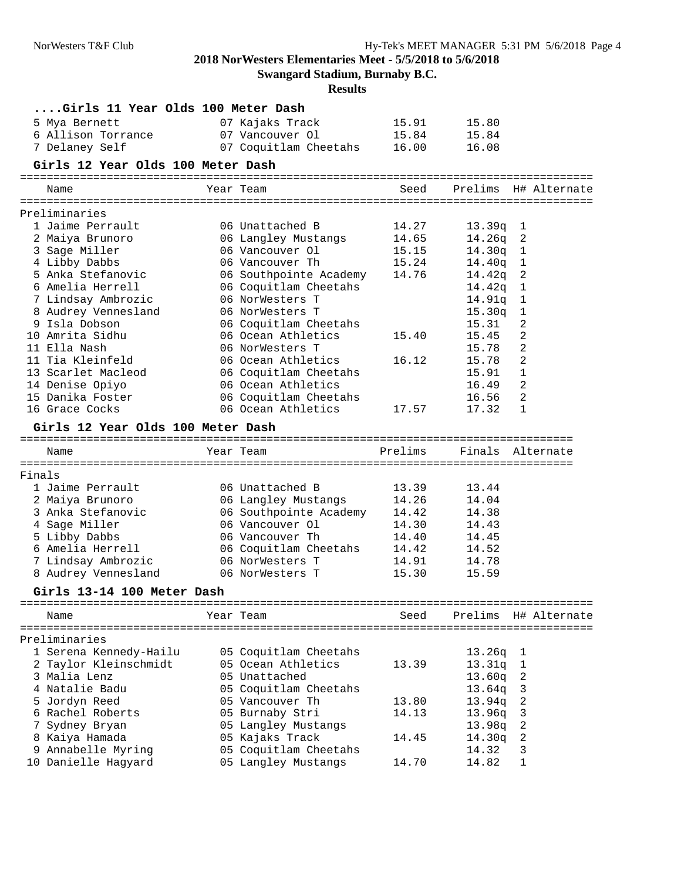**Swangard Stadium, Burnaby B.C.**

| Girls 11 Year Olds 100 Meter Dash |                        |         |                                    |  |
|-----------------------------------|------------------------|---------|------------------------------------|--|
| 5 Mya Bernett                     | 07 Kajaks Track        | 15.91   | 15.80                              |  |
| 6 Allison Torrance                | 07 Vancouver Ol        | 15.84   | 15.84                              |  |
| 7 Delaney Self                    | 07 Coquitlam Cheetahs  | 16.00   | 16.08                              |  |
| Girls 12 Year Olds 100 Meter Dash |                        |         |                                    |  |
| Name                              | Year Team              | Seed    | Prelims H# Alternate               |  |
|                                   |                        |         |                                    |  |
| Preliminaries                     |                        |         |                                    |  |
| 1 Jaime Perrault                  | 06 Unattached B        | 14.27   | $13.39q$ 1                         |  |
| 2 Maiya Brunoro                   | 06 Langley Mustangs    | 14.65   | 14.26q<br>$\overline{\phantom{a}}$ |  |
| 3 Sage Miller                     | 06 Vancouver Ol        | 15.15   | 14.30q<br>$\mathbf{1}$             |  |
| 4 Libby Dabbs                     | 06 Vancouver Th        | 15.24   | 14.40q<br>$\mathbf{1}$             |  |
| 5 Anka Stefanovic                 | 06 Southpointe Academy | 14.76   | $14.42q$ 2                         |  |
| 6 Amelia Herrell                  | 06 Coquitlam Cheetahs  |         | 14.42q<br>$\mathbf{1}$             |  |
| 7 Lindsay Ambrozic                | 06 NorWesters T        |         | 14.91q<br>1                        |  |
| 8 Audrey Vennesland               | 06 NorWesters T        |         | 15.30q<br>1                        |  |
| 9 Isla Dobson                     | 06 Coquitlam Cheetahs  |         | 2<br>15.31                         |  |
| 10 Amrita Sidhu                   | 06 Ocean Athletics     | 15.40   | 2<br>15.45                         |  |
| 11 Ella Nash                      | 06 NorWesters T        |         | 2<br>15.78                         |  |
| 11 Tia Kleinfeld                  | 06 Ocean Athletics     | 16.12   | 15.78<br>2                         |  |
| 13 Scarlet Macleod                | 06 Coquitlam Cheetahs  |         | 15.91<br>1                         |  |
| 14 Denise Opiyo                   | 06 Ocean Athletics     |         | 2<br>16.49                         |  |
| 15 Danika Foster                  | 06 Coquitlam Cheetahs  |         | 2<br>16.56                         |  |
| 16 Grace Cocks                    | 06 Ocean Athletics     | 17.57   | 17.32<br>1                         |  |
| Girls 12 Year Olds 100 Meter Dash |                        |         |                                    |  |
| Name                              | Year Team              | Prelims | Finals Alternate                   |  |
|                                   |                        |         |                                    |  |
| Finals<br>1 Jaime Perrault        | 06 Unattached B        | 13.39   | 13.44                              |  |
| 2 Maiya Brunoro                   | 06 Langley Mustangs    | 14.26   | 14.04                              |  |
| 3 Anka Stefanovic                 | 06 Southpointe Academy | 14.42   | 14.38                              |  |
| 4 Sage Miller                     | 06 Vancouver Ol        | 14.30   | 14.43                              |  |
| 5 Libby Dabbs                     | 06 Vancouver Th        | 14.40   | 14.45                              |  |
| 6 Amelia Herrell                  | 06 Coquitlam Cheetahs  | 14.42   | 14.52                              |  |
| 7 Lindsay Ambrozic                | 06 NorWesters T        | 14.91   | 14.78                              |  |
| 8 Audrey Vennesland               | 06 NorWesters T        | 15.30   | 15.59                              |  |
| Girls 13-14 100 Meter Dash        |                        |         |                                    |  |
|                                   |                        |         |                                    |  |
| Name                              | Year Team              | Seed    | Prelims H# Alternate               |  |
| Preliminaries                     |                        |         |                                    |  |
| 1 Serena Kennedy-Hailu            | 05 Coquitlam Cheetahs  |         | 13.26q<br>T                        |  |
| 2 Taylor Kleinschmidt             | 05 Ocean Athletics     | 13.39   | 13.31q<br>1                        |  |
| 3 Malia Lenz                      | 05 Unattached          |         | 13.60q<br>2                        |  |
| 4 Natalie Badu                    | 05 Coquitlam Cheetahs  |         | 13.64q<br>3                        |  |
| 5 Jordyn Reed                     | 05 Vancouver Th        | 13.80   | 13.94q<br>2                        |  |
| 6 Rachel Roberts                  | 05 Burnaby Stri        | 14.13   | 13.96q<br>3                        |  |
| 7 Sydney Bryan                    | 05 Langley Mustangs    |         | 2<br>13.98q                        |  |
| 8 Kaiya Hamada                    | 05 Kajaks Track        | 14.45   | 2<br>14.30q                        |  |
| 9 Annabelle Myring                | 05 Coquitlam Cheetahs  |         | 14.32<br>3                         |  |
| 10 Danielle Hagyard               | 05 Langley Mustangs    | 14.70   | 14.82<br>1                         |  |
|                                   |                        |         |                                    |  |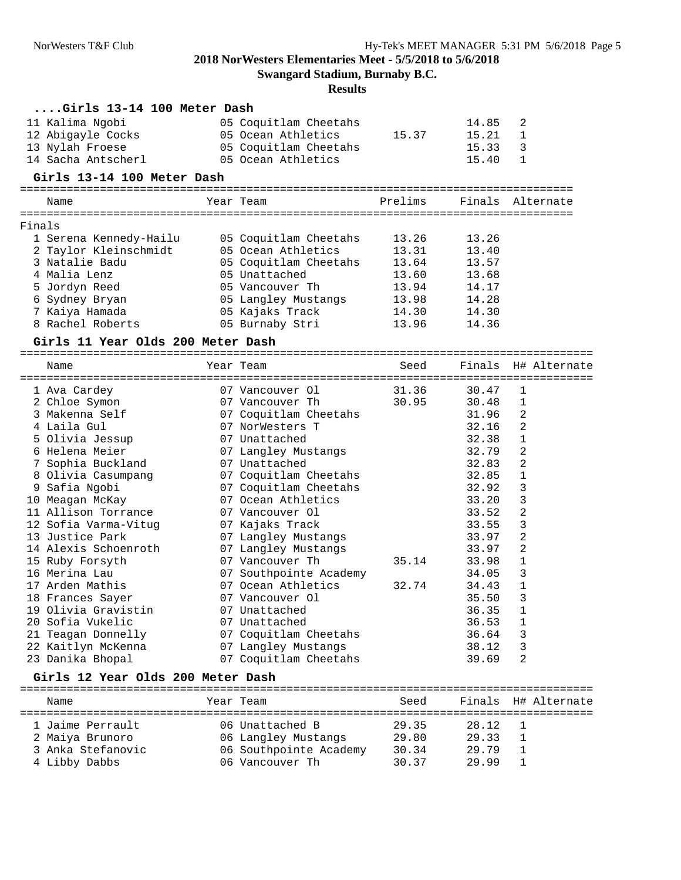**Swangard Stadium, Burnaby B.C.**

| $\ldots$ Girls 13-14 100 Meter Dash |                                                 |         |                |                     |
|-------------------------------------|-------------------------------------------------|---------|----------------|---------------------|
| 11 Kalima Ngobi                     | 05 Coquitlam Cheetahs                           |         | 14.85          | 2                   |
| 12 Abigayle Cocks                   | 05 Ocean Athletics                              | 15.37   | 15.21          | 1                   |
| 13 Nylah Froese                     | 05 Coquitlam Cheetahs                           |         | 15.33          | 3                   |
| 14 Sacha Antscherl                  | 05 Ocean Athletics                              |         | 15.40          | $\mathbf{1}$        |
| Girls 13-14 100 Meter Dash          |                                                 |         |                |                     |
|                                     | Year Team                                       | Prelims |                | Finals Alternate    |
| Name                                |                                                 |         |                |                     |
| Finals                              |                                                 |         |                |                     |
| 1 Serena Kennedy-Hailu              | 05 Coquitlam Cheetahs                           | 13.26   | 13.26          |                     |
| 2 Taylor Kleinschmidt               | 05 Ocean Athletics                              | 13.31   | 13.40          |                     |
| 3 Natalie Badu                      | 05 Coquitlam Cheetahs                           | 13.64   | 13.57          |                     |
| 4 Malia Lenz                        | 05 Unattached                                   | 13.60   | 13.68          |                     |
| 5 Jordyn Reed                       | 05 Vancouver Th                                 | 13.94   | 14.17          |                     |
| 6 Sydney Bryan                      | 05 Langley Mustangs                             | 13.98   | 14.28          |                     |
| 7 Kaiya Hamada                      | 05 Kajaks Track                                 | 14.30   | 14.30          |                     |
| 8 Rachel Roberts                    | 05 Burnaby Stri                                 | 13.96   | 14.36          |                     |
|                                     |                                                 |         |                |                     |
| Girls 11 Year Olds 200 Meter Dash   |                                                 |         |                |                     |
| Name                                | Year Team                                       | Seed    |                | Finals H# Alternate |
|                                     |                                                 |         |                |                     |
| 1 Ava Cardey                        | 07 Vancouver Ol                                 | 31.36   | 30.47          | 1                   |
| 2 Chloe Symon                       | 07 Vancouver Th                                 | 30.95   | 30.48          | 1                   |
| 3 Makenna Self                      | 07 Coquitlam Cheetahs                           |         | 31.96          | 2                   |
| 4 Laila Gul                         | 07 NorWesters T                                 |         | 32.16          | 2                   |
| 5 Olivia Jessup                     | 07 Unattached                                   |         | 32.38          | 1                   |
| 6 Helena Meier                      | 07 Langley Mustangs                             |         | 32.79          | 2                   |
| 7 Sophia Buckland                   | 07 Unattached                                   |         | 32.83          | 2                   |
| 8 Olivia Casumpang                  | 07 Coquitlam Cheetahs                           |         | 32.85          | 1                   |
| 9 Safia Ngobi                       | 07 Coquitlam Cheetahs                           |         | 32.92          | 3                   |
| 10 Meagan McKay                     | 07 Ocean Athletics                              |         | 33.20          | 3                   |
| 11 Allison Torrance                 | 07 Vancouver Ol                                 |         | 33.52          | 2                   |
| 12 Sofia Varma-Vitug                | 07 Kajaks Track                                 |         | 33.55          | 3                   |
| 13 Justice Park                     | 07 Langley Mustangs                             |         | 33.97          | 2                   |
| 14 Alexis Schoenroth                | 07 Langley Mustangs                             |         | 33.97          | 2                   |
| 15 Ruby Forsyth                     | 07 Vancouver Th                                 | 35.14   | 33.98          | 1                   |
| 16 Merina Lau                       | 07 Southpointe Academy                          |         | 34.05          | 3                   |
| 17 Arden Mathis                     | 07 Ocean Athletics                              | 32.74   | 34.43          | 1                   |
| 18 Frances Sayer                    | 07 Vancouver Ol                                 |         | 35.50          | 3                   |
| 19 Olivia Gravistin                 | 07 Unattached                                   |         | 36.35          | 1                   |
| 20 Sofia Vukelic                    | 07 Unattached                                   |         | 36.53          | 1                   |
| 21 Teagan Donnelly                  | 07 Coquitlam Cheetahs                           |         | 36.64          | 3                   |
| 22 Kaitlyn McKenna                  | 07 Langley Mustangs                             |         | 38.12          | 3                   |
| 23 Danika Bhopal                    | 07 Coquitlam Cheetahs                           |         | 39.69          | 2                   |
| Girls 12 Year Olds 200 Meter Dash   |                                                 |         |                |                     |
| Name                                | Year Team                                       | Seed    |                | Finals H# Alternate |
|                                     |                                                 |         |                |                     |
|                                     |                                                 |         |                |                     |
| 1 Jaime Perrault                    | 06 Unattached B                                 | 29.35   | 28.12          | 1                   |
|                                     |                                                 |         |                |                     |
| 2 Maiya Brunoro                     | 06 Langley Mustangs                             | 29.80   | 29.33          | 1<br>1              |
| 3 Anka Stefanovic<br>4 Libby Dabbs  | 06 Southpointe Academy 30.34<br>06 Vancouver Th | 30.37   | 29.79<br>29.99 | 1                   |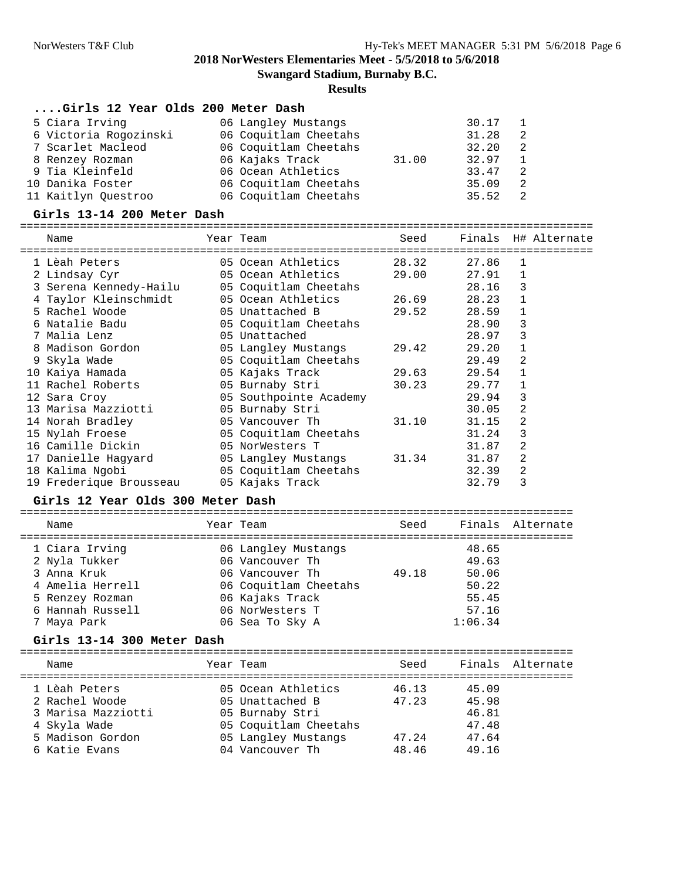**Swangard Stadium, Burnaby B.C.**

#### **Results**

#### **....Girls 12 Year Olds 200 Meter Dash**

| 5 Ciara Irving   |                       | 06 Langley Mustangs   |       | $30.17$ 1 |    |
|------------------|-----------------------|-----------------------|-------|-----------|----|
|                  | 6 Victoria Rogozinski | 06 Coquitlam Cheetahs |       | 31.28     | 2  |
|                  | 7 Scarlet Macleod     | 06 Coquitlam Cheetahs |       | 32.20     | -2 |
|                  | 8 Renzey Rozman       | 06 Kajaks Track       | 31.00 | 32.97     |    |
|                  | 9 Tia Kleinfeld       | 06 Ocean Athletics    |       | 33.47     | -2 |
| 10 Danika Foster |                       | 06 Coquitlam Cheetahs |       | 35.09     | -2 |
|                  | 11 Kaitlyn Ouestroo   | 06 Coquitlam Cheetahs |       | 35.52     |    |

#### **Girls 13-14 200 Meter Dash**

======================================================================================

| Name                    | Year Team              | Seed  | Finals |              | H# Alternate |
|-------------------------|------------------------|-------|--------|--------------|--------------|
| 1 Lèah Peters           | 05 Ocean Athletics     | 28.32 | 27.86  | 1            |              |
| 2 Lindsay Cyr           | 05 Ocean Athletics     | 29.00 | 27.91  | 1            |              |
| 3 Serena Kennedy-Hailu  | 05 Coquitlam Cheetahs  |       | 28.16  | 3            |              |
| 4 Taylor Kleinschmidt   | 05 Ocean Athletics     | 26.69 | 28.23  | $\mathbf{1}$ |              |
| 5 Rachel Woode          | 05 Unattached B        | 29.52 | 28.59  | 1            |              |
| 6 Natalie Badu          | 05 Coquitlam Cheetahs  |       | 28.90  | 3            |              |
| 7 Malia Lenz            | 05 Unattached          |       | 28.97  | 3            |              |
| 8 Madison Gordon        | 05 Langley Mustangs    | 29.42 | 29.20  | $\mathbf{1}$ |              |
| 9 Skyla Wade            | 05 Coquitlam Cheetahs  |       | 29.49  | 2            |              |
| 10 Kaiya Hamada         | 05 Kajaks Track        | 29.63 | 29.54  | $\mathbf 1$  |              |
| 11 Rachel Roberts       | 05 Burnaby Stri        | 30.23 | 29.77  | 1            |              |
| 12 Sara Croy            | 05 Southpointe Academy |       | 29.94  | 3            |              |
| 13 Marisa Mazziotti     | 05 Burnaby Stri        |       | 30.05  | 2            |              |
| 14 Norah Bradley        | 05 Vancouver Th        | 31.10 | 31.15  | 2            |              |
| 15 Nylah Froese         | 05 Coquitlam Cheetahs  |       | 31.24  | 3            |              |
| 16 Camille Dickin       | 05 NorWesters T        |       | 31.87  | 2            |              |
| 17 Danielle Haqyard     | 05 Langley Mustangs    | 31.34 | 31.87  | 2            |              |
| 18 Kalima Ngobi         | 05 Coquitlam Cheetahs  |       | 32.39  | 2            |              |
| 19 Frederique Brousseau | 05 Kajaks Track        |       | 32.79  | 3            |              |

#### **Girls 12 Year Olds 300 Meter Dash**

| Name             | Year Team             | Seed  |         | Finals Alternate |
|------------------|-----------------------|-------|---------|------------------|
| 1 Ciara Irving   | 06 Langley Mustangs   |       | 48.65   |                  |
| 2 Nyla Tukker    | 06 Vancouver Th       |       | 49.63   |                  |
| 3 Anna Kruk      | 06 Vancouver Th       | 49.18 | 50.06   |                  |
| 4 Amelia Herrell | 06 Coquitlam Cheetahs |       | 50.22   |                  |
| 5 Renzey Rozman  | 06 Kajaks Track       |       | 55.45   |                  |
| 6 Hannah Russell | 06 NorWesters T       |       | 57.16   |                  |
| 7 Maya Park      | 06 Sea To Sky A       |       | 1:06.34 |                  |

#### **Girls 13-14 300 Meter Dash**

| Name               | Year Team |                       | Seed  |       | Finals Alternate |
|--------------------|-----------|-----------------------|-------|-------|------------------|
| 1 Lèah Peters      |           | 05 Ocean Athletics    | 46.13 | 45.09 |                  |
| 2 Rachel Woode     |           | 05 Unattached B       | 47.23 | 45.98 |                  |
| 3 Marisa Mazziotti |           | 05 Burnaby Stri       |       | 46.81 |                  |
| 4 Skyla Wade       |           | 05 Coquitlam Cheetahs |       | 47.48 |                  |
| 5 Madison Gordon   |           | 05 Langley Mustangs   | 47.24 | 47.64 |                  |
| 6 Katie Evans      |           | 04 Vancouver Th       | 48.46 | 49.16 |                  |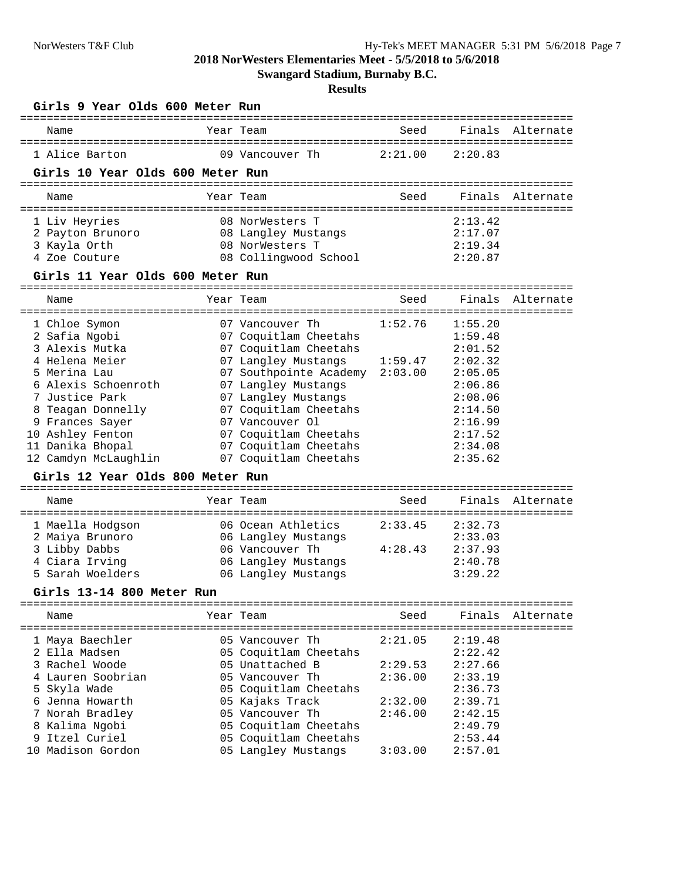**Swangard Stadium, Burnaby B.C.**

| Girls 9 Year Olds 600 Meter Run<br>=============================== |                                         | --------------- |         |                  |
|--------------------------------------------------------------------|-----------------------------------------|-----------------|---------|------------------|
| Name                                                               | Year Team                               | Seed            |         | Finals Alternate |
| 1 Alice Barton                                                     | 09 Vancouver Th                         | 2:21.00         | 2:20.83 |                  |
| Girls 10 Year Olds 600 Meter Run                                   |                                         |                 |         |                  |
|                                                                    |                                         |                 |         | ==========       |
| Name                                                               | Year Team                               | Seed            | Finals  | Alternate        |
| 1 Liv Heyries                                                      | 08 NorWesters T                         |                 | 2:13.42 |                  |
| 2 Payton Brunoro                                                   | 08 Langley Mustangs                     |                 | 2:17.07 |                  |
| 3 Kayla Orth                                                       | 08 NorWesters T                         |                 | 2:19.34 |                  |
| 4 Zoe Couture                                                      | 08 Collingwood School                   |                 | 2:20.87 |                  |
| Girls 11 Year Olds 600 Meter Run                                   |                                         |                 |         |                  |
| Name                                                               | Year Team                               | Seed            | Finals  | Alternate        |
| 1 Chloe Symon                                                      | 07 Vancouver Th                         | 1:52.76         | 1:55.20 |                  |
| 2 Safia Ngobi                                                      | 07 Coquitlam Cheetahs                   |                 | 1:59.48 |                  |
| 3 Alexis Mutka                                                     | 07 Coquitlam Cheetahs                   |                 | 2:01.52 |                  |
| 4 Helena Meier                                                     | 07 Langley Mustangs                     | 1:59.47         | 2:02.32 |                  |
| 5 Merina Lau                                                       | 07 Southpointe Academy                  | 2:03.00         | 2:05.05 |                  |
| 6 Alexis Schoenroth                                                | 07 Langley Mustangs                     |                 | 2:06.86 |                  |
| 7 Justice Park                                                     | 07 Langley Mustangs                     |                 | 2:08.06 |                  |
| 8 Teagan Donnelly                                                  | 07 Coquitlam Cheetahs                   |                 | 2:14.50 |                  |
| 9 Frances Sayer                                                    | 07 Vancouver Ol                         |                 | 2:16.99 |                  |
| 10 Ashley Fenton                                                   | 07 Coquitlam Cheetahs                   |                 | 2:17.52 |                  |
| 11 Danika Bhopal                                                   | 07 Coquitlam Cheetahs                   |                 | 2:34.08 |                  |
| 12 Camdyn McLaughlin                                               | 07 Coquitlam Cheetahs                   |                 | 2:35.62 |                  |
| Girls 12 Year Olds 800 Meter Run                                   |                                         |                 |         |                  |
| Name                                                               | Year Team                               | Seed            | Finals  | Alternate        |
| 1 Maella Hodgson                                                   | :================<br>06 Ocean Athletics | 2:33.45         | 2:32.73 |                  |
| 2 Maiya Brunoro                                                    | 06 Langley Mustangs                     |                 | 2:33.03 |                  |
| 3 Libby Dabbs                                                      | 06 Vancouver Th                         | 4:28.43         | 2:37.93 |                  |
| 4 Ciara Irving                                                     | 06 Langley Mustangs                     |                 | 2:40.78 |                  |
| 5 Sarah Woelders                                                   | 06 Langley Mustangs                     |                 | 3:29.22 |                  |
| Girls 13-14 800 Meter Run                                          |                                         |                 |         |                  |
| Name                                                               | Year Team                               | Seed            | Finals  | Alternate        |
|                                                                    |                                         |                 |         |                  |
| 1 Maya Baechler                                                    | 05 Vancouver Th                         | 2:21.05         | 2:19.48 |                  |
| 2 Ella Madsen                                                      | 05 Coquitlam Cheetahs                   |                 | 2:22.42 |                  |
| 3 Rachel Woode                                                     | 05 Unattached B                         | 2:29.53         | 2:27.66 |                  |
| 4 Lauren Soobrian                                                  | 05 Vancouver Th                         | 2:36.00         | 2:33.19 |                  |
| 5 Skyla Wade                                                       | 05 Coquitlam Cheetahs                   |                 | 2:36.73 |                  |
| 6 Jenna Howarth                                                    | 05 Kajaks Track                         | 2:32.00         | 2:39.71 |                  |
| 7 Norah Bradley                                                    | 05 Vancouver Th                         | 2:46.00         | 2:42.15 |                  |
| 8 Kalima Ngobi                                                     | 05 Coquitlam Cheetahs                   |                 | 2:49.79 |                  |
| 9 Itzel Curiel                                                     | 05 Coquitlam Cheetahs                   |                 | 2:53.44 |                  |
| 10 Madison Gordon                                                  | 05 Langley Mustangs                     | 3:03.00         | 2:57.01 |                  |
|                                                                    |                                         |                 |         |                  |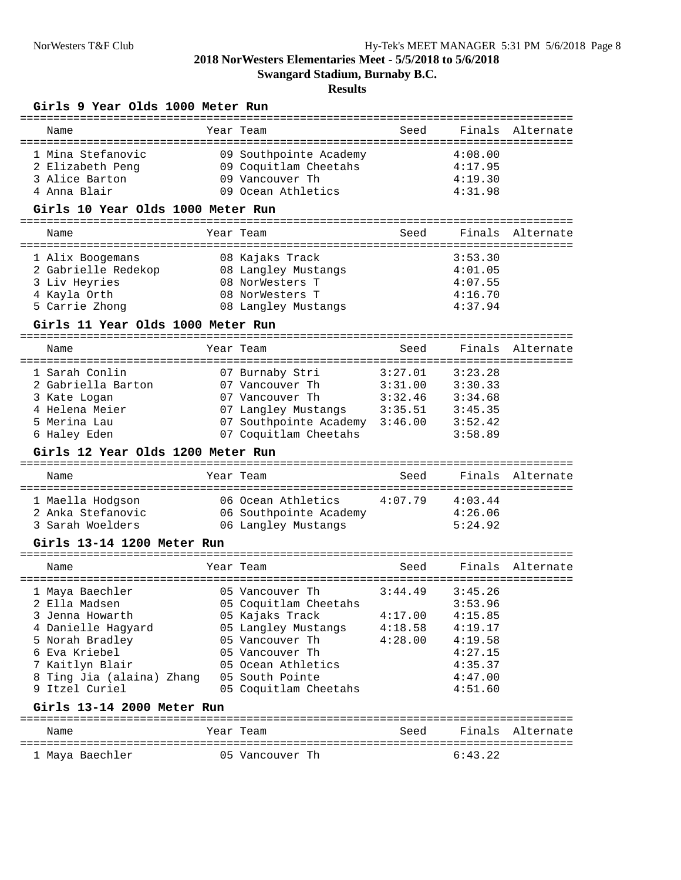**Swangard Stadium, Burnaby B.C.**

## **Results**

#### **Girls 9 Year Olds 1000 Meter Run**

| Name                                                    | ===========<br>Year Team                                           | Seed    | Finals                            | Alternate        |
|---------------------------------------------------------|--------------------------------------------------------------------|---------|-----------------------------------|------------------|
| 1 Mina Stefanovic<br>2 Elizabeth Peng<br>3 Alice Barton | 09 Southpointe Academy<br>09 Coquitlam Cheetahs<br>09 Vancouver Th |         | 4:08.00<br>4:17.95<br>4:19.30     |                  |
| 4 Anna Blair                                            | 09 Ocean Athletics                                                 |         | 4:31.98                           |                  |
| Girls 10 Year Olds 1000 Meter Run                       |                                                                    |         |                                   |                  |
| Name                                                    | Year Team                                                          | Seed    | Finals                            | Alternate        |
| 1 Alix Boogemans                                        | 08 Kajaks Track                                                    |         | 3:53.30                           |                  |
| 2 Gabrielle Redekop                                     | 08 Langley Mustangs                                                |         | 4:01.05                           |                  |
| 3 Liv Heyries                                           | 08 NorWesters T                                                    |         | 4:07.55                           |                  |
| 4 Kayla Orth                                            | 08 NorWesters T                                                    |         | 4:16.70                           |                  |
| 5 Carrie Zhong                                          | 08 Langley Mustangs                                                |         | 4:37.94                           |                  |
| Girls 11 Year Olds 1000 Meter Run                       |                                                                    |         |                                   |                  |
| Name                                                    | Year Team                                                          | Seed    |                                   | Finals Alternate |
| 1 Sarah Conlin                                          | 07 Burnaby Stri                                                    | 3:27.01 | 3:23.28                           |                  |
| 2 Gabriella Barton                                      | 07 Vancouver Th                                                    | 3:31.00 | 3:30.33                           |                  |
| 3 Kate Logan                                            | 07 Vancouver Th                                                    | 3:32.46 | 3:34.68                           |                  |
| 4 Helena Meier                                          | 07 Langley Mustangs 3:35.51                                        |         | 3:45.35                           |                  |
| 5 Merina Lau                                            | 07 Southpointe Academy 3:46.00                                     |         | 3:52.42                           |                  |
| 6 Haley Eden                                            | 07 Coquitlam Cheetahs                                              |         | 3:58.89                           |                  |
| Girls 12 Year Olds 1200 Meter Run                       |                                                                    |         |                                   |                  |
| Name                                                    | Year Team                                                          | Seed    | ================================= | Finals Alternate |
| 1 Maella Hodgson                                        | 06 Ocean Athletics                                                 | 4:07.79 | 4:03.44                           |                  |
| 2 Anka Stefanovic                                       | 06 Southpointe Academy                                             |         | 4:26.06                           |                  |
| 3 Sarah Woelders                                        | 06 Langley Mustangs                                                |         | 5:24.92                           |                  |
| Girls 13-14 1200 Meter Run                              |                                                                    |         |                                   |                  |
| Name                                                    | Year Team                                                          | Seed    | Finals                            | Alternate        |
|                                                         |                                                                    |         |                                   |                  |
| 1 Maya Baechler<br>2 Ella Madsen                        | 05 Vancouver Th<br>05 Coquitlam Cheetahs                           | 3:44.49 | 3:45.26<br>3:53.96                |                  |
| 3 Jenna Howarth                                         | 05 Kajaks Track                                                    | 4:17.00 | 4:15.85                           |                  |
| 4 Danielle Hagyard                                      | 05 Langley Mustangs                                                | 4:18.58 | 4:19.17                           |                  |
| 5 Norah Bradley                                         | 05 Vancouver Th                                                    | 4:28.00 | 4:19.58                           |                  |
| 6 Eva Kriebel                                           | 05 Vancouver Th                                                    |         | 4:27.15                           |                  |
| 7 Kaitlyn Blair                                         | 05 Ocean Athletics                                                 |         | 4:35.37                           |                  |
| 8 Ting Jia (alaina) Zhang                               | 05 South Pointe                                                    |         | 4:47.00                           |                  |
| 9 Itzel Curiel                                          | 05 Coquitlam Cheetahs                                              |         | 4:51.60                           |                  |
| Girls 13-14 2000 Meter Run                              |                                                                    |         |                                   |                  |
| Name                                                    | Year Team                                                          | Seed    |                                   | Finals Alternate |
|                                                         |                                                                    |         |                                   |                  |
| 1 Maya Baechler                                         | 05 Vancouver Th                                                    |         | 6:43.22                           |                  |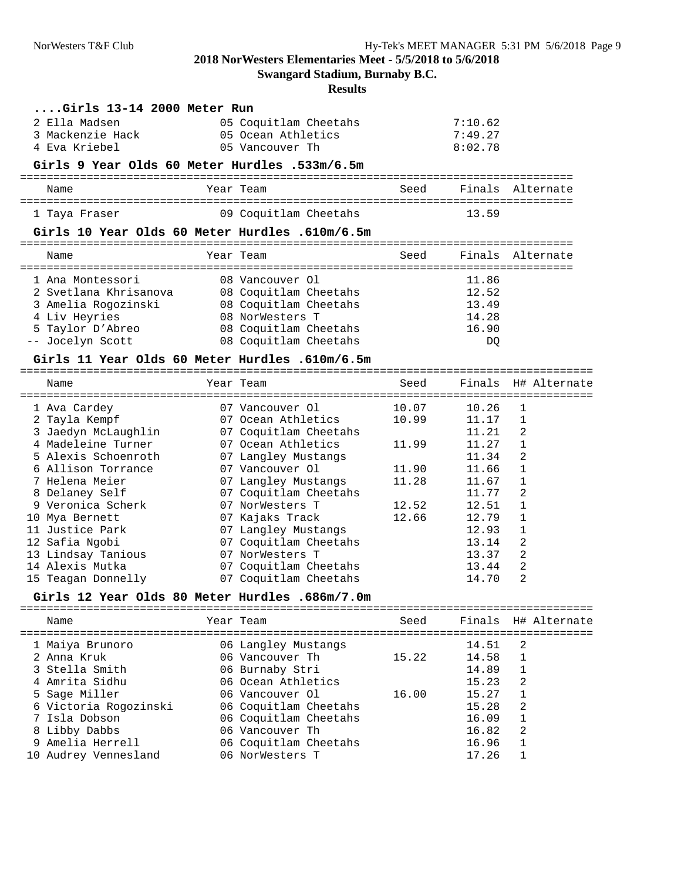**Swangard Stadium, Burnaby B.C.**

**Results**

#### **....Girls 13-14 2000 Meter Run**

| 2 Ella Madsen    | 05 Coquitlam Cheetahs | 7:10.62 |
|------------------|-----------------------|---------|
| 3 Mackenzie Hack | 05 Ocean Athletics    | 7:49.27 |
| 4 Eva Kriebel    | 05 Vancouver Th       | 8:02.78 |

#### **Girls 9 Year Olds 60 Meter Hurdles .533m/6.5m**

| Name          | Year Team             | Seed |       | Finals Alternate |
|---------------|-----------------------|------|-------|------------------|
| 1 Taya Fraser | 09 Coquitlam Cheetahs |      | 13.59 |                  |

#### **Girls 10 Year Olds 60 Meter Hurdles .610m/6.5m**

| Name                  | Year Team             | Seed |       | Finals Alternate |
|-----------------------|-----------------------|------|-------|------------------|
| 1 Ana Montessori      | 08 Vancouver Ol       |      | 11.86 |                  |
| 2 Svetlana Khrisanova | 08 Coquitlam Cheetahs |      | 12.52 |                  |
| 3 Amelia Rogozinski   | 08 Coquitlam Cheetahs |      | 13.49 |                  |
| 4 Liv Heyries         | 08 NorWesters T       |      | 14.28 |                  |
| 5 Taylor D'Abreo      | 08 Coquitlam Cheetahs |      | 16.90 |                  |
| -- Jocelyn Scott      | 08 Coquitlam Cheetahs |      | DO    |                  |

#### **Girls 11 Year Olds 60 Meter Hurdles .610m/6.5m**

| Name |                                                                                                                                                                                                                                                                                                        | Seed                                                                                                                                                                                                                                                                                                                                                   |       | Finals H# Alternate     |
|------|--------------------------------------------------------------------------------------------------------------------------------------------------------------------------------------------------------------------------------------------------------------------------------------------------------|--------------------------------------------------------------------------------------------------------------------------------------------------------------------------------------------------------------------------------------------------------------------------------------------------------------------------------------------------------|-------|-------------------------|
|      |                                                                                                                                                                                                                                                                                                        | 10.07                                                                                                                                                                                                                                                                                                                                                  | 10.26 |                         |
|      |                                                                                                                                                                                                                                                                                                        | 10.99                                                                                                                                                                                                                                                                                                                                                  | 11.17 |                         |
|      |                                                                                                                                                                                                                                                                                                        |                                                                                                                                                                                                                                                                                                                                                        | 11.21 | 2                       |
|      |                                                                                                                                                                                                                                                                                                        | 11.99                                                                                                                                                                                                                                                                                                                                                  | 11.27 |                         |
|      |                                                                                                                                                                                                                                                                                                        |                                                                                                                                                                                                                                                                                                                                                        | 11.34 | 2                       |
|      |                                                                                                                                                                                                                                                                                                        | 11.90                                                                                                                                                                                                                                                                                                                                                  | 11.66 |                         |
|      |                                                                                                                                                                                                                                                                                                        | 11.28                                                                                                                                                                                                                                                                                                                                                  | 11.67 |                         |
|      |                                                                                                                                                                                                                                                                                                        |                                                                                                                                                                                                                                                                                                                                                        | 11.77 | 2                       |
|      |                                                                                                                                                                                                                                                                                                        | 12.52                                                                                                                                                                                                                                                                                                                                                  | 12.51 |                         |
|      |                                                                                                                                                                                                                                                                                                        | 12.66                                                                                                                                                                                                                                                                                                                                                  | 12.79 |                         |
|      |                                                                                                                                                                                                                                                                                                        |                                                                                                                                                                                                                                                                                                                                                        | 12.93 |                         |
|      |                                                                                                                                                                                                                                                                                                        |                                                                                                                                                                                                                                                                                                                                                        | 13.14 | 2                       |
|      |                                                                                                                                                                                                                                                                                                        |                                                                                                                                                                                                                                                                                                                                                        | 13.37 | 2                       |
|      |                                                                                                                                                                                                                                                                                                        |                                                                                                                                                                                                                                                                                                                                                        | 13.44 | 2                       |
|      |                                                                                                                                                                                                                                                                                                        |                                                                                                                                                                                                                                                                                                                                                        | 14.70 | 2                       |
|      | 1 Ava Cardey<br>2 Tayla Kempf<br>3 Jaedyn McLaughlin<br>4 Madeleine Turner<br>5 Alexis Schoenroth<br>6 Allison Torrance<br>7 Helena Meier<br>8 Delaney Self<br>9 Veronica Scherk<br>10 Mya Bernett<br>11 Justice Park<br>12 Safia Ngobi<br>13 Lindsay Tanious<br>14 Alexis Mutka<br>15 Teagan Donnelly | Year Team<br>07 Vancouver Ol<br>07 Ocean Athletics<br>07 Coquitlam Cheetahs<br>07 Ocean Athletics<br>07 Langley Mustangs<br>07 Vancouver Ol<br>07 Langley Mustangs<br>07 Coquitlam Cheetahs<br>07 NorWesters T<br>07 Kajaks Track<br>07 Langley Mustangs<br>07 Coquitlam Cheetahs<br>07 NorWesters T<br>07 Coquitlam Cheetahs<br>07 Coquitlam Cheetahs |       | ----------------------- |

#### **Girls 12 Year Olds 80 Meter Hurdles .686m/7.0m**

| Name                  | Year Team             | Seed  |       |    | Finals H# Alternate |
|-----------------------|-----------------------|-------|-------|----|---------------------|
| 1 Maiya Brunoro       | 06 Langley Mustangs   |       | 14.51 | -2 |                     |
| 2 Anna Kruk           | 06 Vancouver Th       | 15.22 | 14.58 |    |                     |
| 3 Stella Smith        | 06 Burnaby Stri       |       | 14.89 |    |                     |
| 4 Amrita Sidhu        | 06 Ocean Athletics    |       | 15.23 | -2 |                     |
| 5 Sage Miller         | 06 Vancouver Ol       | 16.00 | 15.27 |    |                     |
| 6 Victoria Rogozinski | 06 Coquitlam Cheetahs |       | 15.28 | -2 |                     |
| 7 Isla Dobson         | 06 Coquitlam Cheetahs |       | 16.09 |    |                     |
| 8 Libby Dabbs         | 06 Vancouver Th       |       | 16.82 | -2 |                     |
| 9 Amelia Herrell      | 06 Coquitlam Cheetahs |       | 16.96 |    |                     |
| 10 Audrey Vennesland  | 06 NorWesters T       |       | 17.26 |    |                     |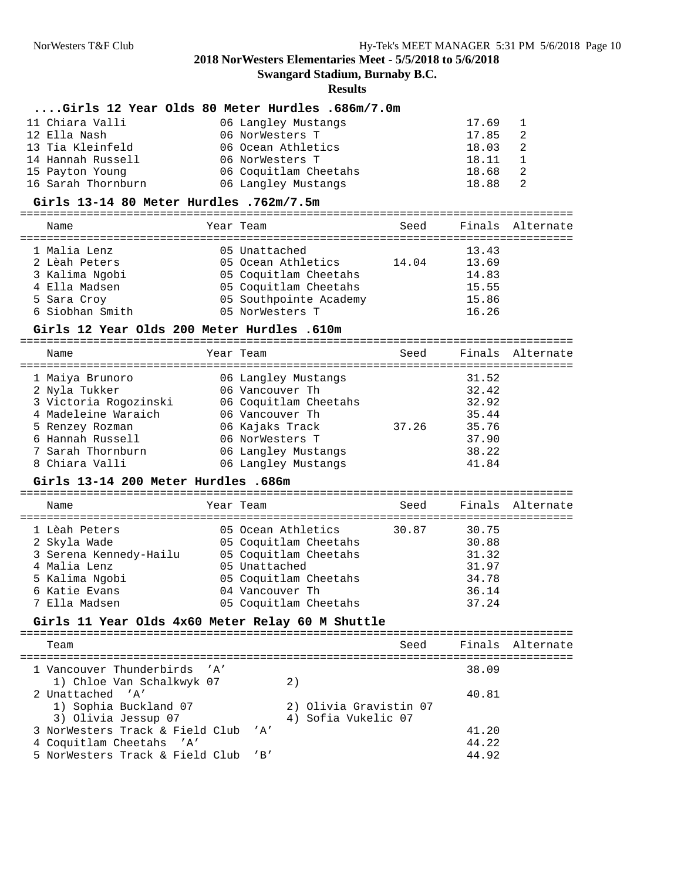**Swangard Stadium, Burnaby B.C.**

**Results**

#### **....Girls 12 Year Olds 80 Meter Hurdles .686m/7.0m**

| 11 Chiara Valli    | 06 Langley Mustangs   | 17.69                   |
|--------------------|-----------------------|-------------------------|
| 12 Ella Nash       | 06 NorWesters T       | 17.85<br>-2             |
| 13 Tia Kleinfeld   | 06 Ocean Athletics    | 18.03<br>$\overline{2}$ |
| 14 Hannah Russell  | 06 NorWesters T       | 18.11                   |
| 15 Payton Young    | 06 Coquitlam Cheetahs | 18.68<br>-2             |
| 16 Sarah Thornburn | 06 Langley Mustangs   | 18.88<br>- 2            |

#### **Girls 13-14 80 Meter Hurdles .762m/7.5m**

| Name                            | Year Team                                      | Seed  |                | Finals Alternate |
|---------------------------------|------------------------------------------------|-------|----------------|------------------|
| 1 Malia Lenz<br>2 Lèah Peters   | 05 Unattached<br>05 Ocean Athletics            | 14.04 | 13.43<br>13.69 |                  |
| 3 Kalima Ngobi<br>4 Ella Madsen | 05 Coquitlam Cheetahs<br>05 Coquitlam Cheetahs |       | 14.83<br>15.55 |                  |
| 5 Sara Croy<br>6 Siobhan Smith  | 05 Southpointe Academy<br>05 NorWesters T      |       | 15.86<br>16.26 |                  |

#### **Girls 12 Year Olds 200 Meter Hurdles .610m**

| Name                  | Year Team             | Seed  |       | Finals Alternate |
|-----------------------|-----------------------|-------|-------|------------------|
| 1 Maiya Brunoro       | 06 Langley Mustangs   |       | 31.52 |                  |
| 2 Nyla Tukker         | 06 Vancouver Th       |       | 32.42 |                  |
| 3 Victoria Rogozinski | 06 Coquitlam Cheetahs |       | 32.92 |                  |
| 4 Madeleine Waraich   | 06 Vancouver Th       |       | 35.44 |                  |
| 5 Renzey Rozman       | 06 Kajaks Track       | 37.26 | 35.76 |                  |
| 6 Hannah Russell      | 06 NorWesters T       |       | 37.90 |                  |
| 7 Sarah Thornburn     | 06 Langley Mustangs   |       | 38.22 |                  |
| 8 Chiara Valli        | 06 Langley Mustangs   |       | 41.84 |                  |

#### **Girls 13-14 200 Meter Hurdles .686m**

=================================================================================== Seed Finals Alternate =================================================================================== 1 Lèah Peters 05 Ocean Athletics 30.87 30.75 2 Skyla Wade 05 Coquitlam Cheetahs 30.88 3 Serena Kennedy-Hailu 05 Coquitlam Cheetahs 31.32 4 Malia Lenz 05 Unattached 31.97 5 Kalima Ngobi 05 Coquitlam Cheetahs 34.78 6 Katie Evans 04 Vancouver Th 36.14 7 Ella Madsen 05 Coquitlam Cheetahs 37.24

#### **Girls 11 Year Olds 4x60 Meter Relay 60 M Shuttle**

| Team                                |  | Seed                   |       | Finals Alternate |
|-------------------------------------|--|------------------------|-------|------------------|
| 1 Vancouver Thunderbirds 'A'        |  |                        | 38.09 |                  |
| 1) Chloe Van Schalkwyk 07           |  |                        |       |                  |
| 2 Unattached 'A'                    |  |                        | 40.81 |                  |
| 1) Sophia Buckland 07               |  | 2) Olivia Gravistin 07 |       |                  |
| 3) Olivia Jessup 07                 |  | 4) Sofia Vukelic 07    |       |                  |
| 3 NorWesters Track & Field Club 'A' |  |                        | 41.20 |                  |
| 4 Coquitlam Cheetahs 'A'            |  |                        | 44.22 |                  |
| 5 NorWesters Track & Field Club 'B' |  |                        | 44.92 |                  |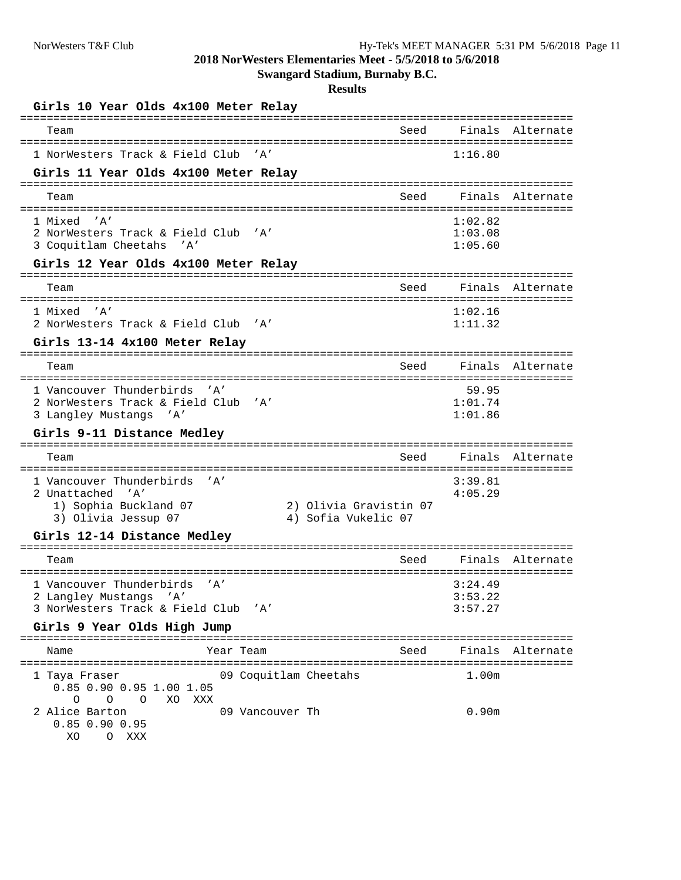**Swangard Stadium, Burnaby B.C.**

| Girls 10 Year Olds 4x100 Meter Relay                               |      |                    |                  |
|--------------------------------------------------------------------|------|--------------------|------------------|
| Team                                                               | Seed |                    | Finals Alternate |
| 1 NorWesters Track & Field Club<br>' A'                            |      | 1:16.80            |                  |
| Girls 11 Year Olds 4x100 Meter Relay                               |      |                    |                  |
| Team                                                               | Seed |                    | Finals Alternate |
| 1 Mixed 'A'                                                        |      | 1:02.82            |                  |
| 2 NorWesters Track & Field Club 'A'<br>3 Coquitlam Cheetahs 'A'    |      | 1:03.08<br>1:05.60 |                  |
| Girls 12 Year Olds 4x100 Meter Relay                               |      |                    |                  |
| Team                                                               | Seed |                    | Finals Alternate |
| 1 Mixed 'A'                                                        |      | 1:02.16            |                  |
| 2 NorWesters Track & Field Club 'A'                                |      | 1:11.32            |                  |
| Girls 13-14 4x100 Meter Relay                                      |      |                    |                  |
| Team                                                               | Seed |                    | Finals Alternate |
| 1 Vancouver Thunderbirds 'A'                                       |      | 59.95              |                  |
| 2 NorWesters Track & Field Club<br>' A'                            |      | 1:01.74            |                  |
| 3 Langley Mustangs<br>' A'<br>Girls 9-11 Distance Medley           |      | 1:01.86            |                  |
| Team                                                               | Seed |                    | Finals Alternate |
|                                                                    |      |                    |                  |
| 1 Vancouver Thunderbirds<br>' A'<br>2 Unattached 'A'               |      | 3:39.81<br>4:05.29 |                  |
| 1) Sophia Buckland 07<br>2) Olivia Gravistin 07                    |      |                    |                  |
| 3) Olivia Jessup 07<br>4) Sofia Vukelic 07                         |      |                    |                  |
| Girls 12-14 Distance Medley                                        |      |                    |                  |
| Team                                                               | Seed | Finals             | Alternate        |
| 1 Vancouver Thunderbirds<br>' A'                                   |      | 3:24.49            |                  |
| 2 Langley Mustangs 'A'                                             |      | 3:53.22            |                  |
| 3 NorWesters Track & Field Club<br>' A'                            |      | 3:57.27            |                  |
| Girls 9 Year Olds High Jump                                        |      |                    |                  |
| Year Team<br>Name                                                  | Seed |                    | Finals Alternate |
| 09 Coquitlam Cheetahs<br>1 Taya Fraser<br>0.85 0.90 0.95 1.00 1.05 |      | 1.00m              |                  |
| $\circ$<br>XO XXX<br>0<br>$\circ$                                  |      |                    |                  |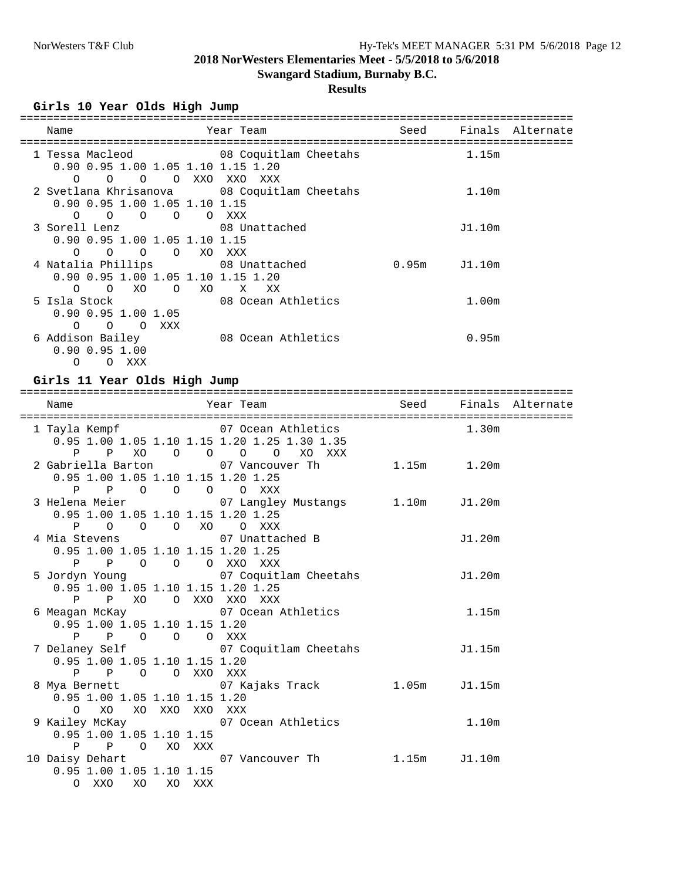# **Swangard Stadium, Burnaby B.C.**

# **Results**

### **Girls 10 Year Olds High Jump**

| Name                                                        | Year Team          | Seed             |                   | Finals Alternate |
|-------------------------------------------------------------|--------------------|------------------|-------------------|------------------|
|                                                             |                    |                  |                   |                  |
| 1 Tessa Macleod 68 Coquitlam Cheetahs                       |                    |                  | 1.15m             |                  |
| 0.90 0.95 1.00 1.05 1.10 1.15 1.20                          |                    |                  |                   |                  |
| OOXXOXXOXXX<br>$\Omega$<br>$\Omega$                         |                    |                  |                   |                  |
| 2 Svetlana Khrisanova 68 Coquitlam Cheetahs                 |                    |                  | 1.10m             |                  |
| 0.90 0.95 1.00 1.05 1.10 1.15                               |                    |                  |                   |                  |
| $\overline{O}$ $\overline{O}$<br>$\overline{O}$<br>$\Omega$ | O XXX              |                  |                   |                  |
| 3 Sorell Lenz 08 Unattached                                 |                    |                  | J1.10m            |                  |
| 0.90 0.95 1.00 1.05 1.10 1.15                               |                    |                  |                   |                  |
| $\Omega$<br>$\Omega$<br>$\overline{O}$<br>$\overline{O}$    | XO XXX             |                  |                   |                  |
| 4 Natalia Phillips 68 Unattached                            |                    | $0.95m$ $J1.10m$ |                   |                  |
| 0.90 0.95 1.00 1.05 1.10 1.15 1.20                          |                    |                  |                   |                  |
| $\Omega$<br>O XO<br>O XO                                    | X<br>XX            |                  |                   |                  |
| 5 Isla Stock                                                | 08 Ocean Athletics |                  | 1.00 <sub>m</sub> |                  |
| $0.90$ $0.95$ 1.00 1.05                                     |                    |                  |                   |                  |
| $\Omega$<br>$\Omega$<br>$\Omega$<br>XXX                     |                    |                  |                   |                  |
| 6 Addison Bailey                                            | 08 Ocean Athletics |                  | 0.95m             |                  |
| $0.90$ $0.95$ 1.00                                          |                    |                  |                   |                  |
| $\Omega$<br>XXX<br>$\Omega$                                 |                    |                  |                   |                  |

## **Girls 11 Year Olds High Jump**

| Name<br>===============================                                                                                                | Year Team New Seed Finals Alternate |        |                   |  |
|----------------------------------------------------------------------------------------------------------------------------------------|-------------------------------------|--------|-------------------|--|
| 1 Tayla Kempf                           07 Ocean Athletics<br>0.95 1.00 1.05 1.10 1.15 1.20 1.25 1.30 1.35<br>P P XO O O O O XO XXX    |                                     |        | 1.30 <sub>m</sub> |  |
| 2 Gabriella Barton 1.20m 07 Vancouver Th 1.15m 1.20m<br>0.95 1.00 1.05 1.10 1.15 1.20 1.25<br>P P O O O O XXX                          |                                     |        |                   |  |
| 3 Helena Meier 67 Langley Mustangs 1.10m J1.20m<br>0.95 1.00 1.05 1.10 1.15 1.20 1.25<br>P O O O XO O XXX                              |                                     |        |                   |  |
| 4 Mia Stevens 67 Unattached B<br>0.95 1.00 1.05 1.10 1.15 1.20 1.25<br>P P O O O XXO XXX                                               |                                     |        | J1.20m            |  |
| 5 Jordyn Young 67 Coquitlam Cheetahs 5 Jordyn Young<br>0.95 1.00 1.05 1.10 1.15 1.20 1.25<br>P P XO O XXO XXO XXX                      |                                     |        |                   |  |
| 6 Meagan McKay 67 Ocean Athletics<br>0.95 1.00 1.05 1.10 1.15 1.20<br>P P O O O XXX                                                    |                                     |        | 1.15m             |  |
| 7 Delaney Self 67 Coquitlam Cheetahs<br>0.95 1.00 1.05 1.10 1.15 1.20<br>P P O O XXO XXX                                               |                                     | J1.15m |                   |  |
| 8 Mya Bernett                       07 Kajaks Track           1.05m     J1.15m<br>0.95 1.00 1.05 1.10 1.15 1.20<br>O XO XO XXO XXO XXX |                                     |        |                   |  |
| 9 Kailey McKay 67 Ocean Athletics<br>$0.95$ 1.00 1.05 1.10 1.15<br>P P O XO XXX                                                        |                                     | 1.10m  |                   |  |
| 10 Daisy Dehart 1.15m 51.10m<br>$0.95$ 1.00 1.05 1.10 1.15<br>O XXO XO XO XXX                                                          |                                     |        |                   |  |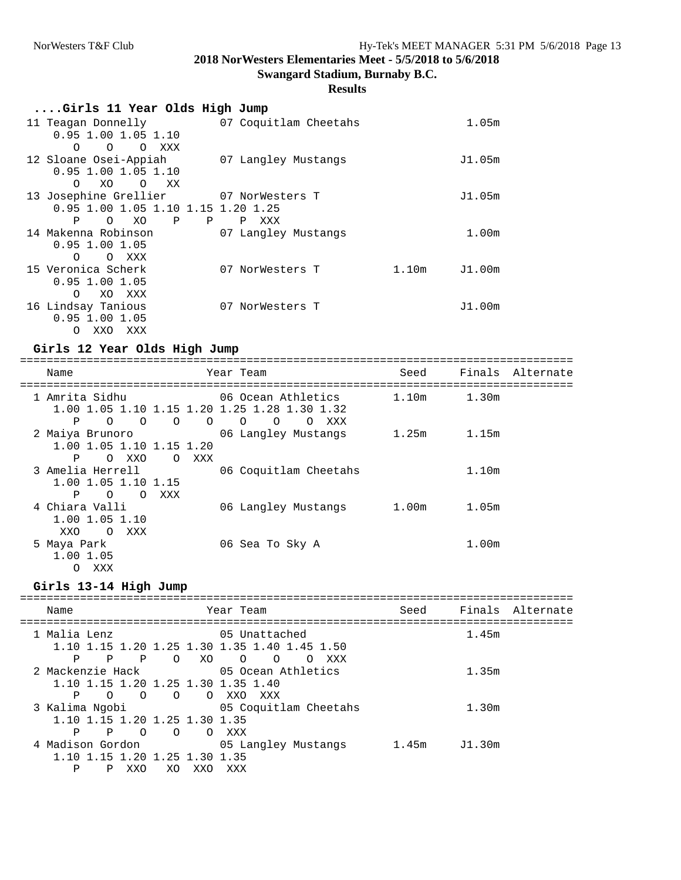**Swangard Stadium, Burnaby B.C.**

## **Results**

| Girls 11 Year Olds High Jump                                     |                                    |                 |
|------------------------------------------------------------------|------------------------------------|-----------------|
| 11 Teagan Donnelly<br>$0.95$ 1.00 1.05 1.10                      | 07 Coquitlam Cheetahs              | 1.05m           |
| $\Omega$<br>$\Omega$<br>$\Omega$<br>XXX<br>12 Sloane Osei-Appiah | 07 Langley Mustangs                | J1.05m          |
| $0.95$ 1.00 1.05 1.10                                            |                                    |                 |
| XO<br>$\Omega$<br>$\Omega$<br>XX X<br>13 Josephine Grellier      | 07 NorWesters T                    | J1.05m          |
| 0.95 1.00 1.05 1.10 1.15 1.20 1.25<br>P<br>XO<br>Ρ<br>$\circ$    | $\mathbf{P}$<br>$\mathbf P$<br>XXX |                 |
| 14 Makenna Robinson<br>$0.95$ 1.00 1.05                          | 07 Langley Mustangs                | 1.00m           |
| O XXX<br>$\Omega$                                                |                                    |                 |
| 15 Veronica Scherk<br>$0.95$ 1.00 1.05                           | 07 NorWesters T                    | 1.10m<br>J1.00m |
| $\Omega$<br>XO XXX<br>16 Lindsay Tanious                         | 07 NorWesters T                    | J1.00m          |
| $0.95$ 1.00 1.05                                                 |                                    |                 |

#### **Girls 12 Year Olds High Jump**

O XXO XXX

=================================================================================== Name Team Seed Finals Alternate

| Name                                                                                                               | Year Team                                                    | Seed              | Finals            | Alternate |
|--------------------------------------------------------------------------------------------------------------------|--------------------------------------------------------------|-------------------|-------------------|-----------|
| 1 Amrita Sidhu<br>1.00 1.05 1.10 1.15 1.20 1.25 1.28 1.30 1.32<br>Ρ<br>$\Omega$<br>$\Omega$<br>$\Omega$<br>$\circ$ | 06 Ocean Athletics<br>$\circ$<br>$\Omega$<br>XXX<br>$\Omega$ | 1.10 <sub>m</sub> | 1.30m             |           |
| 2 Maiya Brunoro<br>1.00 1.05 1.10 1.15 1.20<br>Ρ<br>XXO<br>XXX<br>$\Omega$<br>$\Omega$                             | 06 Langley Mustangs                                          | 1.25m             | 1.15m             |           |
| 3 Amelia Herrell<br>1.00 1.05 1.10 1.15<br>Ρ<br>XXX<br>$\Omega$<br>$\Omega$                                        | 06 Coquitlam Cheetahs                                        |                   | 1.10 <sub>m</sub> |           |
| 4 Chiara Valli<br>1.00 1.05 1.10<br>XXX<br>XXO<br>$\circ$                                                          | 06 Langley Mustangs                                          | 1.00 <sub>m</sub> | 1.05m             |           |
| 5 Maya Park<br>1.00 1.05<br>XXX<br>$\Omega$                                                                        | 06 Sea To Sky A                                              |                   | 1.00 <sub>m</sub> |           |

### **Girls 13-14 High Jump**

| Name                                                                                            | Year Team                                                                                                       | Seed  |        | Finals Alternate |
|-------------------------------------------------------------------------------------------------|-----------------------------------------------------------------------------------------------------------------|-------|--------|------------------|
| 1 Malia Lenz<br>Ρ<br>Ρ<br>P<br>$\Omega$                                                         | 05 Unattached<br>1.10 1.15 1.20 1.25 1.30 1.35 1.40 1.45 1.50<br>$\Omega$<br>XO.<br>XXX<br>$\Omega$<br>$\Omega$ |       | 1.45m  |                  |
| 2 Mackenzie Hack<br>1.10 1.15 1.20 1.25 1.30 1.35 1.40<br>Ρ<br>$\Omega$<br>$\Omega$<br>$\Omega$ | 05 Ocean Athletics<br>XXO<br>XXX<br>$\Omega$                                                                    |       | 1.35m  |                  |
| 3 Kalima Ngobi<br>1.10 1.15 1.20 1.25 1.30 1.35<br>P<br>$\Omega$<br>P<br>$\Omega$               | 05 Coquitlam Cheetahs<br>XXX<br>$\Omega$                                                                        |       | 1.30m  |                  |
| 4 Madison Gordon<br>0 1 15 1 20 1 25 1 30 1 35<br>P<br>XXO<br>XO.                               | 05 Langley Mustangs<br>XXX<br>XXO                                                                               | 1.45m | J1.30m |                  |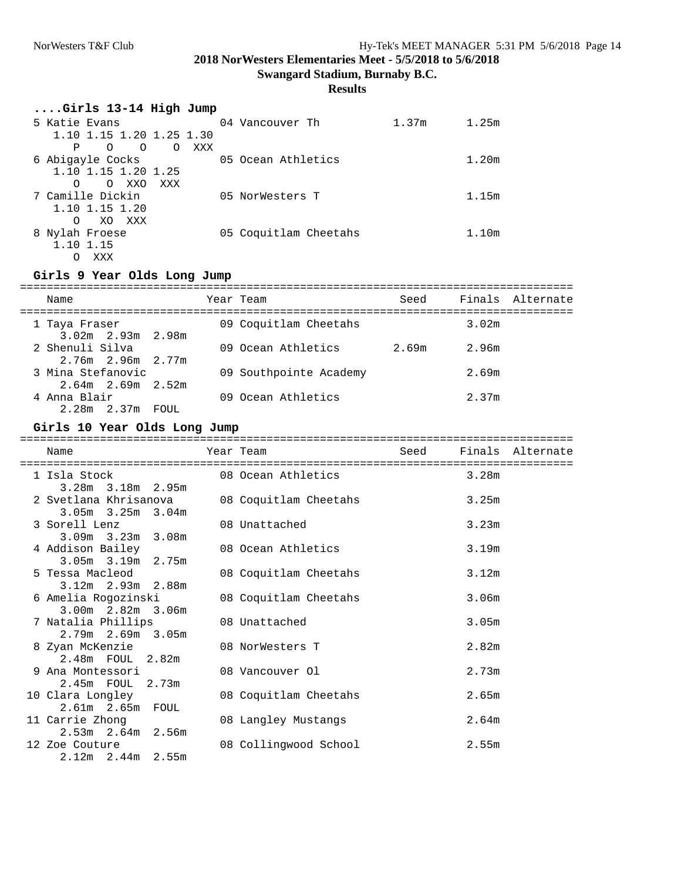**Swangard Stadium, Burnaby B.C.**

## **Results**

| Girls 13-14 High Jump     |          |     |                       |       |       |
|---------------------------|----------|-----|-----------------------|-------|-------|
| 5 Katie Evans             |          |     | 04 Vancouver Th       | 1.37m | 1.25m |
| 1.10 1.15 1.20 1.25 1.30  |          |     |                       |       |       |
| P<br>$\Omega$<br>$\Omega$ | $\Omega$ | XXX |                       |       |       |
| 6 Abigayle Cocks          |          |     | 05 Ocean Athletics    |       | 1.20m |
| 1.10 1.15 1.20 1.25       |          |     |                       |       |       |
| O XXO<br>$\Omega$         | XXX      |     |                       |       |       |
| 7 Camille Dickin          |          |     | 05 NorWesters T       |       | 1.15m |
| 1.10 1.15 1.20            |          |     |                       |       |       |
| XO XXX<br>$\Omega$        |          |     |                       |       |       |
| 8 Nylah Froese            |          |     | 05 Coquitlam Cheetahs |       | 1.10m |
| 1.10 1.15                 |          |     |                       |       |       |
| XXX                       |          |     |                       |       |       |

#### **Girls 9 Year Olds Long Jump**

| Name                                       | Year Team |                        | Seed  |       | Finals Alternate |
|--------------------------------------------|-----------|------------------------|-------|-------|------------------|
| 1 Taya Fraser<br>$3.02m$ 2.93m 2.98m       |           | 09 Coquitlam Cheetahs  |       | 3.02m |                  |
| 2 Shenuli Silva<br>$2.76m$ 2.96m $2.77m$   |           | 09 Ocean Athletics     | 2.69m | 2.96m |                  |
| 3 Mina Stefanovic<br>$2.64m$ 2.69m $2.52m$ |           | 09 Southpointe Academy |       | 2.69m |                  |
| 4 Anna Blair<br>$2.28m$ $2.37m$ FOUL       |           | 09 Ocean Athletics     |       | 2.37m |                  |

### **Girls 10 Year Olds Long Jump**

| Name                                           |                                             | Year Team Seed Finals Alternate |
|------------------------------------------------|---------------------------------------------|---------------------------------|
| $3.28m$ $3.18m$ $2.95m$                        | 1 Isla Stock 68 08 Ocean Athletics 3.28m    |                                 |
| $3.05m$ $3.25m$ $3.04m$                        | 2 Svetlana Khrisanova 08 Coquitlam Cheetahs | 3.25m                           |
| 3 Sorell Lenz<br>$3.09m$ $3.23m$ $3.08m$       | 08 Unattached                               | 3.23m                           |
| 4 Addison Bailey<br>3.05m 3.19m 2.75m          | 08 Ocean Athletics                          | 3.19m                           |
| 5 Tessa Macleod<br>$3.12m$ $2.93m$ $2.88m$     | 08 Coquitlam Cheetahs                       | 3.12m                           |
| 6 Amelia Rogozinski<br>$3.00m$ $2.82m$ $3.06m$ | 08 Coquitlam Cheetahs                       | 3.06m                           |
| 7 Natalia Phillips<br>$2.79m$ $2.69m$ $3.05m$  | 08 Unattached                               | 3.05m                           |
| 8 Zyan McKenzie<br>2.48m FOUL 2.82m            | 08 NorWesters T                             | 2.82m                           |
| 9 Ana Montessori<br>2.45m FOUL 2.73m           | 08 Vancouver Ol                             | 2.73m                           |
| 10 Clara Longley<br>$2.61m$ $2.65m$ FOUL       | 08 Coquitlam Cheetahs                       | 2.65m                           |
| 11 Carrie Zhong<br>2.53m 2.64m 2.56m           | 08 Langley Mustangs                         | 2.64m                           |
| 12 Zoe Couture<br>$2.12m$ $2.44m$ $2.55m$      | 08 Collingwood School                       | 2.55m                           |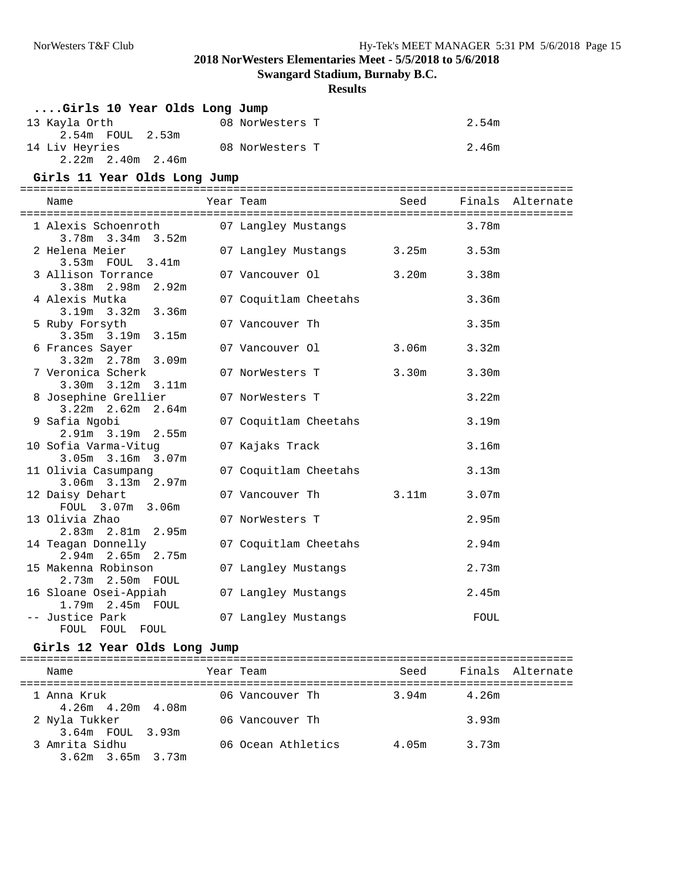**Swangard Stadium, Burnaby B.C.**

#### **Results**

| Girls 10 Year Olds Long Jump                   |                       |                   |                   |                  |
|------------------------------------------------|-----------------------|-------------------|-------------------|------------------|
| 13 Kayla Orth                                  | 08 NorWesters T       |                   | 2.54m             |                  |
| 2.54m FOUL 2.53m                               |                       |                   |                   |                  |
| 14 Liv Heyries                                 | 08 NorWesters T       |                   | 2.46m             |                  |
| 2.22m 2.40m 2.46m                              |                       |                   |                   |                  |
| Girls 11 Year Olds Long Jump                   |                       |                   |                   |                  |
| Name                                           | Year Team             | Seed              |                   | Finals Alternate |
|                                                |                       |                   |                   |                  |
| 1 Alexis Schoenroth                            | 07 Langley Mustangs   |                   | 3.78m             |                  |
| $3.78m$ $3.34m$ $3.52m$                        |                       |                   |                   |                  |
| 2 Helena Meier                                 | 07 Langley Mustangs   | 3.25m             | 3.53m             |                  |
| 3.53m FOUL 3.41m                               |                       |                   |                   |                  |
| 3 Allison Torrance                             | 07 Vancouver Ol       | 3.20m             | 3.38m             |                  |
| 3.38m 2.98m 2.92m                              |                       |                   |                   |                  |
| 4 Alexis Mutka                                 | 07 Coquitlam Cheetahs |                   | 3.36m             |                  |
| $3.19m$ $3.32m$ $3.36m$                        |                       |                   |                   |                  |
| 5 Ruby Forsyth                                 | 07 Vancouver Th       |                   | 3.35m             |                  |
| 3.35m 3.19m 3.15m                              |                       |                   |                   |                  |
| 6 Frances Sayer                                | 07 Vancouver Ol       | 3.06m             | 3.32m             |                  |
| $3.32m$ $2.78m$ $3.09m$                        |                       |                   |                   |                  |
| 7 Veronica Scherk                              | 07 NorWesters T       | 3.30m             | 3.30m             |                  |
| $3.30m$ $3.12m$ $3.11m$                        |                       |                   |                   |                  |
| 8 Josephine Grellier                           | 07 NorWesters T       |                   | 3.22m             |                  |
| $3.22m$ $2.62m$ $2.64m$                        |                       |                   |                   |                  |
| 9 Safia Ngobi                                  | 07 Coquitlam Cheetahs |                   | 3.19m             |                  |
| $2.91m$ $3.19m$ $2.55m$                        |                       |                   |                   |                  |
| 10 Sofia Varma-Vituq                           | 07 Kajaks Track       |                   | 3.16m             |                  |
| 3.05m 3.16m 3.07m                              |                       |                   |                   |                  |
| 11 Olivia Casumpang<br>$3.06m$ $3.13m$ $2.97m$ | 07 Coquitlam Cheetahs |                   | 3.13m             |                  |
| 12 Daisy Dehart                                | 07 Vancouver Th       | 3.11 <sub>m</sub> | 3.07 <sub>m</sub> |                  |
| FOUL 3.07m 3.06m                               |                       |                   |                   |                  |
| 13 Olivia Zhao                                 | 07 NorWesters T       |                   | 2.95m             |                  |
| $2.83m$ $2.81m$ $2.95m$                        |                       |                   |                   |                  |
| 14 Teagan Donnelly                             | 07 Coquitlam Cheetahs |                   | 2.94m             |                  |
| $2.94m$ $2.65m$ $2.75m$                        |                       |                   |                   |                  |
| 15 Makenna Robinson                            | 07 Langley Mustangs   |                   | 2.73m             |                  |
| $2.73m$ $2.50m$ $FOUL$                         |                       |                   |                   |                  |
| 16 Sloane Osei-Appiah                          | 07 Langley Mustangs   |                   | 2.45m             |                  |
| 1.79m 2.45m FOUL                               |                       |                   |                   |                  |
| -- Justice Park                                | 07 Langley Mustangs   |                   | FOUL              |                  |
| FOUL FOUL FOUL                                 |                       |                   |                   |                  |

## **Girls 12 Year Olds Long Jump**

| Name                                      | Year Team          | Seed  |       | Finals Alternate |
|-------------------------------------------|--------------------|-------|-------|------------------|
| 1 Anna Kruk<br>$4.26m$ $4.20m$ $4.08m$    | 06 Vancouver Th    | 3.94m | 4.26m |                  |
| 2 Nyla Tukker<br>3.64m FOUL 3.93m         | 06 Vancouver Th    |       | 3.93m |                  |
| 3 Amrita Sidhu<br>$3.62m$ $3.65m$ $3.73m$ | 06 Ocean Athletics | 4.05m | 3.73m |                  |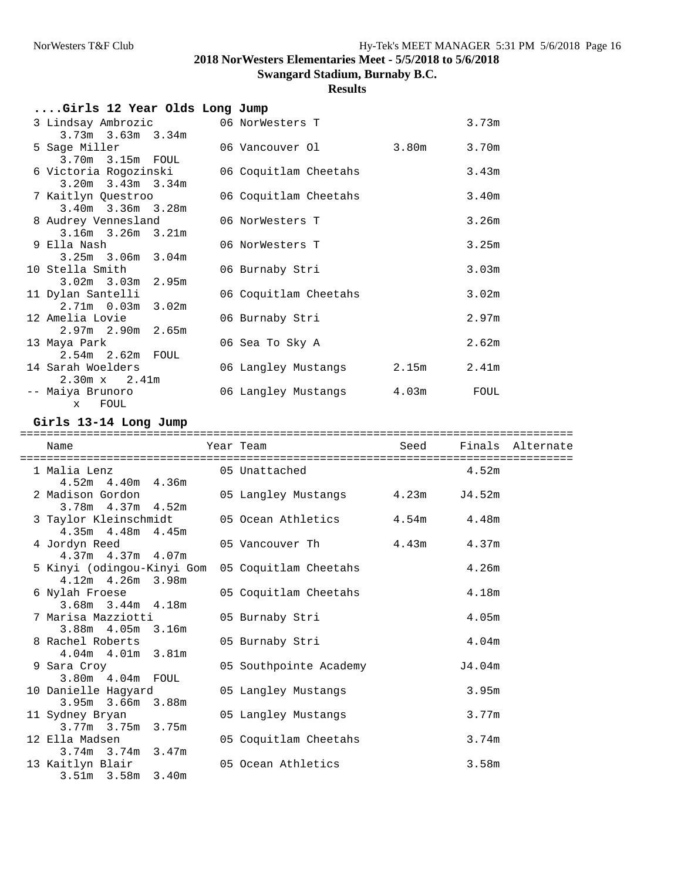**Swangard Stadium, Burnaby B.C.**

## **Results**

| Girls 12 Year Olds Long Jump |                           |       |       |
|------------------------------|---------------------------|-------|-------|
| 3 Lindsay Ambrozic           | 06 NorWesters T           |       | 3.73m |
| $3.73m$ $3.63m$ $3.34m$      |                           |       |       |
| 5 Saqe Miller                | 06 Vancouver Ol           | 3.80m | 3.70m |
| 3.70m 3.15m FOUL             |                           |       |       |
| 6 Victoria Rogozinski        | 06 Coquitlam Cheetahs     |       | 3.43m |
| $3.20m$ $3.43m$ $3.34m$      |                           |       |       |
| 7 Kaitlyn Questroo           | 06 Coquitlam Cheetahs     |       | 3.40m |
| $3.40m$ $3.36m$ $3.28m$      |                           |       |       |
| 8 Audrey Vennesland          | 06 NorWesters T           |       | 3.26m |
| $3.16m$ $3.26m$ $3.21m$      |                           |       |       |
| 9 Ella Nash                  | 06 NorWesters T           |       | 3.25m |
| $3.25m$ $3.06m$ $3.04m$      |                           |       |       |
| 10 Stella Smith              | 06 Burnaby Stri           |       | 3.03m |
| $3.02m$ $3.03m$ $2.95m$      |                           |       |       |
| 11 Dylan Santelli            | 06 Coquitlam Cheetahs     |       | 3.02m |
| $2.71m$ 0.03m 3.02m          |                           |       |       |
| 12 Amelia Lovie              | 06 Burnaby Stri           |       | 2.97m |
| $2.97m$ $2.90m$ $2.65m$      |                           |       |       |
| 13 Maya Park                 | 06 Sea To Sky A           |       | 2.62m |
| 2.54m 2.62m FOUL             |                           |       |       |
| 14 Sarah Woelders            | 06 Langley Mustangs 2.15m |       | 2.41m |
| $2.30m \times 2.41m$         |                           |       |       |
| -- Maiya Brunoro             | 06 Langley Mustangs 4.03m |       | FOUL  |
| FOUL<br>$\mathbf{x}$         |                           |       |       |

### **Girls 13-14 Long Jump**

| Name                                                                            | ================<br>Year Team    | Seed Finals Alternate |  |
|---------------------------------------------------------------------------------|----------------------------------|-----------------------|--|
| 4.52m  4.40m  4.36m                                                             |                                  |                       |  |
| 2 Madison Gordon<br>$3.78m$ 4.37m 4.52m                                         | 05 Langley Mustangs 4.23m J4.52m |                       |  |
| 3 Taylor Kleinschmidt 05 Ocean Athletics 4.54m 4.48m<br>$4.35m$ $4.48m$ $4.45m$ |                                  |                       |  |
| 4 Jordyn Reed<br>$4.37m$ $4.37m$ $4.07m$                                        | 05 Vancouver There are 4.43m     | 4.37m                 |  |
| 5 Kinyi (odingou-Kinyi Gom<br>$4.12m$ $4.26m$ $3.98m$                           | 05 Coquitlam Cheetahs            | 4.26m                 |  |
| 6 Nylah Froese<br>$3.68m$ $3.44m$ $4.18m$                                       | 05 Coquitlam Cheetahs            | 4.18m                 |  |
| 7 Marisa Mazziotti<br>3.88m 4.05m 3.16m                                         | 05 Burnaby Stri                  | 4.05m                 |  |
| 8 Rachel Roberts<br>4.04m  4.01m  3.81m                                         | 05 Burnaby Stri                  | 4.04 <sub>m</sub>     |  |
| 9 Sara Croy<br>3.80m  4.04m  FOUL                                               | 05 Southpointe Academy           | J4.04m                |  |
| 10 Danielle Hagyard<br>$3.95m$ $3.66m$ $3.88m$                                  | 05 Langley Mustangs              | 3.95m                 |  |
| 11 Sydney Bryan<br>$3.77m$ $3.75m$ $3.75m$                                      | 05 Langley Mustangs              | 3.77m                 |  |
| 12 Ella Madsen<br>$3.74m$ $3.74m$ $3.47m$                                       | 05 Coquitlam Cheetahs            | 3.74m                 |  |
| 13 Kaitlyn Blair<br>3.51m 3.58m 3.40m                                           | 05 Ocean Athletics               | 3.58m                 |  |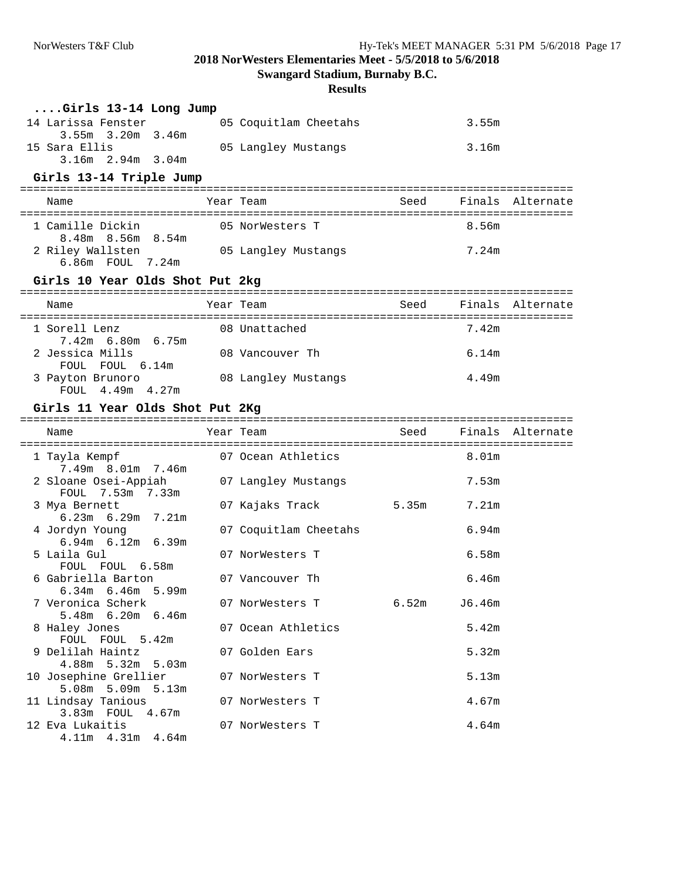**Swangard Stadium, Burnaby B.C.**

| Girls 13-14 Long Jump                           |                       |       |        |                  |
|-------------------------------------------------|-----------------------|-------|--------|------------------|
| 14 Larissa Fenster                              | 05 Coquitlam Cheetahs |       | 3.55m  |                  |
| 3.55m 3.20m 3.46m                               |                       |       |        |                  |
| 15 Sara Ellis                                   | 05 Langley Mustangs   |       | 3.16m  |                  |
| $3.16m$ $2.94m$ $3.04m$                         |                       |       |        |                  |
| Girls 13-14 Triple Jump                         |                       |       |        |                  |
|                                                 |                       |       |        |                  |
| Name                                            | Year Team             | Seed  |        | Finals Alternate |
| 1 Camille Dickin                                | 05 NorWesters T       |       | 8.56m  |                  |
| 8.48m 8.56m 8.54m                               |                       |       |        |                  |
| 2 Riley Wallsten                                | 05 Langley Mustangs   |       | 7.24m  |                  |
| 6.86m FOUL 7.24m                                |                       |       |        |                  |
| Girls 10 Year Olds Shot Put 2kg                 |                       |       |        |                  |
|                                                 |                       |       |        |                  |
| Name                                            | Year Team             | Seed  |        | Finals Alternate |
| 1 Sorell Lenz                                   | 08 Unattached         |       | 7.42m  |                  |
| 7.42m 6.80m 6.75m                               |                       |       |        |                  |
| 2 Jessica Mills                                 | 08 Vancouver Th       |       | 6.14m  |                  |
| FOUL FOUL 6.14m                                 |                       |       |        |                  |
| 3 Payton Brunoro<br>FOUL 4.49m 4.27m            | 08 Langley Mustangs   |       | 4.49m  |                  |
|                                                 |                       |       |        |                  |
| Girls 11 Year Olds Shot Put 2Kg                 |                       |       |        |                  |
|                                                 |                       |       |        |                  |
| Name                                            | Year Team             | Seed  |        | Finals Alternate |
|                                                 |                       |       |        |                  |
| 1 Tayla Kempf                                   | 07 Ocean Athletics    |       | 8.01m  |                  |
| 7.49m 8.01m 7.46m                               |                       |       |        |                  |
| 2 Sloane Osei-Appiah                            | 07 Langley Mustangs   |       | 7.53m  |                  |
| FOUL 7.53m 7.33m<br>3 Mya Bernett               | 07 Kajaks Track       | 5.35m | 7.21m  |                  |
| $6.23m$ $6.29m$ $7.21m$                         |                       |       |        |                  |
| 4 Jordyn Young                                  | 07 Coquitlam Cheetahs |       | 6.94m  |                  |
| $6.94m$ $6.12m$ $6.39m$                         |                       |       |        |                  |
| 5 Laila Gul                                     | 07 NorWesters T       |       | 6.58m  |                  |
| FOUL FOUL 6.58m<br>6 Gabriella Barton           | 07 Vancouver Th       |       | 6.46m  |                  |
| $6.34m$ $6.46m$ $5.99m$                         |                       |       |        |                  |
| 7 Veronica Scherk                               | 07 NorWesters T       | 6.52m | J6.46m |                  |
| 5.48m 6.20m 6.46m                               |                       |       |        |                  |
| 8 Haley Jones                                   | 07 Ocean Athletics    |       | 5.42m  |                  |
| FOUL FOUL 5.42m                                 |                       |       |        |                  |
| 9 Delilah Haintz                                | 07 Golden Ears        |       | 5.32m  |                  |
| $4.88m$ 5.32m<br>5.03m<br>10 Josephine Grellier | 07 NorWesters T       |       | 5.13m  |                  |
| 5.08m 5.09m 5.13m                               |                       |       |        |                  |
| 11 Lindsay Tanious                              | 07 NorWesters T       |       | 4.67m  |                  |
| 3.83m FOUL 4.67m                                |                       |       |        |                  |
| 12 Eva Lukaitis<br>4.11m  4.31m  4.64m          | 07 NorWesters T       |       | 4.64m  |                  |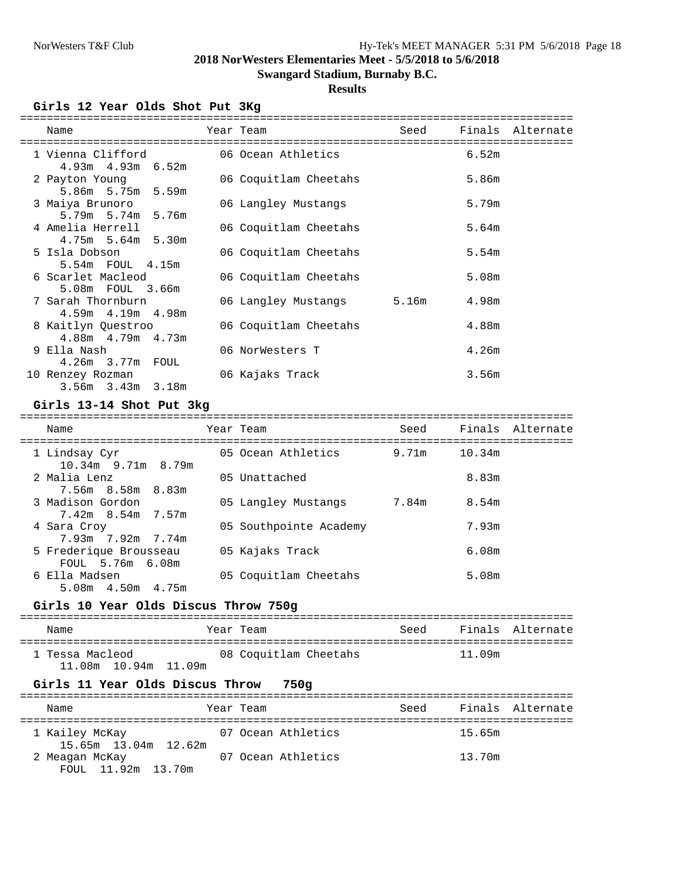## **Swangard Stadium, Burnaby B.C.**

## **Results**

**Girls 12 Year Olds Shot Put 3Kg**

| Name                                                                              | Year Team                 | Seed | Finals Alternate |
|-----------------------------------------------------------------------------------|---------------------------|------|------------------|
| 1 Vienna Clifford                   06 Ocean Athletics<br>$4.93m$ $4.93m$ $6.52m$ |                           |      | 6.52m            |
| 2 Payton Young<br>5.86m 5.75m 5.59m                                               | 06 Coquitlam Cheetahs     |      | 5.86m            |
| 3 Maiya Brunoro<br>5.79m 5.74m 5.76m                                              | 06 Langley Mustangs       |      | 5.79m            |
| 4 Amelia Herrell<br>$4.75m$ 5.64m 5.30m                                           | 06 Coquitlam Cheetahs     |      | 5.64m            |
| 5 Isla Dobson<br>5.54m FOUL 4.15m                                                 | 06 Coquitlam Cheetahs     |      | 5.54m            |
| 6 Scarlet Macleod<br>5.08m FOUL 3.66m                                             | 06 Coquitlam Cheetahs     |      | 5.08m            |
| 7 Sarah Thornburn<br>$4.59m$ $4.19m$ $4.98m$                                      | 06 Langley Mustangs 5.16m |      | 4.98m            |
| 8 Kaitlyn Questroo<br>4.88m 4.79m 4.73m                                           | 06 Coquitlam Cheetahs     |      | 4.88m            |
| 9 Ella Nash<br>4.26m 3.77m FOUL                                                   | 06 NorWesters T           |      | 4.26m            |
| 10 Renzey Rozman<br>$3.56m$ $3.43m$ $3.18m$                                       | 06 Kajaks Track           |      | 3.56m            |

#### **Girls 13-14 Shot Put 3kg**

| Name                                       | Year Team              | Seed  |        | Finals Alternate |
|--------------------------------------------|------------------------|-------|--------|------------------|
| 1 Lindsay Cyr<br>$10.34$ m 9.71m 8.79m     | 05 Ocean Athletics     | 9.71m | 10.34m |                  |
| 2 Malia Lenz<br>7.56m 8.58m 8.83m          | 05 Unattached          |       | 8.83m  |                  |
| 3 Madison Gordon<br>7.42m 8.54m 7.57m      | 05 Langley Mustangs    | 7.84m | 8.54m  |                  |
| 4 Sara Croy<br>7.93m 7.92m 7.74m           | 05 Southpointe Academy |       | 7.93m  |                  |
| 5 Frederique Brousseau<br>FOUL 5.76m 6.08m | 05 Kajaks Track        |       | 6.08m  |                  |
| 6 Ella Madsen<br>$5.08m$ $4.50m$ $4.75m$   | 05 Coquitlam Cheetahs  |       | 5.08m  |                  |

#### **Girls 10 Year Olds Discus Throw 750g**

| Name                                      | Year Team             | Seed |        | Finals Alternate |
|-------------------------------------------|-----------------------|------|--------|------------------|
| 1 Tessa Macleod<br>11.08m  10.94m  11.09m | 08 Coquitlam Cheetahs |      | 11.09m |                  |

### **Girls 11 Year Olds Discus Throw 750g**

| Name                                   | Year Team |                    | Seed |        | Finals Alternate |
|----------------------------------------|-----------|--------------------|------|--------|------------------|
| 1 Kailey McKay<br>15.65m 13.04m 12.62m |           | 07 Ocean Athletics |      | 15.65m |                  |
| 2 Meagan McKay<br>FOUL 11.92m 13.70m   |           | 07 Ocean Athletics |      | 13.70m |                  |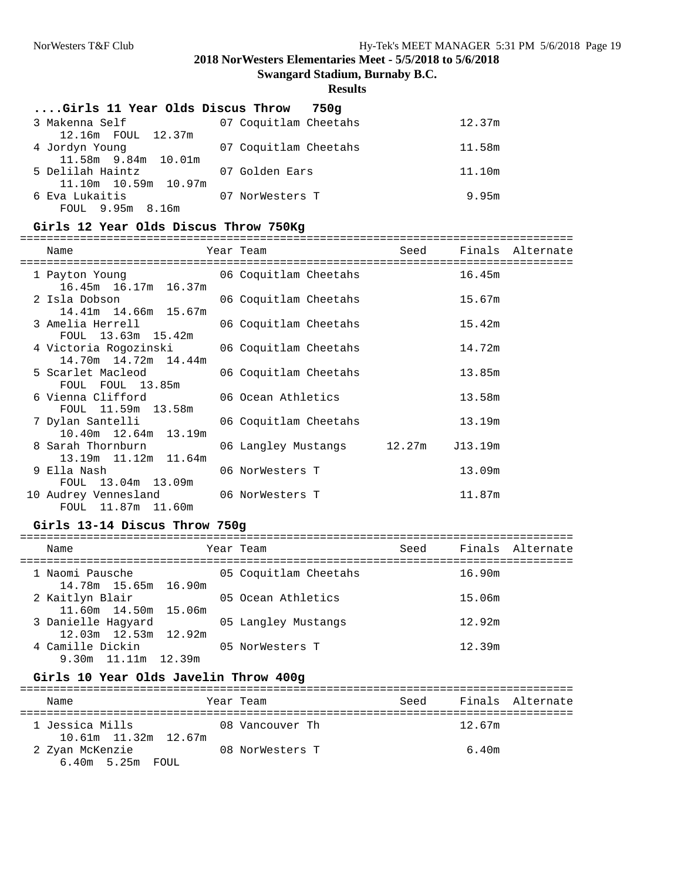**Swangard Stadium, Burnaby B.C.**

## **Results**

| Girls 11 Year Olds Discus Throw | 750a                  |        |
|---------------------------------|-----------------------|--------|
| 3 Makenna Self                  | 07 Coquitlam Cheetahs | 12.37m |
| 12.16m FOUL 12.37m              |                       |        |
| 4 Jordyn Young                  | 07 Coquitlam Cheetahs | 11.58m |
| 11.58m 9.84m 10.01m             |                       |        |
| 5 Delilah Haintz                | 07 Golden Ears        | 11.10m |
| 11.10m 10.59m 10.97m            |                       |        |
| 6 Eva Lukaitis                  | 07 NorWesters T       | 9.95m  |
| FOUL 9.95m 8.16m                |                       |        |

## **Girls 12 Year Olds Discus Throw 750Kg**

| Name                                                                                    | Year Team                  |        |         | Seed Finals Alternate |
|-----------------------------------------------------------------------------------------|----------------------------|--------|---------|-----------------------|
| =======================<br>1 Payton Young 66 Coquitlam Cheetahs<br>16.45m 16.17m 16.37m |                            | 16.45m |         |                       |
| 2 Isla Dobson<br>14.41m 14.66m 15.67m                                                   | 06 Coquitlam Cheetahs      |        | 15.67m  |                       |
| 3 Amelia Herrell 66 Coquitlam Cheetahs<br>FOUL 13.63m 15.42m                            |                            |        | 15.42m  |                       |
| 4 Victoria Rogozinski 6000 000 Coquitlam Cheetahs<br>14.70m 14.72m 14.44m               |                            |        | 14.72m  |                       |
| 5 Scarlet Macleod<br>FOUL FOUL 13.85m                                                   | 06 Coquitlam Cheetahs      |        | 13.85m  |                       |
| 6 Vienna Clifford 06 Ocean Athletics<br>FOUL 11.59m 13.58m                              |                            |        | 13.58m  |                       |
| 7 Dylan Santelli<br>10.40m 12.64m 13.19m                                                | 06 Coquitlam Cheetahs      |        | 13.19m  |                       |
| 8 Sarah Thornburn<br>13.19m 11.12m 11.64m                                               | 06 Langley Mustangs 12.27m |        | J13.19m |                       |
| 9 Ella Nash<br>FOUL 13.04m 13.09m                                                       | 06 NorWesters T            |        | 13.09m  |                       |
| 10 Audrey Vennesland 06 NorWesters T<br>FOUL 11.87m 11.60m                              |                            |        | 11.87m  |                       |

### **Girls 13-14 Discus Throw 750g**

| Name |                                                  | Year Team             | Seed |        | Finals Alternate |
|------|--------------------------------------------------|-----------------------|------|--------|------------------|
|      | 1 Naomi Pausche<br>14.78m 15.65m 16.90m          | 05 Coquitlam Cheetahs |      | 16.90m |                  |
|      | 2 Kaitlyn Blair<br>11.60m 14.50m 15.06m          | 05 Ocean Athletics    |      | 15.06m |                  |
|      | 3 Danielle Haqyard<br>$12.03m$ $12.53m$ $12.92m$ | 05 Langley Mustangs   |      | 12.92m |                  |
|      | 4 Camille Dickin<br>9.30m 11.11m 12.39m          | 05 NorWesters T       |      | 12.39m |                  |

### **Girls 10 Year Olds Javelin Throw 400g**

| Name                                     | Year Team       | Seed | Finals Alternate |
|------------------------------------------|-----------------|------|------------------|
| 1 Jessica Mills                          | 08 Vancouver Th |      | 12.67m           |
| 2 Zyan McKenzie<br>$6.40m$ 5.25 $m$ FOUL | 08 NorWesters T |      | 6.40m            |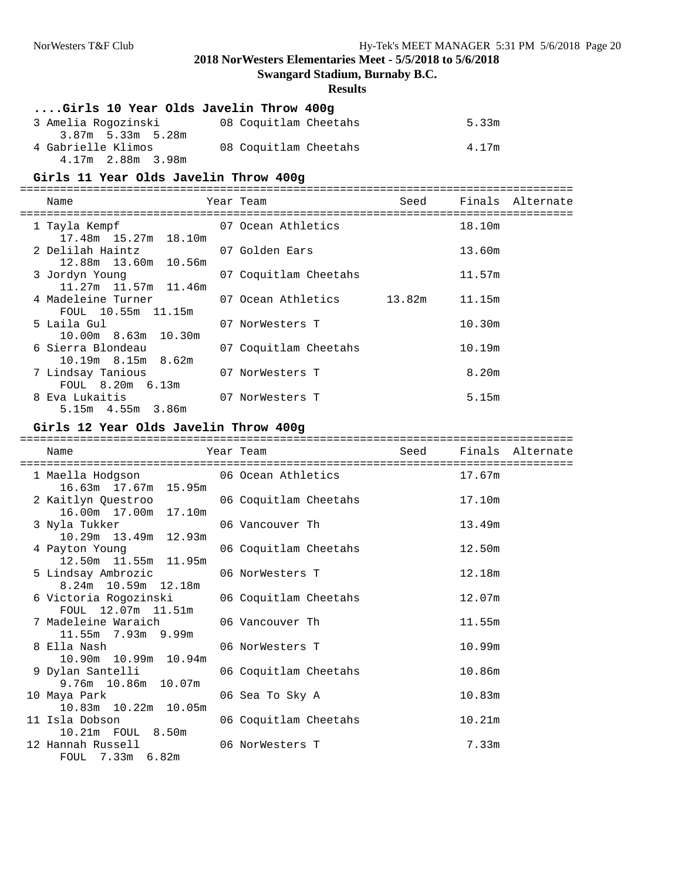**Swangard Stadium, Burnaby B.C.**

## **Results**

| Girls 10 Year Olds Javelin Throw 400g |                       |       |
|---------------------------------------|-----------------------|-------|
| 3 Amelia Rogozinski                   | 08 Coquitlam Cheetahs | 5.33m |
| 3.87m 5.33m 5.28m                     |                       |       |
| 4 Gabrielle Klimos                    | 08 Coquitlam Cheetahs | 4.17m |
| 4.17m  2.88m  3.98m                   |                       |       |

## **Girls 11 Year Olds Javelin Throw 400g**

| Name                                                                   | Year Team             |        | Seed Finals Alternate |
|------------------------------------------------------------------------|-----------------------|--------|-----------------------|
|                                                                        |                       |        |                       |
| 1 Tayla Kempf 67 Ocean Athletics                                       |                       | 18.10m |                       |
| 17.48m 15.27m 18.10m                                                   |                       |        |                       |
| 2 Delilah Haintz                         07 Golden Ears                |                       | 13.60m |                       |
| 12.88m 13.60m 10.56m                                                   |                       |        |                       |
| 3 Jordyn Young                                                         | 07 Coquitlam Cheetahs | 11.57m |                       |
| 11.27m 11.57m 11.46m                                                   |                       |        |                       |
| 4 Madeleine Turner                 07 Ocean Athletics           13.82m |                       | 11.15m |                       |
| FOUL 10.55m 11.15m                                                     |                       |        |                       |
| 5 Laila Gul                                                            | 07 NorWesters T       | 10.30m |                       |
| $10.00m$ 8.63m $10.30m$                                                |                       |        |                       |
| 6 Sierra Blondeau                                                      | 07 Coquitlam Cheetahs | 10.19m |                       |
| 10.19m 8.15m 8.62m                                                     |                       |        |                       |
| 7 Lindsay Tanious                                                      | 07 NorWesters T       | 8.20m  |                       |
| FOUL 8.20m 6.13m                                                       |                       |        |                       |
| 8 Eva Lukaitis                                                         | 07 NorWesters T       | 5.15m  |                       |
| $5.15m$ $4.55m$ $3.86m$                                                |                       |        |                       |

#### **Girls 12 Year Olds Javelin Throw 400g**

| Name                                                                      | Year Team <a>&gt;&gt;&gt;&gt;&gt;&gt;&gt;&gt;&gt;&gt;&gt;&gt;&gt;&gt;&gt;&lt;Seed </a> Finals Alternate |        |  |
|---------------------------------------------------------------------------|---------------------------------------------------------------------------------------------------------|--------|--|
| 1 Maella Hodgson 66 Ocean Athletics 17.67m<br>16.63m  17.67m  15.95m      |                                                                                                         |        |  |
| 2 Kaitlyn Questroo 66 Coquitlam Cheetahs 17.10m<br>16.00m  17.00m  17.10m |                                                                                                         |        |  |
| 3 Nyla Tukker<br>10.29m  13.49m  12.93m                                   | 06 Vancouver Th                                                                                         | 13.49m |  |
| 4 Payton Young<br>12.50m  11.55m  11.95m                                  | 06 Coquitlam Cheetahs                                                                                   | 12.50m |  |
| 5 Lindsay Ambrozic 66 NorWesters T<br>8.24m 10.59m 12.18m                 |                                                                                                         | 12.18m |  |
| 6 Victoria Rogozinski 06 Coquitlam Cheetahs<br>FOUL 12.07m 11.51m         |                                                                                                         | 12.07m |  |
| 7 Madeleine Waraich 606 Vancouver Th<br>$11.55m$ 7.93m 9.99m              |                                                                                                         | 11.55m |  |
| 8 Ella Nash ann an t-<br>10.90m  10.99m  10.94m                           | 06 NorWesters T                                                                                         | 10.99m |  |
| 9 Dylan Santelli<br>9.76m 10.86m 10.07m                                   | 06 Coquitlam Cheetahs                                                                                   | 10.86m |  |
| 10 Maya Park<br>10.83m  10.22m  10.05m                                    | 06 Sea To Sky A                                                                                         | 10.83m |  |
| 11 Isla Dobson<br>10.21m FOUL 8.50m                                       | 06 Coquitlam Cheetahs                                                                                   | 10.21m |  |
| 12 Hannah Russell 66 NorWesters T<br>FOUL 7.33m 6.82m                     |                                                                                                         | 7.33m  |  |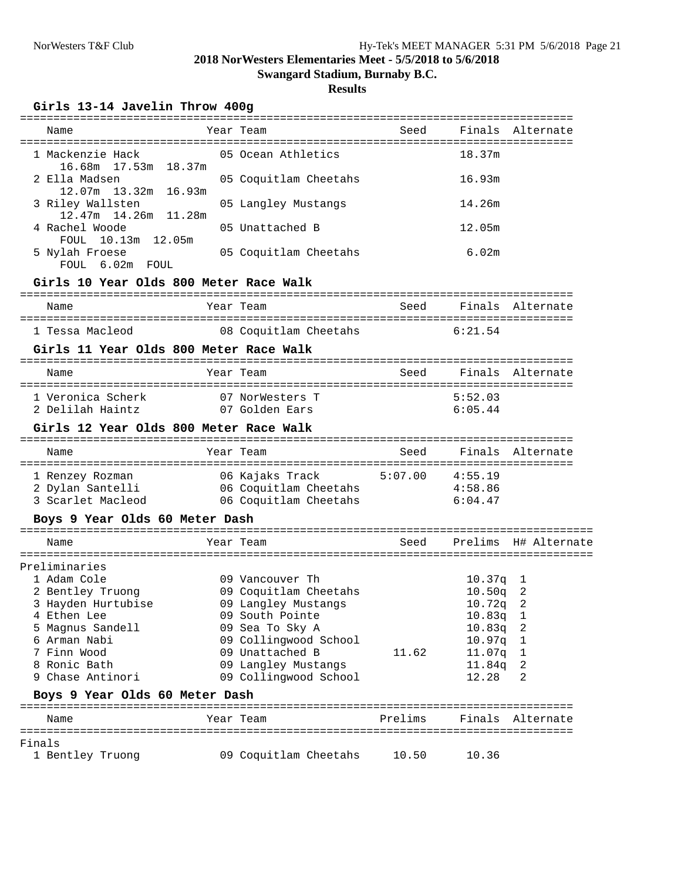**Swangard Stadium, Burnaby B.C.**

#### **Results**

#### **Girls 13-14 Javelin Throw 400g**

| Name                                                                     | Year Team                                                           |         |                    | Seed Finals Alternate     |
|--------------------------------------------------------------------------|---------------------------------------------------------------------|---------|--------------------|---------------------------|
| 1 Mackenzie Hack 65 Ocean Athletics                                      |                                                                     |         | 18.37m             |                           |
| 16.68m 17.53m 18.37m<br>2 Ella Madsen                                    | 05 Coquitlam Cheetahs                                               |         | 16.93m             |                           |
| 12.07m   13.32m   16.93m<br>3 Riley Wallsten                             | 05 Langley Mustangs                                                 |         | 14.26m             |                           |
| 12.47m 14.26m 11.28m<br>4 Rachel Woode<br>FOUL 10.13m 12.05m             | 05 Unattached B                                                     |         | 12.05m             |                           |
| 5 Nylah Froese<br>FOUL 6.02m FOUL                                        | 05 Coquitlam Cheetahs                                               |         | 6.02m              |                           |
| Girls 10 Year Olds 800 Meter Race Walk                                   |                                                                     |         |                    |                           |
| Name                                                                     | Year Team                                                           |         |                    | Seed Finals Alternate     |
| 1 Tessa Macleod 08 Coquitlam Cheetahs 6:21.54                            |                                                                     |         |                    |                           |
| Girls 11 Year Olds 800 Meter Race Walk                                   |                                                                     |         |                    |                           |
| Name                                                                     | Year Team                                                           |         |                    | Seed Finals Alternate     |
| 1 Veronica Scherk 1 07 NorWesters T<br>2 Delilah Haintz 1 07 Golden Ears |                                                                     |         | 5:52.03<br>6:05.44 |                           |
| Girls 12 Year Olds 800 Meter Race Walk                                   |                                                                     |         |                    |                           |
| Name                                                                     | Year Team                                                           |         |                    | Seed Finals Alternate     |
|                                                                          |                                                                     |         |                    |                           |
|                                                                          |                                                                     |         |                    |                           |
|                                                                          |                                                                     |         |                    |                           |
| 3 Scarlet Macleod 66 Coquitlam Cheetahs                                  |                                                                     |         | 6:04.47            |                           |
| Boys 9 Year Olds 60 Meter Dash                                           |                                                                     |         |                    |                           |
| Name                                                                     | Year Team                                                           |         |                    | Seed Prelims H# Alternate |
| Preliminaries                                                            |                                                                     |         |                    |                           |
| 1 Adam Cole                                                              | 09 Vancouver Th                                                     |         | $10.37q$ 1         |                           |
| 2 Bentley Truong                                                         |                                                                     |         | $10.50q$ 2         |                           |
| 3 Hayden Hurtubise                                                       | 09 Coquitlam Cheetahs<br>09 Langlev Mustangs<br>09 Langley Mustangs |         | $10.72q$ 2         |                           |
| 4 Ethen Lee                                                              | 09 South Pointe                                                     |         | 10.83q             | 1                         |
| 5 Magnus Sandell                                                         | 09 Sea To Sky A                                                     |         | 10.83q             | 2                         |
| 6 Arman Nabi                                                             | 09 Collingwood School                                               |         | 10.97q             | ı                         |
| 7 Finn Wood                                                              | 09 Unattached B                                                     | 11.62   | 11.07q             | ı                         |
| 8 Ronic Bath                                                             | 09 Langley Mustangs                                                 |         | 11.84q             | 2                         |
| 9 Chase Antinori                                                         | 09 Collingwood School                                               |         | 12.28              | 2                         |
| Boys 9 Year Olds 60 Meter Dash                                           |                                                                     |         |                    |                           |
| Name                                                                     | Year Team                                                           | Prelims |                    | Finals Alternate          |
| Finals                                                                   |                                                                     |         |                    |                           |
| 1 Bentley Truong                                                         | 09 Coquitlam Cheetahs                                               | 10.50   | 10.36              |                           |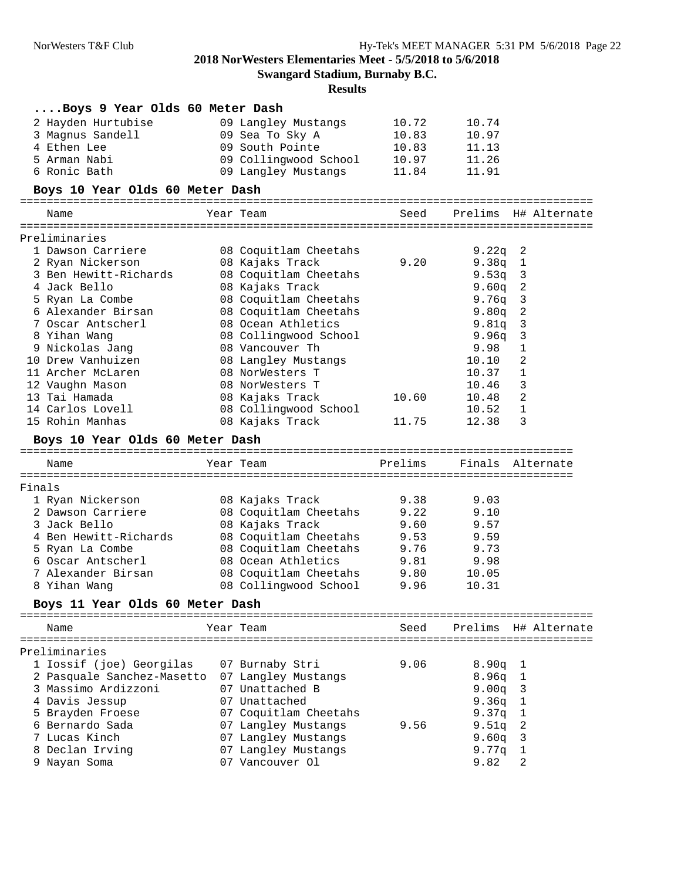**Swangard Stadium, Burnaby B.C.**

| Boys 9 Year Olds 60 Meter Dash  |                                        |         |                  |                            |
|---------------------------------|----------------------------------------|---------|------------------|----------------------------|
| 2 Hayden Hurtubise              | 09 Langley Mustangs                    | 10.72   | 10.74            |                            |
| 3 Magnus Sandell                | 09 Sea To Sky A                        | 10.83   | 10.97            |                            |
| 4 Ethen Lee                     | 09 South Pointe                        | 10.83   | 11.13            |                            |
| 5 Arman Nabi                    | 09 Collingwood School                  | 10.97   | 11.26            |                            |
| 6 Ronic Bath                    | 09 Langley Mustangs                    | 11.84   | 11.91            |                            |
| Boys 10 Year Olds 60 Meter Dash |                                        |         |                  |                            |
| Name                            | Year Team                              | Seed    |                  | Prelims H# Alternate       |
| Preliminaries                   |                                        |         |                  |                            |
| 1 Dawson Carriere               | 08 Coquitlam Cheetahs                  |         | 9.22q            | $\overline{\phantom{a}}^2$ |
| 2 Ryan Nickerson                | 08 Kajaks Track                        | 9.20    | 9.38q            | $\mathbf{1}$               |
| 3 Ben Hewitt-Richards           | 08 Coquitlam Cheetahs                  |         | 9.53q            | $\overline{\mathbf{3}}$    |
| 4 Jack Bello                    | 08 Kajaks Track                        |         | 9.60q            | $\overline{\phantom{a}}$   |
| 5 Ryan La Combe                 | 08 Coquitlam Cheetahs                  |         | 9.76q            | 3                          |
| 6 Alexander Birsan              | 08 Coquitlam Cheetahs                  |         | 9.80q            | 2                          |
| 7 Oscar Antscherl               | 08 Ocean Athletics                     |         | 9.81q            | 3                          |
| 8 Yihan Wang                    | 08 Collingwood School                  |         | 9.96q            | 3                          |
| 9 Nickolas Jang                 | 08 Vancouver Th                        |         | 9.98             | 1                          |
| 10 Drew Vanhuizen               | 08 Langley Mustangs                    |         | 10.10            | 2                          |
| 11 Archer McLaren               | 08 NorWesters T                        |         | 10.37            | 1                          |
| 12 Vaughn Mason                 | 08 NorWesters T                        |         | 10.46            | 3                          |
| 13 Tai Hamada                   | 08 Kajaks Track                        | 10.60   | 10.48            | 2                          |
| 14 Carlos Lovell                | 08 Collingwood School                  |         | 10.52            | $\mathbf{1}$               |
| 15 Rohin Manhas                 | 08 Kajaks Track                        | 11.75   | 12.38            | 3                          |
| Boys 10 Year Olds 60 Meter Dash |                                        |         |                  |                            |
| Name                            | Year Team                              | Prelims | Finals Alternate |                            |
|                                 |                                        |         |                  |                            |
| Finals                          |                                        |         |                  |                            |
| 1 Ryan Nickerson                | 08 Kajaks Track                        | 9.38    | 9.03             |                            |
| 2 Dawson Carriere               | 08 Coquitlam Cheetahs                  | 9.22    | 9.10             |                            |
| 3 Jack Bello                    | 08 Kajaks Track                        | 9.60    | 9.57             |                            |
| 4 Ben Hewitt-Richards           | 08 Coquitlam Cheetahs                  | 9.53    | 9.59             |                            |
| 5 Ryan La Combe                 | 08 Coquitlam Cheetahs                  | 9.76    | 9.73             |                            |
| 6 Oscar Antscherl               | 08 Ocean Athletics                     | 9.81    | 9.98             |                            |
| 7 Alexander Birsan              | 08 Coquitlam Cheetahs                  | 9.80    | 10.05            |                            |
| 8 Yihan Wang                    | 08 Collingwood School                  | 9.96    | 10.31            |                            |
| Boys 11 Year Olds 60 Meter Dash |                                        |         |                  |                            |
| Name                            | Year Team                              | Seed    |                  | Prelims H# Alternate       |
|                                 |                                        |         |                  |                            |
| Preliminaries                   |                                        |         |                  |                            |
| 1 Iossif (joe) Georgilas        | 07 Burnaby Stri                        | 9.06    | $8.90q$ 1        |                            |
| 2 Pasquale Sanchez-Masetto      |                                        |         |                  |                            |
| 3 Massimo Ardizzoni             | 07 Langley Mustangs<br>07 Unattached B |         | 8.96q<br>9.00q   | $\mathbf{1}$               |
|                                 | 07 Unattached                          |         |                  | 3                          |
| 4 Davis Jessup                  |                                        |         | 9.36q            | $\mathbf{1}$               |
| 5 Brayden Froese                | 07 Coquitlam Cheetahs                  |         | 9.37q            | 1                          |
| 6 Bernardo Sada                 | 07 Langley Mustangs                    | 9.56    | 9.51q            | 2                          |
| 7 Lucas Kinch                   | 07 Langley Mustangs                    |         | 9.60q            | 3                          |
| 8 Declan Irving                 | 07 Langley Mustangs                    |         |                  |                            |
| 9 Nayan Soma                    | 07 Vancouver Ol                        |         | 9.77q<br>9.82    | 1<br>2                     |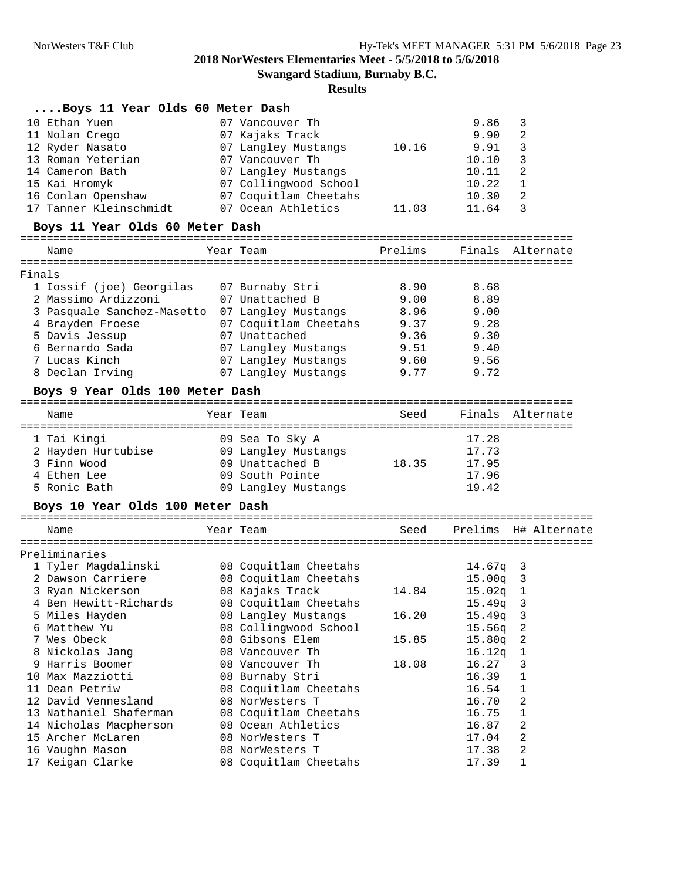**Swangard Stadium, Burnaby B.C.**

|                                             |                                                                                                                                                                                                                                                                                                                               |                                              |                                                                                                                                                                                                                                                                                                                                                                                                                                                                                              | 9.86                                                                                             | 3                                                                                |
|---------------------------------------------|-------------------------------------------------------------------------------------------------------------------------------------------------------------------------------------------------------------------------------------------------------------------------------------------------------------------------------|----------------------------------------------|----------------------------------------------------------------------------------------------------------------------------------------------------------------------------------------------------------------------------------------------------------------------------------------------------------------------------------------------------------------------------------------------------------------------------------------------------------------------------------------------|--------------------------------------------------------------------------------------------------|----------------------------------------------------------------------------------|
|                                             |                                                                                                                                                                                                                                                                                                                               |                                              |                                                                                                                                                                                                                                                                                                                                                                                                                                                                                              | 9.90                                                                                             | 2                                                                                |
|                                             |                                                                                                                                                                                                                                                                                                                               |                                              | 10.16                                                                                                                                                                                                                                                                                                                                                                                                                                                                                        | 9.91                                                                                             | 3                                                                                |
|                                             |                                                                                                                                                                                                                                                                                                                               |                                              |                                                                                                                                                                                                                                                                                                                                                                                                                                                                                              | 10.10                                                                                            | 3                                                                                |
|                                             |                                                                                                                                                                                                                                                                                                                               |                                              |                                                                                                                                                                                                                                                                                                                                                                                                                                                                                              | 10.11                                                                                            | 2                                                                                |
|                                             |                                                                                                                                                                                                                                                                                                                               |                                              |                                                                                                                                                                                                                                                                                                                                                                                                                                                                                              | 10.22                                                                                            | 1                                                                                |
|                                             |                                                                                                                                                                                                                                                                                                                               |                                              |                                                                                                                                                                                                                                                                                                                                                                                                                                                                                              | 10.30                                                                                            | 2                                                                                |
|                                             |                                                                                                                                                                                                                                                                                                                               |                                              | 11.03                                                                                                                                                                                                                                                                                                                                                                                                                                                                                        | 11.64                                                                                            | 3                                                                                |
|                                             |                                                                                                                                                                                                                                                                                                                               |                                              |                                                                                                                                                                                                                                                                                                                                                                                                                                                                                              |                                                                                                  |                                                                                  |
|                                             |                                                                                                                                                                                                                                                                                                                               |                                              |                                                                                                                                                                                                                                                                                                                                                                                                                                                                                              |                                                                                                  |                                                                                  |
|                                             |                                                                                                                                                                                                                                                                                                                               |                                              |                                                                                                                                                                                                                                                                                                                                                                                                                                                                                              |                                                                                                  |                                                                                  |
|                                             |                                                                                                                                                                                                                                                                                                                               |                                              |                                                                                                                                                                                                                                                                                                                                                                                                                                                                                              |                                                                                                  |                                                                                  |
|                                             |                                                                                                                                                                                                                                                                                                                               |                                              |                                                                                                                                                                                                                                                                                                                                                                                                                                                                                              |                                                                                                  |                                                                                  |
|                                             |                                                                                                                                                                                                                                                                                                                               |                                              |                                                                                                                                                                                                                                                                                                                                                                                                                                                                                              |                                                                                                  |                                                                                  |
|                                             |                                                                                                                                                                                                                                                                                                                               |                                              |                                                                                                                                                                                                                                                                                                                                                                                                                                                                                              |                                                                                                  |                                                                                  |
|                                             |                                                                                                                                                                                                                                                                                                                               |                                              |                                                                                                                                                                                                                                                                                                                                                                                                                                                                                              |                                                                                                  |                                                                                  |
|                                             |                                                                                                                                                                                                                                                                                                                               |                                              |                                                                                                                                                                                                                                                                                                                                                                                                                                                                                              |                                                                                                  |                                                                                  |
|                                             |                                                                                                                                                                                                                                                                                                                               |                                              |                                                                                                                                                                                                                                                                                                                                                                                                                                                                                              |                                                                                                  |                                                                                  |
|                                             |                                                                                                                                                                                                                                                                                                                               |                                              |                                                                                                                                                                                                                                                                                                                                                                                                                                                                                              |                                                                                                  |                                                                                  |
|                                             |                                                                                                                                                                                                                                                                                                                               |                                              |                                                                                                                                                                                                                                                                                                                                                                                                                                                                                              |                                                                                                  |                                                                                  |
|                                             |                                                                                                                                                                                                                                                                                                                               |                                              |                                                                                                                                                                                                                                                                                                                                                                                                                                                                                              |                                                                                                  |                                                                                  |
|                                             |                                                                                                                                                                                                                                                                                                                               |                                              |                                                                                                                                                                                                                                                                                                                                                                                                                                                                                              |                                                                                                  |                                                                                  |
| Name                                        |                                                                                                                                                                                                                                                                                                                               |                                              | Seed                                                                                                                                                                                                                                                                                                                                                                                                                                                                                         | Finals                                                                                           | Alternate                                                                        |
|                                             |                                                                                                                                                                                                                                                                                                                               |                                              |                                                                                                                                                                                                                                                                                                                                                                                                                                                                                              |                                                                                                  |                                                                                  |
|                                             |                                                                                                                                                                                                                                                                                                                               |                                              |                                                                                                                                                                                                                                                                                                                                                                                                                                                                                              |                                                                                                  |                                                                                  |
| 1 Tai Kingi                                 |                                                                                                                                                                                                                                                                                                                               | 09 Sea To Sky A                              |                                                                                                                                                                                                                                                                                                                                                                                                                                                                                              | 17.28                                                                                            |                                                                                  |
| 2 Hayden Hurtubise                          |                                                                                                                                                                                                                                                                                                                               | 09 Langley Mustangs                          |                                                                                                                                                                                                                                                                                                                                                                                                                                                                                              | 17.73                                                                                            |                                                                                  |
| 3 Finn Wood                                 |                                                                                                                                                                                                                                                                                                                               | 09 Unattached B                              | 18.35                                                                                                                                                                                                                                                                                                                                                                                                                                                                                        | 17.95                                                                                            |                                                                                  |
| 4 Ethen Lee                                 |                                                                                                                                                                                                                                                                                                                               | 09 South Pointe                              |                                                                                                                                                                                                                                                                                                                                                                                                                                                                                              | 17.96                                                                                            |                                                                                  |
| 5 Ronic Bath                                |                                                                                                                                                                                                                                                                                                                               | 09 Langley Mustangs                          |                                                                                                                                                                                                                                                                                                                                                                                                                                                                                              | 19.42                                                                                            |                                                                                  |
| Boys 10 Year Olds 100 Meter Dash            |                                                                                                                                                                                                                                                                                                                               |                                              |                                                                                                                                                                                                                                                                                                                                                                                                                                                                                              |                                                                                                  |                                                                                  |
|                                             |                                                                                                                                                                                                                                                                                                                               |                                              |                                                                                                                                                                                                                                                                                                                                                                                                                                                                                              |                                                                                                  |                                                                                  |
| Name                                        |                                                                                                                                                                                                                                                                                                                               | Year Team                                    | Seed                                                                                                                                                                                                                                                                                                                                                                                                                                                                                         |                                                                                                  |                                                                                  |
| Preliminaries                               |                                                                                                                                                                                                                                                                                                                               |                                              |                                                                                                                                                                                                                                                                                                                                                                                                                                                                                              |                                                                                                  |                                                                                  |
|                                             |                                                                                                                                                                                                                                                                                                                               |                                              |                                                                                                                                                                                                                                                                                                                                                                                                                                                                                              | $14.67q$ 3                                                                                       |                                                                                  |
| 1 Tyler Magdalinski<br>2 Dawson Carriere    |                                                                                                                                                                                                                                                                                                                               | 08 Coquitlam Cheetahs                        |                                                                                                                                                                                                                                                                                                                                                                                                                                                                                              |                                                                                                  |                                                                                  |
|                                             |                                                                                                                                                                                                                                                                                                                               | 08 Coquitlam Cheetahs                        | 14.84                                                                                                                                                                                                                                                                                                                                                                                                                                                                                        | 15.00q                                                                                           | $\overline{\mathbf{3}}$                                                          |
| 3 Ryan Nickerson<br>4 Ben Hewitt-Richards   |                                                                                                                                                                                                                                                                                                                               | 08 Kajaks Track                              |                                                                                                                                                                                                                                                                                                                                                                                                                                                                                              | $15.02q$ 1                                                                                       | 3                                                                                |
| 5 Miles Hayden                              |                                                                                                                                                                                                                                                                                                                               | 08 Coquitlam Cheetahs                        | 16.20                                                                                                                                                                                                                                                                                                                                                                                                                                                                                        | 15.49q<br>15.49q                                                                                 | 3                                                                                |
| 6 Matthew Yu                                |                                                                                                                                                                                                                                                                                                                               | 08 Langley Mustangs<br>08 Collingwood School |                                                                                                                                                                                                                                                                                                                                                                                                                                                                                              |                                                                                                  | 2                                                                                |
| 7 Wes Obeck                                 |                                                                                                                                                                                                                                                                                                                               | 08 Gibsons Elem                              | 15.85                                                                                                                                                                                                                                                                                                                                                                                                                                                                                        | 15.56q<br>15.80q                                                                                 | 2                                                                                |
|                                             |                                                                                                                                                                                                                                                                                                                               | 08 Vancouver Th                              |                                                                                                                                                                                                                                                                                                                                                                                                                                                                                              |                                                                                                  | 1                                                                                |
| 8 Nickolas Jang<br>9 Harris Boomer          |                                                                                                                                                                                                                                                                                                                               | 08 Vancouver Th                              | 18.08                                                                                                                                                                                                                                                                                                                                                                                                                                                                                        | 16.12q<br>16.27                                                                                  | 3                                                                                |
| 10 Max Mazziotti                            |                                                                                                                                                                                                                                                                                                                               |                                              |                                                                                                                                                                                                                                                                                                                                                                                                                                                                                              |                                                                                                  | 1                                                                                |
| 11 Dean Petriw                              |                                                                                                                                                                                                                                                                                                                               | 08 Burnaby Stri                              |                                                                                                                                                                                                                                                                                                                                                                                                                                                                                              | 16.39<br>16.54                                                                                   | 1                                                                                |
| 12 David Vennesland                         |                                                                                                                                                                                                                                                                                                                               | 08 Coquitlam Cheetahs<br>08 NorWesters T     |                                                                                                                                                                                                                                                                                                                                                                                                                                                                                              | 16.70                                                                                            | 2                                                                                |
| 13 Nathaniel Shaferman                      |                                                                                                                                                                                                                                                                                                                               |                                              |                                                                                                                                                                                                                                                                                                                                                                                                                                                                                              |                                                                                                  | 1                                                                                |
|                                             |                                                                                                                                                                                                                                                                                                                               | 08 Coquitlam Cheetahs<br>08 Ocean Athletics  |                                                                                                                                                                                                                                                                                                                                                                                                                                                                                              | 16.75<br>16.87                                                                                   | 2                                                                                |
| 14 Nicholas Macpherson<br>15 Archer McLaren |                                                                                                                                                                                                                                                                                                                               | 08 NorWesters T                              |                                                                                                                                                                                                                                                                                                                                                                                                                                                                                              | 17.04                                                                                            | Prelims H# Alternate<br>2                                                        |
| 16 Vaughn Mason                             |                                                                                                                                                                                                                                                                                                                               | 08 NorWesters T                              |                                                                                                                                                                                                                                                                                                                                                                                                                                                                                              | 17.38                                                                                            | 2                                                                                |
|                                             | 10 Ethan Yuen<br>11 Nolan Crego<br>12 Ryder Nasato<br>13 Roman Yeterian<br>14 Cameron Bath<br>15 Kai Hromyk<br>16 Conlan Openshaw<br>17 Tanner Kleinschmidt<br>Name<br>Finals<br>1 Iossif (joe) Georgilas<br>2 Massimo Ardizzoni<br>4 Brayden Froese<br>5 Davis Jessup<br>6 Bernardo Sada<br>7 Lucas Kinch<br>8 Declan Irving |                                              | Boys 11 Year Olds 60 Meter Dash<br>07 Vancouver Th<br>07 Kajaks Track<br>07 Langley Mustangs<br>07 Vancouver Th<br>07 Langley Mustangs<br>07 Collingwood School<br>07 Coquitlam Cheetahs<br>07 Ocean Athletics<br>Boys 11 Year Olds 60 Meter Dash<br>Year Team<br>07 Burnaby Stri<br>07 Unattached B<br>3 Pasquale Sanchez-Masetto 07 Langley Mustangs<br>07 Unattached<br>07 Langley Mustangs<br>07 Langley Mustangs<br>07 Langley Mustangs<br>Boys 9 Year Olds 100 Meter Dash<br>Year Team | Prelims<br>8.90<br>9.00<br>8.96<br>07 Coquitlam Cheetahs<br>9.37<br>9.36<br>9.51<br>9.60<br>9.77 | Finals Alternate<br>8.68<br>8.89<br>9.00<br>9.28<br>9.30<br>9.40<br>9.56<br>9.72 |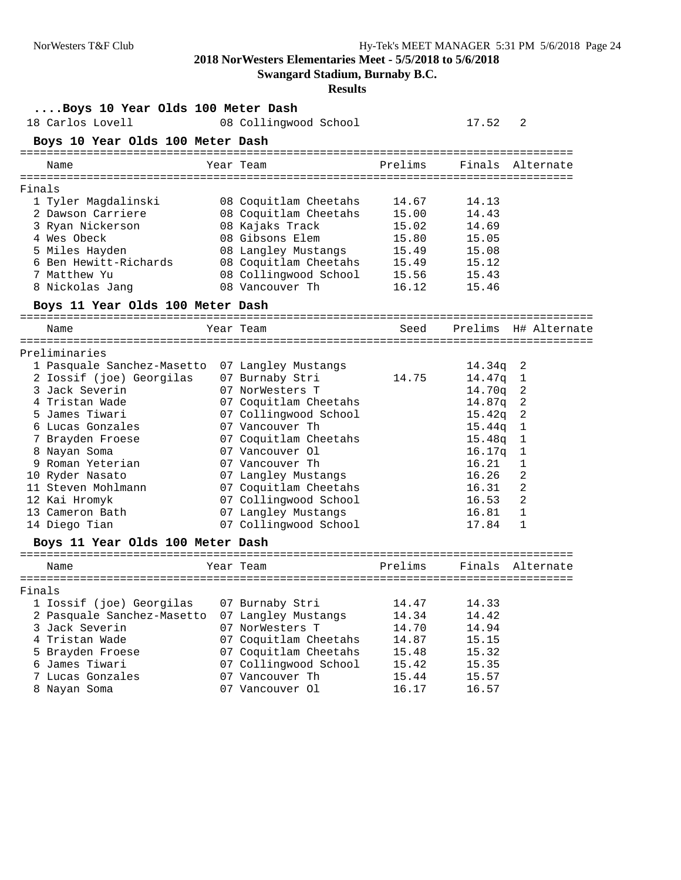**Swangard Stadium, Burnaby B.C.**

| Boys 10 Year Olds 100 Meter Dash         |                       |         |            |                      |
|------------------------------------------|-----------------------|---------|------------|----------------------|
| 18 Carlos Lovell                         | 08 Collingwood School |         | 17.52      | 2                    |
| Boys 10 Year Olds 100 Meter Dash         |                       |         |            |                      |
| Name                                     | Year Team             | Prelims |            | Finals Alternate     |
|                                          |                       |         |            |                      |
| Finals                                   |                       |         |            |                      |
| 1 Tyler Magdalinski                      | 08 Coquitlam Cheetahs | 14.67   | 14.13      |                      |
| 2 Dawson Carriere                        | 08 Coquitlam Cheetahs | 15.00   | 14.43      |                      |
| 3 Ryan Nickerson                         | 08 Kajaks Track       | 15.02   | 14.69      |                      |
| 4 Wes Obeck                              | 08 Gibsons Elem       | 15.80   | 15.05      |                      |
| 5 Miles Hayden                           | 08 Langley Mustangs   | 15.49   | 15.08      |                      |
| 6 Ben Hewitt-Richards                    | 08 Coquitlam Cheetahs | 15.49   | 15.12      |                      |
| 7 Matthew Yu                             | 08 Collingwood School | 15.56   | 15.43      |                      |
| 8 Nickolas Jang                          | 08 Vancouver Th       | 16.12   | 15.46      |                      |
| Boys 11 Year Olds 100 Meter Dash         |                       |         |            |                      |
|                                          |                       |         |            |                      |
| Name                                     | Year Team             | Seed    |            | Prelims H# Alternate |
| Preliminaries                            |                       |         |            |                      |
|                                          |                       |         |            |                      |
| 1 Pasquale Sanchez-Masetto               | 07 Langley Mustangs   |         | $14.34q$ 2 |                      |
| 2 Iossif (joe) Georgilas                 | 07 Burnaby Stri       | 14.75   | 14.47q     | $\mathbf{1}$         |
| 3 Jack Severin                           | 07 NorWesters T       |         | 14.70q     | 2                    |
| 4 Tristan Wade                           | 07 Coquitlam Cheetahs |         | 14.87q 2   |                      |
| 5 James Tiwari                           | 07 Collingwood School |         | $15.42q$ 2 |                      |
| 6 Lucas Gonzales                         | 07 Vancouver Th       |         | 15.44q     | $\mathbf{1}$         |
| 7 Brayden Froese                         | 07 Coquitlam Cheetahs |         | 15.48q     | $\mathbf{1}$         |
| 8 Nayan Soma                             | 07 Vancouver Ol       |         | 16.17q     | $\mathbf{1}$         |
| 9 Roman Yeterian                         | 07 Vancouver Th       |         | 16.21      | 1                    |
| 10 Ryder Nasato                          | 07 Langley Mustangs   |         | 16.26      | 2                    |
| 11 Steven Mohlmann                       | 07 Coquitlam Cheetahs |         | 16.31      | 2                    |
| 12 Kai Hromyk                            | 07 Collingwood School |         | 16.53      | 2                    |
| 13 Cameron Bath                          | 07 Langley Mustangs   |         | 16.81      | 1                    |
| 14 Diego Tian                            | 07 Collingwood School |         | 17.84      | 1                    |
| Boys 11 Year Olds 100 Meter Dash         |                       |         |            |                      |
| Name                                     | Year Team             | Prelims | Finals     | Alternate            |
|                                          |                       |         |            |                      |
| Finals                                   |                       |         |            |                      |
| 1 Iossif (joe) Georgilas 07 Burnaby Stri |                       | 14.47   | 14.33      |                      |
| 2 Pasquale Sanchez-Masetto               | 07 Langley Mustangs   | 14.34   | 14.42      |                      |
| 3 Jack Severin                           | 07 NorWesters T       | 14.70   | 14.94      |                      |
| 4 Tristan Wade                           | 07 Coquitlam Cheetahs | 14.87   | 15.15      |                      |
| 5 Brayden Froese                         | 07 Coquitlam Cheetahs | 15.48   | 15.32      |                      |
| 6 James Tiwari                           | 07 Collingwood School | 15.42   | 15.35      |                      |
| 7 Lucas Gonzales                         | 07 Vancouver Th       | 15.44   | 15.57      |                      |
| 8 Nayan Soma                             | 07 Vancouver Ol       | 16.17   | 16.57      |                      |
|                                          |                       |         |            |                      |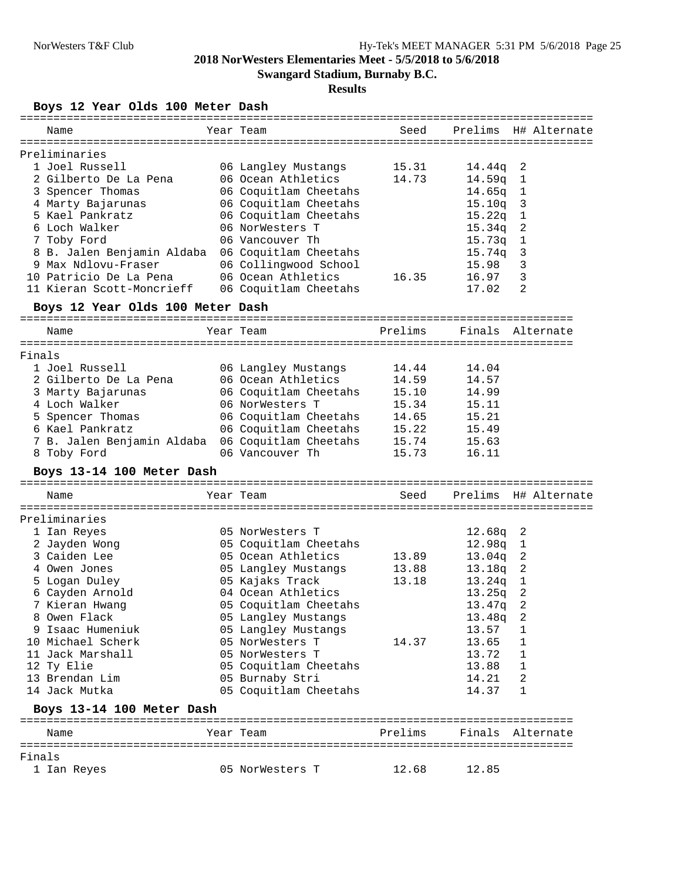**Swangard Stadium, Burnaby B.C.**

#### **Results**

**Boys 12 Year Olds 100 Meter Dash**

| Name                             | Year Team             | Seed    |            | Prelims H# Alternate       |
|----------------------------------|-----------------------|---------|------------|----------------------------|
| Preliminaries                    |                       |         |            |                            |
| 1 Joel Russell                   | 06 Langley Mustangs   | 15.31   | 14.44q 2   |                            |
| 2 Gilberto De La Pena            | 06 Ocean Athletics    | 14.73   | 14.59q     | $\mathbf{1}$               |
| 3 Spencer Thomas                 | 06 Coquitlam Cheetahs |         | 14.65q     | $\mathbf{1}$               |
| 4 Marty Bajarunas                | 06 Coquitlam Cheetahs |         | $15.10q$ 3 |                            |
| 5 Kael Pankratz                  | 06 Coquitlam Cheetahs |         | 15.22q     | $\mathbf{1}$               |
| 6 Loch Walker                    | 06 NorWesters T       |         | 15.34q     | $\overline{\phantom{a}}$   |
| 7 Toby Ford                      | 06 Vancouver Th       |         | 15.73q 1   |                            |
| 8 B. Jalen Benjamin Aldaba       | 06 Coquitlam Cheetahs |         | $15.74q$ 3 |                            |
| 9 Max Ndlovu-Fraser              | 06 Collingwood School |         | 15.98      | 3                          |
| 10 Patricio De La Pena           | 06 Ocean Athletics    | 16.35   | 16.97      | 3                          |
| 11 Kieran Scott-Moncrieff        |                       |         |            | 2                          |
|                                  | 06 Coquitlam Cheetahs |         | 17.02      |                            |
| Boys 12 Year Olds 100 Meter Dash |                       |         |            |                            |
| Name                             | Year Team             | Prelims |            | Finals Alternate           |
|                                  |                       |         |            |                            |
| Finals                           |                       |         |            |                            |
| 1 Joel Russell                   | 06 Langley Mustangs   | 14.44   | 14.04      |                            |
| 2 Gilberto De La Pena            | 06 Ocean Athletics    | 14.59   | 14.57      |                            |
| 3 Marty Bajarunas                | 06 Coquitlam Cheetahs | 15.10   | 14.99      |                            |
| 4 Loch Walker                    | 06 NorWesters T       | 15.34   | 15.11      |                            |
| 5 Spencer Thomas                 | 06 Coquitlam Cheetahs | 14.65   | 15.21      |                            |
| 6 Kael Pankratz                  | 06 Coquitlam Cheetahs | 15.22   | 15.49      |                            |
| 7 B. Jalen Benjamin Aldaba       | 06 Coquitlam Cheetahs | 15.74   | 15.63      |                            |
| 8 Toby Ford                      | 06 Vancouver Th       | 15.73   | 16.11      |                            |
| Boys 13-14 100 Meter Dash        |                       |         |            |                            |
|                                  |                       |         |            |                            |
| Name                             | Year Team             | Seed    |            | Prelims H# Alternate       |
| Preliminaries                    |                       |         |            |                            |
| 1 Ian Reyes                      | 05 NorWesters T       |         | $12.68q$ 2 |                            |
| 2 Jayden Wong                    | 05 Coquitlam Cheetahs |         | 12.98q 1   |                            |
| 3 Caiden Lee                     | 05 Ocean Athletics    | 13.89   | $13.04q$ 2 |                            |
| 4 Owen Jones                     | 05 Langley Mustangs   | 13.88   | 13.18q     | $\overline{\phantom{0}}^2$ |
| 5 Logan Duley                    | 05 Kajaks Track       | 13.18   | $13.24q$ 1 |                            |
| 6 Cayden Arnold                  | 04 Ocean Athletics    |         | 13.25q     | 2                          |
| 7 Kieran Hwang                   | 05 Coquitlam Cheetahs |         | 13.47q 2   |                            |
| 8 Owen Flack                     | 05 Langley Mustangs   |         | 13.48q     | - 2                        |
| 9 Isaac Humeniuk                 | 05 Langley Mustangs   |         | 13.57      | 1                          |
| 10 Michael Scherk                | 05 NorWesters T       | 14.37   | 13.65      | 1                          |
| 11 Jack Marshall                 | 05 NorWesters T       |         | 13.72      | 1                          |
| 12 Ty Elie                       | 05 Coquitlam Cheetahs |         | 13.88      | 1                          |
| 13 Brendan Lim                   | 05 Burnaby Stri       |         | 14.21      | 2                          |
| 14 Jack Mutka                    | 05 Coquitlam Cheetahs |         | 14.37      | 1                          |
|                                  |                       |         |            |                            |
| Boys 13-14 100 Meter Dash        |                       |         |            |                            |
| Name                             | Year Team             | Prelims |            | Finals Alternate           |
| Finals                           |                       |         |            |                            |
| 1 Ian Reyes                      | 05 NorWesters T       | 12.68   | 12.85      |                            |
|                                  |                       |         |            |                            |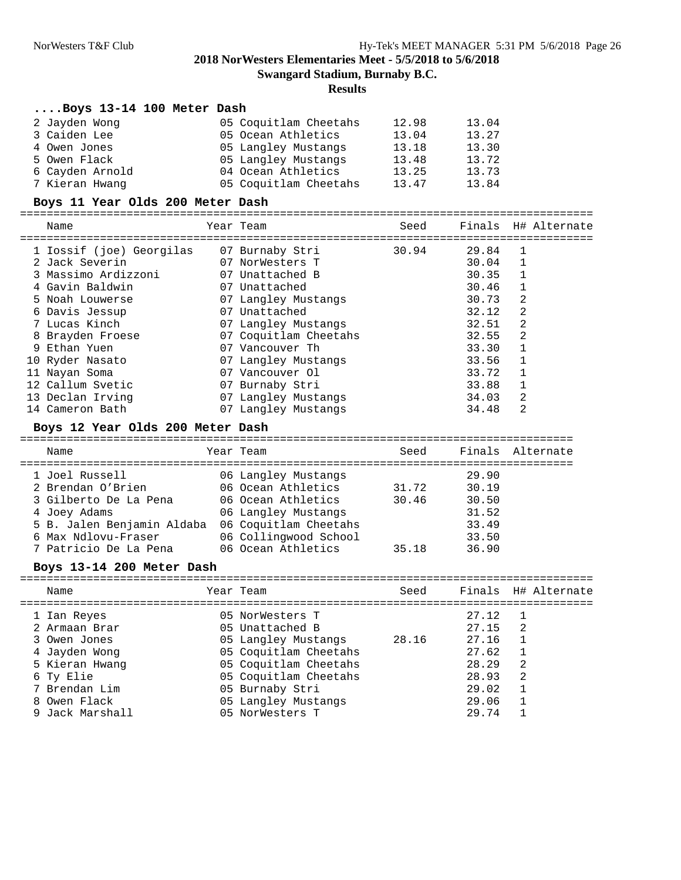**Swangard Stadium, Burnaby B.C.**

#### **Results**

#### **....Boys 13-14 100 Meter Dash**

| 2 Jayden Wong   | 05 Coquitlam Cheetahs | 12.98 | 13.04 |  |
|-----------------|-----------------------|-------|-------|--|
| 3 Caiden Lee    | 05 Ocean Athletics    | 13.04 | 13.27 |  |
| 4 Owen Jones    | 05 Langley Mustangs   | 13.18 | 13.30 |  |
| 5 Owen Flack    | 05 Langley Mustangs   | 13.48 | 13.72 |  |
| 6 Cayden Arnold | 04 Ocean Athletics    | 13.25 | 13.73 |  |
| 7 Kieran Hwang  | 05 Coquitlam Cheetahs | 13.47 | 13.84 |  |

#### **Boys 11 Year Olds 200 Meter Dash**

# ======================================================================================

| Name                     |    | Year Team<br>---------------- | Seed  |       |   | Finals H# Alternate |
|--------------------------|----|-------------------------------|-------|-------|---|---------------------|
| 1 Iossif (joe) Georgilas |    | 07 Burnaby Stri               | 30.94 | 29.84 |   |                     |
| 2 Jack Severin           |    | 07 NorWesters T               |       | 30.04 |   |                     |
| 3 Massimo Ardizzoni      |    | 07 Unattached B               |       | 30.35 |   |                     |
| 4 Gavin Baldwin          |    | 07 Unattached                 |       | 30.46 |   |                     |
| 5 Noah Louwerse          |    | 07 Langley Mustangs           |       | 30.73 | 2 |                     |
| 6 Davis Jessup           | 07 | Unattached                    |       | 32.12 | 2 |                     |
| 7 Lucas Kinch            |    | 07 Langley Mustangs           |       | 32.51 | 2 |                     |
| 8 Brayden Froese         |    | 07 Coquitlam Cheetahs         |       | 32.55 | 2 |                     |
| 9 Ethan Yuen             |    | 07 Vancouver Th               |       | 33.30 |   |                     |
| 10 Ryder Nasato          |    | 07 Langley Mustangs           |       | 33.56 |   |                     |
| 11 Nayan Soma            |    | 07 Vancouver Ol               |       | 33.72 |   |                     |
| 12 Callum Svetic         |    | 07 Burnaby Stri               |       | 33.88 |   |                     |
| 13 Declan Irving         |    | 07 Langley Mustangs           |       | 34.03 | 2 |                     |
| 14 Cameron Bath          |    | 07 Langley Mustangs           |       | 34.48 | 2 |                     |

#### **Boys 12 Year Olds 200 Meter Dash**

| Name                       | Year Team             | Seed  |       | Finals Alternate |
|----------------------------|-----------------------|-------|-------|------------------|
| 1 Joel Russell             | 06 Langley Mustangs   |       | 29.90 |                  |
| 2 Brendan O'Brien          | 06 Ocean Athletics    | 31.72 | 30.19 |                  |
| 3 Gilberto De La Pena      | 06 Ocean Athletics    | 30.46 | 30.50 |                  |
| 4 Joey Adams               | 06 Langley Mustangs   |       | 31.52 |                  |
| 5 B. Jalen Benjamin Aldaba | 06 Coquitlam Cheetahs |       | 33.49 |                  |
| 6 Max Ndlovu-Fraser        | 06 Collingwood School |       | 33.50 |                  |
| 7 Patricio De La Pena      | 06 Ocean Athletics    | 35.18 | 36.90 |                  |

#### **Boys 13-14 200 Meter Dash**

| Name            | Year Team             | Seed  |       |    | Finals H# Alternate |
|-----------------|-----------------------|-------|-------|----|---------------------|
| 1 Ian Reyes     | 05 NorWesters T       |       | 27.12 |    |                     |
| 2 Armaan Brar   | 05 Unattached B       |       | 27.15 | -2 |                     |
| 3 Owen Jones    | 05 Langley Mustangs   | 28.16 | 27.16 |    |                     |
| 4 Jayden Wong   | 05 Coquitlam Cheetahs |       | 27.62 |    |                     |
| 5 Kieran Hwang  | 05 Coquitlam Cheetahs |       | 28.29 | -2 |                     |
| 6 Ty Elie       | 05 Coquitlam Cheetahs |       | 28.93 | -2 |                     |
| 7 Brendan Lim   | 05 Burnaby Stri       |       | 29.02 |    |                     |
| 8 Owen Flack    | 05 Langley Mustangs   |       | 29.06 |    |                     |
| 9 Jack Marshall | 05 NorWesters T       |       | 29.74 |    |                     |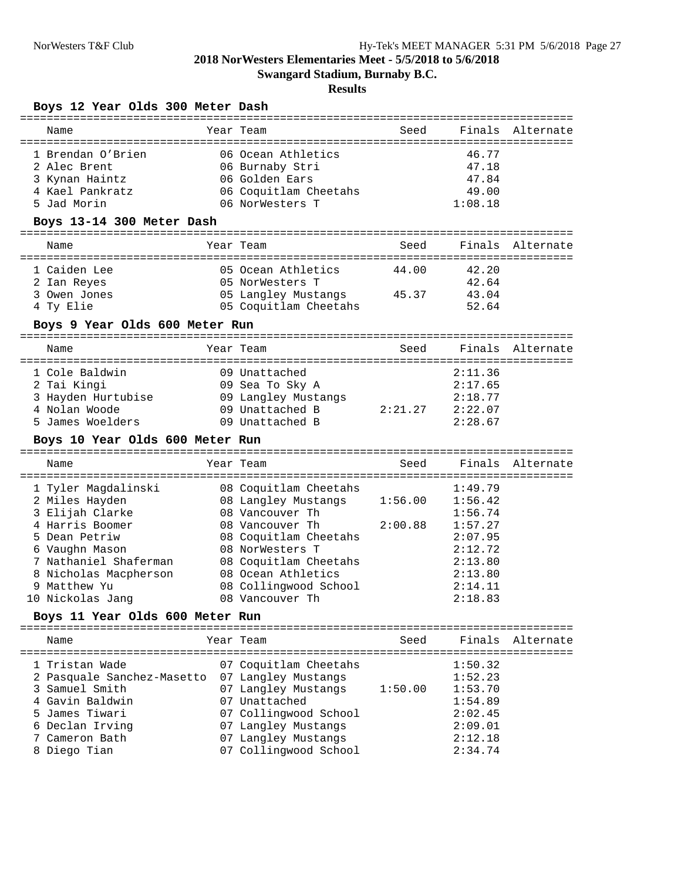**Swangard Stadium, Burnaby B.C.**

## **Results**

#### **Boys 12 Year Olds 300 Meter Dash**

| Name                                  | Year Team                                    | Seed    |                    | Finals Alternate      |
|---------------------------------------|----------------------------------------------|---------|--------------------|-----------------------|
| 1 Brendan O'Brien                     | 06 Ocean Athletics                           |         | 46.77              |                       |
| 2 Alec Brent                          | 06 Burnaby Stri                              |         | 47.18              |                       |
| 3 Kynan Haintz                        | 06 Golden Ears                               |         | 47.84              |                       |
| 4 Kael Pankratz                       | 06 Coquitlam Cheetahs                        |         | 49.00              |                       |
| 5 Jad Morin                           | 06 NorWesters T                              |         | 1:08.18            |                       |
| Boys 13-14 300 Meter Dash             |                                              |         |                    |                       |
| Name                                  | Year Team                                    | Seed    |                    | Finals Alternate      |
| 1 Caiden Lee                          | 05 Ocean Athletics                           | 44.00   | 42.20              |                       |
| 2 Ian Reyes                           | 05 NorWesters T                              |         | 42.64              |                       |
| 3 Owen Jones                          | 05 Langley Mustangs 45.37                    |         | 43.04              |                       |
| 4 Ty Elie                             | 05 Coquitlam Cheetahs                        |         | 52.64              |                       |
| Boys 9 Year Olds 600 Meter Run        |                                              |         |                    |                       |
| Name                                  | Year Team                                    | Seed    |                    | Finals Alternate      |
|                                       |                                              |         |                    |                       |
| 1 Cole Baldwin                        | 09 Unattached                                |         | 2:11.36            |                       |
| 2 Tai Kingi                           | 09 Sea To Sky A                              |         | 2:17.65            |                       |
| 3 Hayden Hurtubise                    | 09 Langley Mustangs                          |         | 2:18.77            |                       |
| 4 Nolan Woode                         | 09 Unattached B                              | 2:21.27 | 2:22.07            |                       |
| 5 James Woelders                      | 09 Unattached B                              |         | 2:28.67            |                       |
|                                       |                                              |         |                    |                       |
| Boys 10 Year Olds 600 Meter Run       |                                              |         |                    |                       |
| Name                                  | Year Team                                    |         |                    |                       |
|                                       |                                              |         |                    |                       |
| 1 Tyler Magdalinski                   | 08 Coquitlam Cheetahs                        |         | 1:49.79            |                       |
| 2 Miles Hayden                        | 08 Langley Mustangs                          | 1:56.00 | 1:56.42            |                       |
| 3 Elijah Clarke                       | 08 Vancouver Th                              |         | 1:56.74            | Seed Finals Alternate |
| 4 Harris Boomer                       | 08 Vancouver Th                              | 2:00.88 | 1:57.27            |                       |
| 5 Dean Petriw                         | 08 Coquitlam Cheetahs<br>08 NorWesters T     |         | 2:07.95            |                       |
| 6 Vaughn Mason                        |                                              |         | 2:12.72            |                       |
| 7 Nathaniel Shaferman                 | 08 Coquitlam Cheetahs                        |         | 2:13.80            |                       |
| 8 Nicholas Macpherson<br>9 Matthew Yu | 08 Ocean Athletics                           |         | 2:13.80<br>2:14.11 |                       |
| 10 Nickolas Jang                      | 08 Collingwood School<br>08 Vancouver Th     |         | 2:18.83            |                       |
| Boys 11 Year Olds 600 Meter Run       |                                              |         |                    |                       |
| Name                                  | Year Team                                    | Seed    | Finals             |                       |
|                                       |                                              |         |                    |                       |
| 1 Tristan Wade                        | 07 Coquitlam Cheetahs                        |         | 1:50.32            |                       |
| 2 Pasquale Sanchez-Masetto            | 07 Langley Mustangs                          |         | 1:52.23            | Alternate             |
| 3 Samuel Smith                        | 07 Langley Mustangs                          | 1:50.00 | 1:53.70            |                       |
| 4 Gavin Baldwin                       | 07 Unattached                                |         | 1:54.89            |                       |
| 5 James Tiwari                        | 07 Collingwood School                        |         | 2:02.45            |                       |
| 6 Declan Irving                       | 07 Langley Mustangs                          |         | 2:09.01            |                       |
| 7 Cameron Bath<br>8 Diego Tian        | 07 Langley Mustangs<br>07 Collingwood School |         | 2:12.18<br>2:34.74 |                       |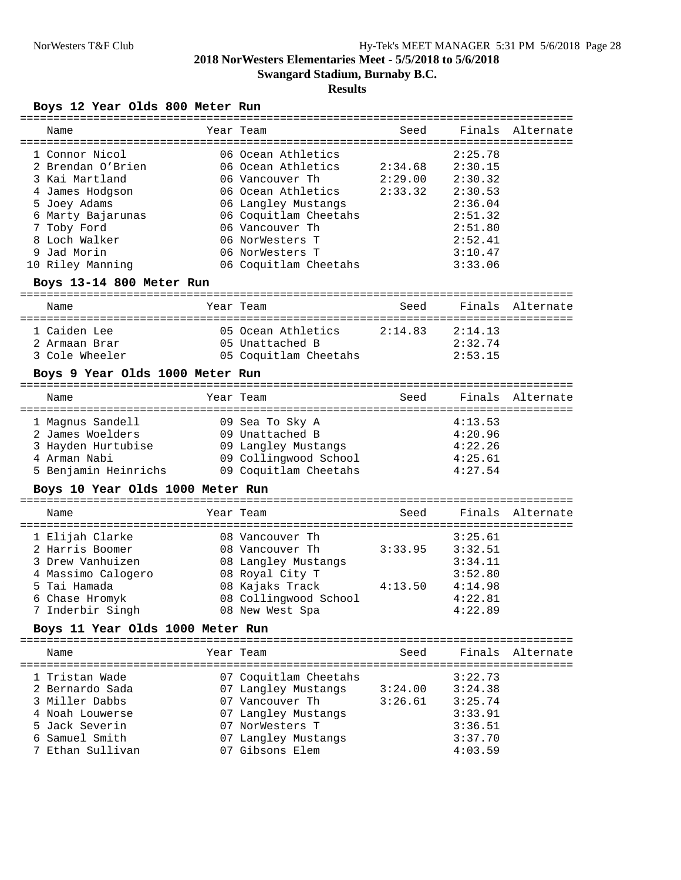**Swangard Stadium, Burnaby B.C.**

## **Results**

#### **Boys 12 Year Olds 800 Meter Run**

| Name              | Year Team             | Seed    |         | Finals Alternate |
|-------------------|-----------------------|---------|---------|------------------|
| 1 Connor Nicol    | 06 Ocean Athletics    |         | 2:25.78 |                  |
| 2 Brendan O'Brien | 06 Ocean Athletics    | 2:34.68 | 2:30.15 |                  |
| 3 Kai Martland    | 06 Vancouver Th       | 2:29.00 | 2:30.32 |                  |
| 4 James Hodgson   | 06 Ocean Athletics    | 2:33.32 | 2:30.53 |                  |
| 5 Joey Adams      | 06 Langley Mustangs   |         | 2:36.04 |                  |
| 6 Marty Bajarunas | 06 Coquitlam Cheetahs |         | 2:51.32 |                  |
| 7 Toby Ford       | 06 Vancouver Th       |         | 2:51.80 |                  |
| 8 Loch Walker     | 06 NorWesters T       |         | 2:52.41 |                  |
| 9 Jad Morin       | 06 NorWesters T       |         | 3:10.47 |                  |
| 10 Riley Manning  | 06 Coquitlam Cheetahs |         | 3:33.06 |                  |

### **Boys 13-14 800 Meter Run**

| Name                                            | Year Team                                                      | Seed    |                               | Finals Alternate |
|-------------------------------------------------|----------------------------------------------------------------|---------|-------------------------------|------------------|
| 1 Caiden Lee<br>2 Armaan Brar<br>3 Cole Wheeler | 05 Ocean Athletics<br>05 Unattached B<br>05 Coquitlam Cheetahs | 2:14.83 | 2:14.13<br>2:32.74<br>2:53.15 |                  |

#### **Boys 9 Year Olds 1000 Meter Run**

| Name                 | Year Team             | Seed |         | Finals Alternate |
|----------------------|-----------------------|------|---------|------------------|
| 1 Magnus Sandell     | 09 Sea To Sky A       |      | 4:13.53 |                  |
| 2 James Woelders     | 09 Unattached B       |      | 4:20.96 |                  |
| 3 Hayden Hurtubise   | 09 Langley Mustangs   |      | 4:22.26 |                  |
| 4 Arman Nabi         | 09 Collingwood School |      | 4:25.61 |                  |
| 5 Benjamin Heinrichs | 09 Coquitlam Cheetahs |      | 4:27.54 |                  |

#### **Boys 10 Year Olds 1000 Meter Run**

| Name               | Year Team             | Seed    |         | Finals Alternate |
|--------------------|-----------------------|---------|---------|------------------|
| 1 Elijah Clarke    | 08 Vancouver Th       |         | 3:25.61 |                  |
| 2 Harris Boomer    | 08 Vancouver Th       | 3:33.95 | 3:32.51 |                  |
| 3 Drew Vanhuizen   | 08 Langley Mustangs   |         | 3:34.11 |                  |
| 4 Massimo Calogero | 08 Royal City T       |         | 3:52.80 |                  |
| 5 Tai Hamada       | 08 Kajaks Track       | 4:13.50 | 4:14.98 |                  |
| 6 Chase Hromyk     | 08 Collingwood School |         | 4:22.81 |                  |
| 7 Inderbir Singh   | 08 New West Spa       |         | 4:22.89 |                  |

#### **Boys 11 Year Olds 1000 Meter Run**

| Name             | Year Team             | Seed    |         | Finals Alternate |
|------------------|-----------------------|---------|---------|------------------|
| 1 Tristan Wade   | 07 Coquitlam Cheetahs |         | 3:22.73 |                  |
| 2 Bernardo Sada  | 07 Langley Mustangs   | 3:24.00 | 3:24.38 |                  |
| 3 Miller Dabbs   | 07 Vancouver Th       | 3:26.61 | 3:25.74 |                  |
| 4 Noah Louwerse  | 07 Langley Mustangs   |         | 3:33.91 |                  |
| 5 Jack Severin   | 07 NorWesters T       |         | 3:36.51 |                  |
| 6 Samuel Smith   | 07 Langley Mustangs   |         | 3:37.70 |                  |
| 7 Ethan Sullivan | 07 Gibsons Elem       |         | 4:03.59 |                  |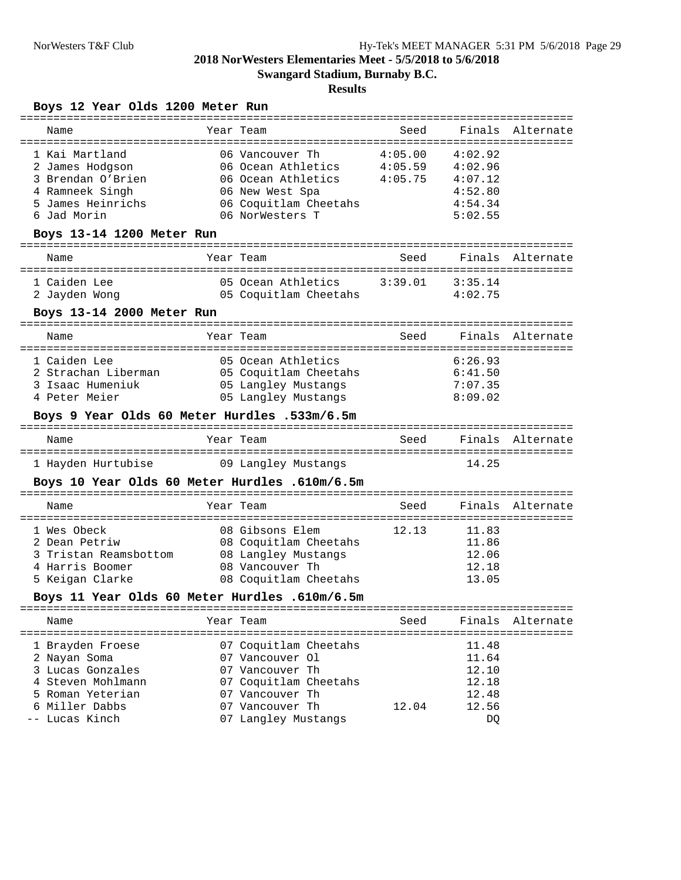**Swangard Stadium, Burnaby B.C.**

# **Results**

## **Boys 12 Year Olds 1200 Meter Run**

|                           | =============                                 |         |         |                  |
|---------------------------|-----------------------------------------------|---------|---------|------------------|
| Name                      | Year Team                                     | Seed    | Finals  | Alternate        |
|                           |                                               |         |         |                  |
| 1 Kai Martland            | 06 Vancouver Th                               | 4:05.00 | 4:02.92 |                  |
| 2 James Hodgson           | 06 Ocean Athletics 4:05.59                    |         | 4:02.96 |                  |
| 3 Brendan O'Brien         | 06 Ocean Athletics 4:05.75                    |         | 4:07.12 |                  |
| 4 Ramneek Singh           | 06 New West Spa                               |         | 4:52.80 |                  |
| 5 James Heinrichs         | 06 Coquitlam Cheetahs                         |         | 4:54.34 |                  |
| 6 Jad Morin               | 06 NorWesters T                               |         | 5:02.55 |                  |
| Boys 13-14 1200 Meter Run |                                               |         |         |                  |
| Name                      | Year Team                                     | Seed    | Finals  | Alternate        |
| 1 Caiden Lee              | 05 Ocean Athletics 3:39.01                    |         | 3:35.14 |                  |
| 2 Jayden Wong             | 05 Coquitlam Cheetahs                         |         | 4:02.75 |                  |
| Boys 13-14 2000 Meter Run |                                               |         |         |                  |
|                           |                                               |         |         |                  |
| Name                      | Year Team                                     | Seed    |         | Finals Alternate |
| 1 Caiden Lee              | 05 Ocean Athletics                            |         | 6:26.93 |                  |
| 2 Strachan Liberman       | 05 Coquitlam Cheetahs                         |         | 6:41.50 |                  |
|                           |                                               |         |         |                  |
| 3 Isaac Humeniuk          | 05 Langley Mustangs                           |         | 7:07.35 |                  |
| 4 Peter Meier             | 05 Langley Mustangs                           |         | 8:09.02 |                  |
|                           | Boys 9 Year Olds 60 Meter Hurdles .533m/6.5m  |         |         |                  |
| Name                      | Year Team                                     | Seed    |         | Finals Alternate |
|                           |                                               |         |         |                  |
| 1 Hayden Hurtubise        | 09 Langley Mustangs                           |         | 14.25   |                  |
|                           | Boys 10 Year Olds 60 Meter Hurdles .610m/6.5m |         |         |                  |
| Name                      | Year Team                                     | Seed    |         | Finals Alternate |
|                           |                                               |         |         |                  |
| 1 Wes Obeck               | 08 Gibsons Elem                               | 12.13   | 11.83   |                  |
| 2 Dean Petriw             | 08 Coquitlam Cheetahs                         |         | 11.86   |                  |
| 3 Tristan Reamsbottom     | 08 Langley Mustangs                           |         | 12.06   |                  |
| 4 Harris Boomer           | 08 Vancouver Th                               |         | 12.18   |                  |
| 5 Keigan Clarke           | 08 Coquitlam Cheetahs                         |         | 13.05   |                  |
|                           | Boys 11 Year Olds 60 Meter Hurdles .610m/6.5m |         |         |                  |
| Name                      | Year Team                                     | Seed    | Finals  | Alternate        |
|                           |                                               |         |         | ================ |
| 1 Brayden Froese          | 07 Coquitlam Cheetahs                         |         | 11.48   |                  |
| 2 Nayan Soma              | 07 Vancouver Ol                               |         | 11.64   |                  |
| 3 Lucas Gonzales          | 07 Vancouver Th                               |         | 12.10   |                  |
| 4 Steven Mohlmann         | 07 Coquitlam Cheetahs                         |         | 12.18   |                  |
| 5 Roman Yeterian          | 07 Vancouver Th                               |         | 12.48   |                  |
| 6 Miller Dabbs            | 07 Vancouver Th                               | 12.04   | 12.56   |                  |
|                           |                                               |         |         |                  |
| -- Lucas Kinch            | 07 Langley Mustangs                           |         | DQ      |                  |
|                           |                                               |         |         |                  |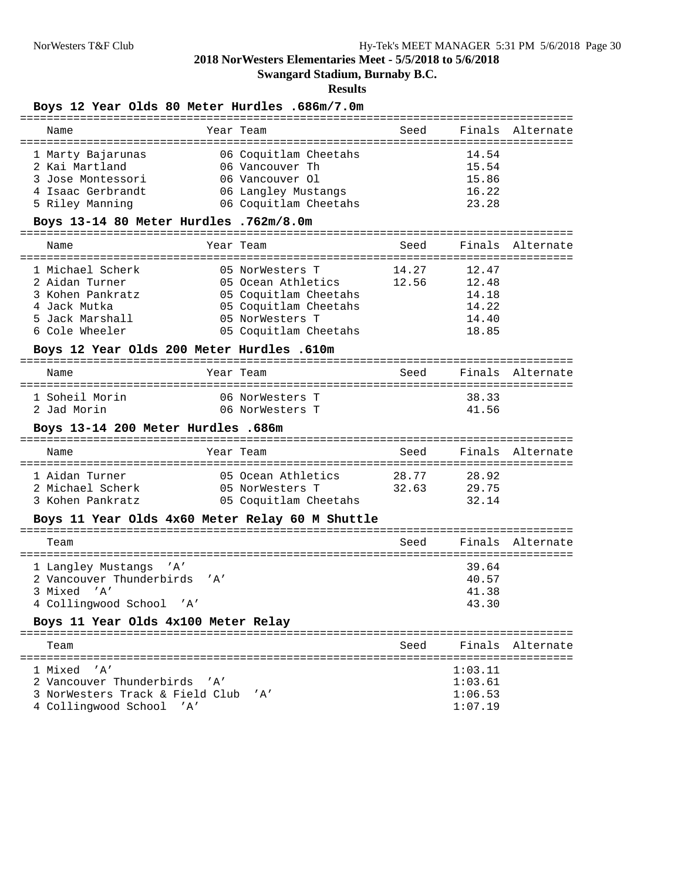**Swangard Stadium, Burnaby B.C.**

#### **Results**

### **Boys 12 Year Olds 80 Meter Hurdles .686m/7.0m**

|      | 14.54                                                                                                                                                                                                                                                                                                                                                                                                                                                                                                                                                                                    |                                                                                                                                                                                                                                                                                                                                                                                                   |
|------|------------------------------------------------------------------------------------------------------------------------------------------------------------------------------------------------------------------------------------------------------------------------------------------------------------------------------------------------------------------------------------------------------------------------------------------------------------------------------------------------------------------------------------------------------------------------------------------|---------------------------------------------------------------------------------------------------------------------------------------------------------------------------------------------------------------------------------------------------------------------------------------------------------------------------------------------------------------------------------------------------|
|      | 15.54                                                                                                                                                                                                                                                                                                                                                                                                                                                                                                                                                                                    |                                                                                                                                                                                                                                                                                                                                                                                                   |
|      | 15.86                                                                                                                                                                                                                                                                                                                                                                                                                                                                                                                                                                                    |                                                                                                                                                                                                                                                                                                                                                                                                   |
|      | 16.22                                                                                                                                                                                                                                                                                                                                                                                                                                                                                                                                                                                    |                                                                                                                                                                                                                                                                                                                                                                                                   |
|      | 23.28                                                                                                                                                                                                                                                                                                                                                                                                                                                                                                                                                                                    |                                                                                                                                                                                                                                                                                                                                                                                                   |
|      |                                                                                                                                                                                                                                                                                                                                                                                                                                                                                                                                                                                          |                                                                                                                                                                                                                                                                                                                                                                                                   |
|      |                                                                                                                                                                                                                                                                                                                                                                                                                                                                                                                                                                                          | Finals Alternate                                                                                                                                                                                                                                                                                                                                                                                  |
|      |                                                                                                                                                                                                                                                                                                                                                                                                                                                                                                                                                                                          |                                                                                                                                                                                                                                                                                                                                                                                                   |
|      |                                                                                                                                                                                                                                                                                                                                                                                                                                                                                                                                                                                          |                                                                                                                                                                                                                                                                                                                                                                                                   |
|      | 14.18                                                                                                                                                                                                                                                                                                                                                                                                                                                                                                                                                                                    |                                                                                                                                                                                                                                                                                                                                                                                                   |
|      | 14.22                                                                                                                                                                                                                                                                                                                                                                                                                                                                                                                                                                                    |                                                                                                                                                                                                                                                                                                                                                                                                   |
|      | 14.40                                                                                                                                                                                                                                                                                                                                                                                                                                                                                                                                                                                    |                                                                                                                                                                                                                                                                                                                                                                                                   |
|      | 18.85                                                                                                                                                                                                                                                                                                                                                                                                                                                                                                                                                                                    |                                                                                                                                                                                                                                                                                                                                                                                                   |
|      |                                                                                                                                                                                                                                                                                                                                                                                                                                                                                                                                                                                          |                                                                                                                                                                                                                                                                                                                                                                                                   |
|      |                                                                                                                                                                                                                                                                                                                                                                                                                                                                                                                                                                                          |                                                                                                                                                                                                                                                                                                                                                                                                   |
|      |                                                                                                                                                                                                                                                                                                                                                                                                                                                                                                                                                                                          |                                                                                                                                                                                                                                                                                                                                                                                                   |
|      |                                                                                                                                                                                                                                                                                                                                                                                                                                                                                                                                                                                          |                                                                                                                                                                                                                                                                                                                                                                                                   |
|      |                                                                                                                                                                                                                                                                                                                                                                                                                                                                                                                                                                                          |                                                                                                                                                                                                                                                                                                                                                                                                   |
|      |                                                                                                                                                                                                                                                                                                                                                                                                                                                                                                                                                                                          |                                                                                                                                                                                                                                                                                                                                                                                                   |
|      |                                                                                                                                                                                                                                                                                                                                                                                                                                                                                                                                                                                          |                                                                                                                                                                                                                                                                                                                                                                                                   |
|      |                                                                                                                                                                                                                                                                                                                                                                                                                                                                                                                                                                                          |                                                                                                                                                                                                                                                                                                                                                                                                   |
|      |                                                                                                                                                                                                                                                                                                                                                                                                                                                                                                                                                                                          |                                                                                                                                                                                                                                                                                                                                                                                                   |
|      |                                                                                                                                                                                                                                                                                                                                                                                                                                                                                                                                                                                          |                                                                                                                                                                                                                                                                                                                                                                                                   |
|      |                                                                                                                                                                                                                                                                                                                                                                                                                                                                                                                                                                                          |                                                                                                                                                                                                                                                                                                                                                                                                   |
|      |                                                                                                                                                                                                                                                                                                                                                                                                                                                                                                                                                                                          |                                                                                                                                                                                                                                                                                                                                                                                                   |
|      |                                                                                                                                                                                                                                                                                                                                                                                                                                                                                                                                                                                          |                                                                                                                                                                                                                                                                                                                                                                                                   |
|      |                                                                                                                                                                                                                                                                                                                                                                                                                                                                                                                                                                                          |                                                                                                                                                                                                                                                                                                                                                                                                   |
|      |                                                                                                                                                                                                                                                                                                                                                                                                                                                                                                                                                                                          |                                                                                                                                                                                                                                                                                                                                                                                                   |
|      | 43.30                                                                                                                                                                                                                                                                                                                                                                                                                                                                                                                                                                                    |                                                                                                                                                                                                                                                                                                                                                                                                   |
|      |                                                                                                                                                                                                                                                                                                                                                                                                                                                                                                                                                                                          |                                                                                                                                                                                                                                                                                                                                                                                                   |
|      |                                                                                                                                                                                                                                                                                                                                                                                                                                                                                                                                                                                          |                                                                                                                                                                                                                                                                                                                                                                                                   |
|      |                                                                                                                                                                                                                                                                                                                                                                                                                                                                                                                                                                                          | Finals Alternate                                                                                                                                                                                                                                                                                                                                                                                  |
|      | 1:03.11                                                                                                                                                                                                                                                                                                                                                                                                                                                                                                                                                                                  |                                                                                                                                                                                                                                                                                                                                                                                                   |
|      | 1:03.61                                                                                                                                                                                                                                                                                                                                                                                                                                                                                                                                                                                  |                                                                                                                                                                                                                                                                                                                                                                                                   |
|      |                                                                                                                                                                                                                                                                                                                                                                                                                                                                                                                                                                                          |                                                                                                                                                                                                                                                                                                                                                                                                   |
| ' A' | 1:06.53                                                                                                                                                                                                                                                                                                                                                                                                                                                                                                                                                                                  |                                                                                                                                                                                                                                                                                                                                                                                                   |
|      | Year Team<br>1 Marty Bajarunas 66 Coquitlam Cheetahs<br>06 Vancouver Th<br>06 Vancouver Ol<br>06 Langley Mustangs<br>06 Coquitlam Cheetahs<br>Boys 13-14 80 Meter Hurdles .762m/8.0m<br>Year Team<br>05 NorWesters T<br>05 Coquitlam Cheetahs<br>05 Coquitlam Cheetahs<br>05 Coquitlam Cheetahs<br>05 NorWesters T<br>05 Coquitlam Cheetahs<br>Boys 12 Year Olds 200 Meter Hurdles .610m<br>Year Team<br>06 NorWesters T<br>06 NorWesters T<br>Boys 13-14 200 Meter Hurdles .686m<br>Year Team<br>Boys 11 Year Olds 4x60 Meter Relay 60 M Shuttle<br>Boys 11 Year Olds 4x100 Meter Relay | Seed Finals Alternate<br>Seed<br>14.27 12.47<br>05 NorWesters T<br>05 Ocean Athletics 12.56 12.48<br>14.19<br>Seed Finals Alternate<br>38.33<br>41.56<br>Seed Finals Alternate<br>1 Aidan Turner 1 05 Ocean Athletics 28.77 28.92<br>2 Michael Scherk 1 05 NorWesters T 32.63 29.75<br>3 Kohen Pankratz 1 05 Coquitlam Cheetahs 32.14<br>Seed Finals Alternate<br>39.64<br>40.57<br>41.38<br>Seed |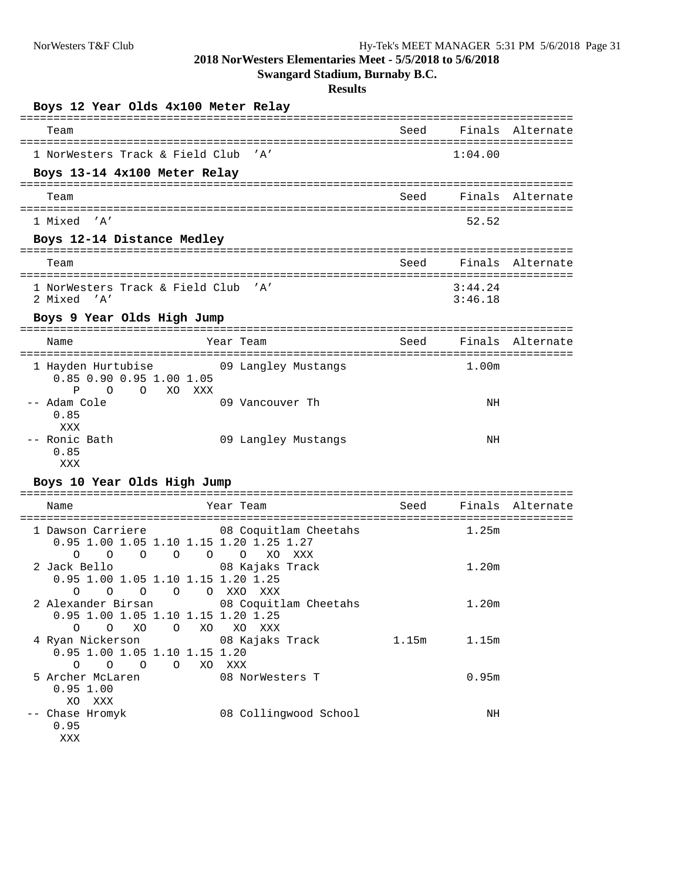**Swangard Stadium, Burnaby B.C.**

| Boys 12 Year Olds 4x100 Meter Relay                                                                            |                                                       |                                    |                    |                  |
|----------------------------------------------------------------------------------------------------------------|-------------------------------------------------------|------------------------------------|--------------------|------------------|
| Team                                                                                                           |                                                       | Seed                               | Finals             | Alternate        |
| ========================<br>1 NorWesters Track & Field Club                                                    | ===================<br>' A'                           | ================================== | 1:04.00            |                  |
| Boys 13-14 4x100 Meter Relay                                                                                   |                                                       |                                    |                    |                  |
| Team                                                                                                           |                                                       | Seed                               |                    | Finals Alternate |
| --------------------<br>1 Mixed 'A'                                                                            | ============================                          | ===============================    | 52.52              |                  |
| Boys 12-14 Distance Medley                                                                                     |                                                       |                                    |                    |                  |
| Team                                                                                                           |                                                       | Seed                               |                    | Finals Alternate |
| ----------------------<br>1 NorWesters Track & Field Club 'A'<br>2 Mixed 'A'                                   | ========================                              | ===============================    | 3:44.24<br>3:46.18 |                  |
| Boys 9 Year Olds High Jump                                                                                     |                                                       |                                    |                    |                  |
| Name                                                                                                           | ================<br>Year Team                         | Seed                               |                    | Finals Alternate |
| 1 Hayden Hurtubise 69 Langley Mustangs<br>$0.85$ $0.90$ $0.95$ 1.00 1.05<br>Ρ<br>$\Omega$<br>XO XXX<br>$\circ$ |                                                       |                                    | 1.00m              |                  |
| -- Adam Cole<br>0.85<br>XXX                                                                                    | 09 Vancouver Th                                       |                                    | ΝH                 |                  |
| -- Ronic Bath<br>0.85<br>XXX                                                                                   | 09 Langley Mustangs                                   |                                    | ΝH                 |                  |
| Boys 10 Year Olds High Jump                                                                                    |                                                       |                                    |                    |                  |
| Name                                                                                                           | Year Team                                             | Seed                               |                    | Finals Alternate |
| 1 Dawson Carriere<br>0.95 1.00 1.05 1.10 1.15 1.20 1.25 1.27<br>$\circ$<br>O<br>$\circ$<br>$\circ$             | 08 Coquitlam Cheetahs<br>$\circ$<br>XO XXX<br>$\circ$ |                                    | 1.25m              |                  |
| 2 Jack Bello<br>0.95 1.00 1.05 1.10 1.15 1.20 1.25<br>0<br>O<br>$\circ$                                        | 08 Kajaks Track<br>O OXXOXXX                          |                                    | 1.20m              |                  |
| 2 Alexander Birsan<br>0.95 1.00 1.05 1.10 1.15 1.20 1.25<br>$\circ$<br>$O$ XO<br>$\circ$                       | 08 Coquitlam Cheetahs<br>XO XXX<br>XO                 |                                    | 1.20m              |                  |
| 4 Ryan Nickerson<br>0.95 1.00 1.05 1.10 1.15 1.20<br>$\circ$<br>$O$ $O$<br>$\circ$                             | 08 Kajaks Track<br>XO XXX                             | 1.15m                              | 1.15m              |                  |
| 5 Archer McLaren<br>0.951.00<br>XO XXX                                                                         | 08 NorWesters T                                       |                                    | 0.95 <sub>m</sub>  |                  |
| -- Chase Hromyk<br>0.95<br>XXX                                                                                 | 08 Collingwood School                                 |                                    | NH                 |                  |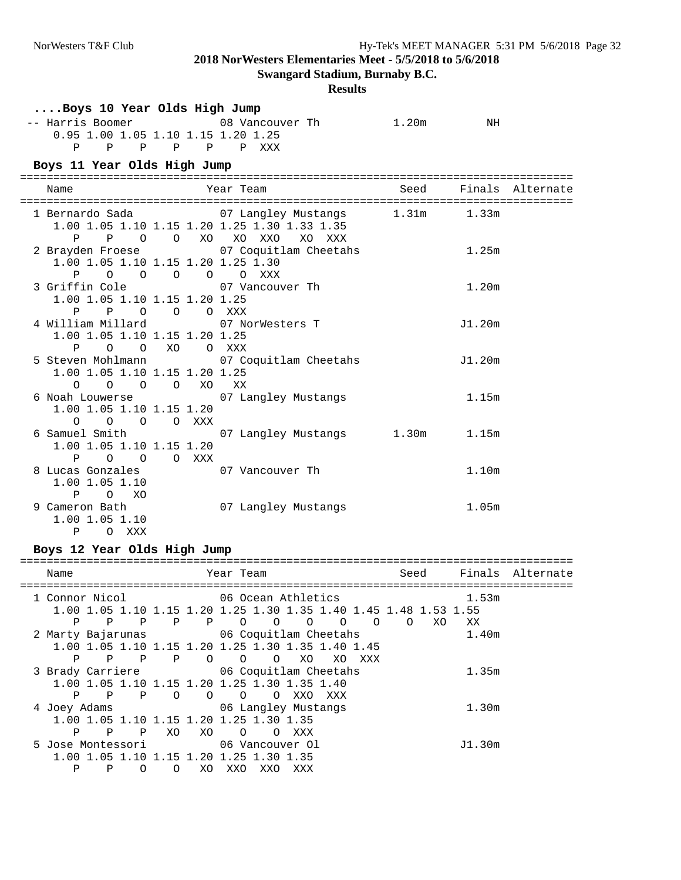**Swangard Stadium, Burnaby B.C.**

#### **Results**

| Boys 10 Year Olds High Jump                                                                                                              |                           |      |                   |                  |
|------------------------------------------------------------------------------------------------------------------------------------------|---------------------------|------|-------------------|------------------|
| 0.95 1.00 1.05 1.10 1.15 1.20 1.25<br>P<br>P P P P P XXX                                                                                 |                           |      | NH                |                  |
| Boys 11 Year Olds High Jump                                                                                                              |                           |      |                   |                  |
| Name                                                                                                                                     | Year Team                 | Seed |                   | Finals Alternate |
| 1 Bernardo Sada 67 Langley Mustangs 1.31m 1.33m<br>1.00 1.05 1.10 1.15 1.20 1.25 1.30 1.33 1.35<br>P P O O XO XO XXO XO XXX              |                           |      |                   |                  |
| 2 Brayden Froese 67 Coquitlam Cheetahs<br>1.00 1.05 1.10 1.15 1.20 1.25 1.30<br>$\begin{matrix} 0 & 0 & 0 \end{matrix}$<br>P<br>$\Omega$ | O XXX                     |      | 1.25m             |                  |
| 3 Griffin Cole 67 Vancouver Th<br>1.00 1.05 1.10 1.15 1.20 1.25<br>P P O O O XXX                                                         |                           |      | 1.20 <sub>m</sub> |                  |
| 4 William Millard 07 NorWesters T<br>1.00 1.05 1.10 1.15 1.20 1.25<br>P O O XO O XXX                                                     |                           |      | J1.20m            |                  |
| 5 Steven Mohlmann 67 Coquitlam Cheetahs<br>1.00 1.05 1.10 1.15 1.20 1.25<br>$\begin{matrix} 0 & 0 & 0 & X0 \end{matrix}$<br>$\circ$      | XX                        |      | J1.20m            |                  |
| 6 Noah Louwerse<br>1.00 1.05 1.10 1.15 1.20<br>$O$ $O$ $O$ $O$ $XXX$                                                                     | 07 Langley Mustangs       |      | 1.15m             |                  |
| 6 Samuel Smith<br>1.00 1.05 1.10 1.15 1.20<br>P O O O XXX                                                                                | 07 Langley Mustangs 1.30m |      | 1.15m             |                  |
| 8 Lucas Gonzales<br>$1.00$ 1.05 1.10<br>P<br>O XO                                                                                        | 07 Vancouver Th           |      | 1.10m             |                  |
| 9 Cameron Bath<br>1.00 1.05 1.10<br>P O XXX                                                                                              | 07 Langley Mustangs       |      | 1.05m             |                  |

## **Boys 12 Year Olds High Jump**

| Name                                     |   |              |          |              | Year Team                                                        |          |                     |                |          | Seed     |     | Finals | Alternate |
|------------------------------------------|---|--------------|----------|--------------|------------------------------------------------------------------|----------|---------------------|----------------|----------|----------|-----|--------|-----------|
| 1 Connor Nicol                           |   |              |          |              | 06 Ocean Athletics                                               |          |                     |                |          |          |     | 1.53m  |           |
|                                          |   |              |          |              | 1.00 1.05 1.10 1.15 1.20 1.25 1.30 1.35 1.40 1.45 1.48 1.53 1.55 |          |                     |                |          |          |     |        |           |
| Ρ                                        | Ρ | P            | P        | $\mathbb{P}$ | $\circ$                                                          | $\circ$  | $\circ$             | $\overline{O}$ | $\Omega$ | $\Omega$ | XO. | XX     |           |
| 2 Marty Bajarunas                        |   |              |          |              | 06 Coquitlam Cheetahs                                            |          |                     |                |          |          |     | 1.40m  |           |
|                                          |   |              |          |              | 1.00 1.05 1.10 1.15 1.20 1.25 1.30 1.35 1.40 1.45                |          |                     |                |          |          |     |        |           |
| Ρ                                        | Ρ | $\mathbb{P}$ | Ρ        | $\Omega$     | $\circ$                                                          | $\circ$  | XO                  | XO.            | XXX      |          |     |        |           |
| 3 Brady Carriere 6 06 Coquitlam Cheetahs |   |              |          |              |                                                                  |          |                     |                |          |          |     | 1.35m  |           |
|                                          |   |              |          |              | 1.00 1.05 1.10 1.15 1.20 1.25 1.30 1.35 1.40                     |          |                     |                |          |          |     |        |           |
| P                                        | P | P            | $\Omega$ | $\Omega$     | $\circ$                                                          | $\Omega$ | XXO                 | XXX            |          |          |     |        |           |
| 4 Joey Adams                             |   |              |          |              |                                                                  |          | 06 Langley Mustangs |                |          |          |     | 1.30m  |           |
|                                          |   |              |          |              | 1.00 1.05 1.10 1.15 1.20 1.25 1.30 1.35                          |          |                     |                |          |          |     |        |           |
| P                                        | P | $\mathsf{P}$ | XO.      | XO.          | $\circ$                                                          | $\Omega$ | XXX                 |                |          |          |     |        |           |
| 5 Jose Montessori                        |   |              |          |              | 06 Vancouver Ol                                                  |          |                     |                |          |          |     | J1.30m |           |
|                                          |   |              |          |              | 1.00.1.05.1.10.1.15.1.20.1.25.1.30.1.35                          |          |                     |                |          |          |     |        |           |
| Ρ                                        | P | Ω            |          | XO           | XXO                                                              | XXO      | XXX                 |                |          |          |     |        |           |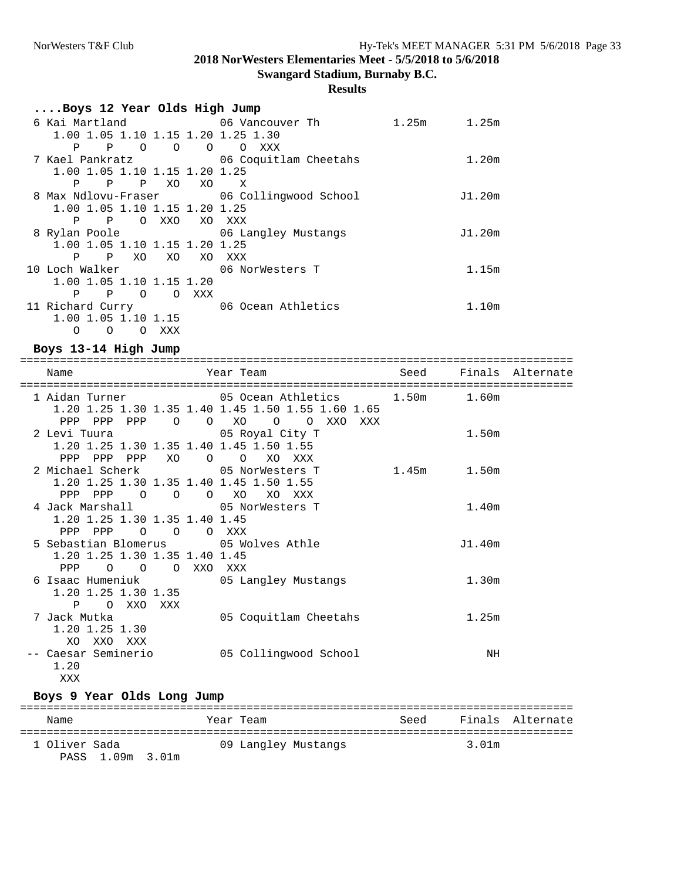**Swangard Stadium, Burnaby B.C.**

# **Results**

| Boys 12 Year Olds High Jump                                                                          |          |                |                |                                           |             |        |
|------------------------------------------------------------------------------------------------------|----------|----------------|----------------|-------------------------------------------|-------------|--------|
|                                                                                                      |          |                |                |                                           | 1.25m 1.25m |        |
|                                                                                                      |          |                |                | 1.00 1.05 1.10 1.15 1.20 1.25 1.30        |             |        |
| $\mathbb P$<br>P                                                                                     | $\Omega$ | $\overline{O}$ | $\overline{O}$ | $\circ$<br>XXX                            |             |        |
|                                                                                                      |          |                |                | 7 Kael Pankratz 66 Coquitlam Cheetahs     |             | 1.20m  |
| 1.00 1.05 1.10 1.15 1.20 1.25                                                                        |          |                |                |                                           |             |        |
| $\mathbf{P}$<br>P                                                                                    |          | P XO           | XO             | $\mathbf{X}$                              |             |        |
|                                                                                                      |          |                |                | 8 Max Ndlovu-Fraser 06 Collingwood School |             | J1.20m |
| 1.00 1.05 1.10 1.15 1.20 1.25                                                                        |          |                |                |                                           |             |        |
| P<br>$\mathbf{P}$                                                                                    | $\Omega$ | XXO            |                | XO XXX                                    |             |        |
| 8 Rylan Poole                                                                                        |          |                |                | 06 Langley Mustangs                       |             | J1.20m |
| 1.00 1.05 1.10 1.15 1.20 1.25                                                                        |          |                |                |                                           |             |        |
| $\mathbf{P}$<br>Ρ                                                                                    | XO       | XO             | XO             | XXX                                       |             |        |
| 10 Loch Walker and the Local March 10 Local March 10 March 10 March 10 March 10 March 10 March 10 Ma |          |                |                | 06 NorWesters T                           |             | 1.15m  |
| 1.00 1.05 1.10 1.15 1.20                                                                             |          |                |                |                                           |             |        |
| $\mathbf{P}$<br>Ρ                                                                                    | $\Omega$ |                | O XXX          |                                           |             |        |
| 11 Richard Curry                                                                                     |          |                |                | 06 Ocean Athletics                        |             | 1.10m  |
| 1.00 1.05 1.10 1.15                                                                                  |          |                |                |                                           |             |        |
| $\Omega$<br>O                                                                                        | O        | XXX            |                |                                           |             |        |

## **Boys 13-14 High Jump**

| Name                                                                                                   | Year Team and the control of the control of the control of the control of the control of the control of the co |             |                   | Seed Finals Alternate |
|--------------------------------------------------------------------------------------------------------|----------------------------------------------------------------------------------------------------------------|-------------|-------------------|-----------------------|
| 1 Aidan Turner 1.50m and 1.50m in 1.60m                                                                | 1.20 1.25 1.30 1.35 1.40 1.45 1.50 1.55 1.60 1.65<br>PPP PPP PPP 0 0 XO 0 0 XXO XXX                            |             |                   |                       |
| 2 Levi Tuura 65 Royal City T<br>1.20 1.25 1.30 1.35 1.40 1.45 1.50 1.55<br>PPP PPP PPP XO O O XO XXX   |                                                                                                                |             | 1.50m             |                       |
| 2 Michael Scherk 05 NorWesters T<br>1.20 1.25 1.30 1.35 1.40 1.45 1.50 1.55<br>PPP PPP 0 0 0 XO XO XXX |                                                                                                                | 1.45m 1.50m |                   |                       |
| 4 Jack Marshall 65 NorWesters T<br>1.20 1.25 1.30 1.35 1.40 1.45<br>PPP PPP 0 0 0 XXX                  |                                                                                                                |             | 1.40m             |                       |
| 5 Sebastian Blomerus 05 Wolves Athle<br>1.20 1.25 1.30 1.35 1.40 1.45<br>PPP 0 0 0 XXO XXX             |                                                                                                                |             | J1.40m            |                       |
| 6 Isaac Humeniuk 6 15 Langley Mustangs<br>1.20 1.25 1.30 1.35<br>P O XXO XXX                           |                                                                                                                |             | 1.30 <sub>m</sub> |                       |
| 7 Jack Mutka<br>$1.20$ $1.25$ $1.30$<br>XO XXO XXX                                                     | 05 Coquitlam Cheetahs                                                                                          |             | 1.25m             |                       |
| -- Caesar Seminerio<br>1.20<br>XXX                                                                     | 05 Collingwood School                                                                                          |             | ΝH                |                       |

### **Boys 9 Year Olds Long Jump**

| Name                              | Year Team           | Seed |       | Finals Alternate |
|-----------------------------------|---------------------|------|-------|------------------|
| 1 Oliver Sada<br>PASS 1.09m 3.01m | 09 Langley Mustangs |      | 3.01m |                  |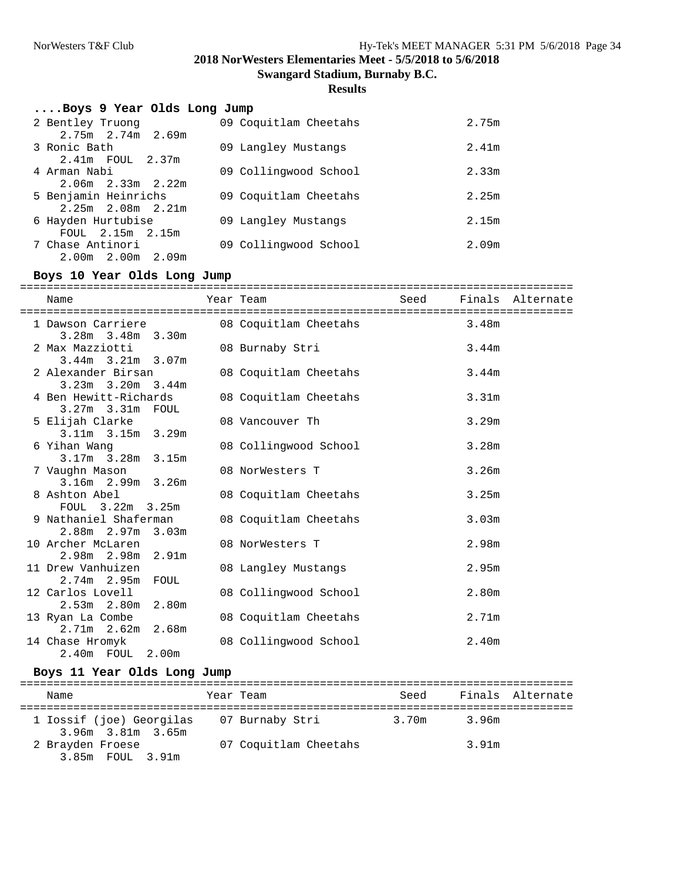**Swangard Stadium, Burnaby B.C.**

#### **Results**

| Boys 9 Year Olds Long Jump |                       |                   |
|----------------------------|-----------------------|-------------------|
| 2 Bentley Truong           | 09 Coquitlam Cheetahs | 2.75m             |
| $2.75m$ $2.74m$ $2.69m$    |                       |                   |
| 3 Ronic Bath               | 09 Langley Mustangs   | 2.41m             |
| 2.41m FOUL 2.37m           |                       |                   |
| 4 Arman Nabi               | 09 Collingwood School | 2.33m             |
| $2.06m$ $2.33m$ $2.22m$    |                       |                   |
| 5 Benjamin Heinrichs       | 09 Coquitlam Cheetahs | 2.25m             |
| $2.25m$ $2.08m$ $2.21m$    |                       |                   |
| 6 Hayden Hurtubise         | 09 Langley Mustangs   | 2.15m             |
| FOUL 2.15m 2.15m           |                       |                   |
| 7 Chase Antinori           | 09 Collingwood School | 2.09 <sub>m</sub> |
| $2.00m$ $2.00m$ $2.09m$    |                       |                   |

#### **Boys 10 Year Olds Long Jump**

=================================================================================== Seed Finals Alternate =================================================================================== 1 Dawson Carriere 3.28m 3.48m 3.30m 2 Max Mazziotti 08 Burnaby Stri 3.44m 3.44m 3.21m 3.07m 2 Alexander Birsan 08 Coquitlam Cheetahs 3.44m 3.23m 3.20m 3.44m 08 Coquitlam Cheetahs 3.31m 3.27m 3.31m FOUL<br>5 Elijah Clarke 08 Vancouver Th 3.29m 3.11m 3.15m 3.29m<br>6 Yihan Wanq 08 Collingwood School 3.28m 3.17m 3.28m 3.15m 08 NorWesters T 3.26m 3.16m 2.99m 3.26m 08 Coquitlam Cheetahs 3.25m FOUL 3.22m 3.25m 9 Nathaniel Shaferman 08 Coquitlam Cheetahs 3.03m 2.88m 2.97m 3.03m 10 Archer McLaren 08 NorWesters T 2.98m 2.98m 2.98m 2.91m<br>11 Drew Vanhuizen 08 Langley Mustangs 2.95m 2.74m 2.95m FOUL<br>12 Carlos Lovell 08 Collingwood School 2.80m 2.53m 2.80m 2.80m<br>13 Ryan La Combe 08 Coquitlam Cheetahs 2.71m 2.71m 2.62m 2.68m<br>14 Chase Hromyk 08 Collingwood School 2.40m 2.40m FOUL 2.00m

#### **Boys 11 Year Olds Long Jump**

| Name                                          | Year Team             | Seed  |       | Finals Alternate |
|-----------------------------------------------|-----------------------|-------|-------|------------------|
| 1 Iossif (joe) Georgilas<br>3.96m 3.81m 3.65m | 07 Burnaby Stri       | 3.70m | 3.96m |                  |
| 2 Brayden Froese<br>3.85m FOUL 3.91m          | 07 Coquitlam Cheetahs |       | 3.91m |                  |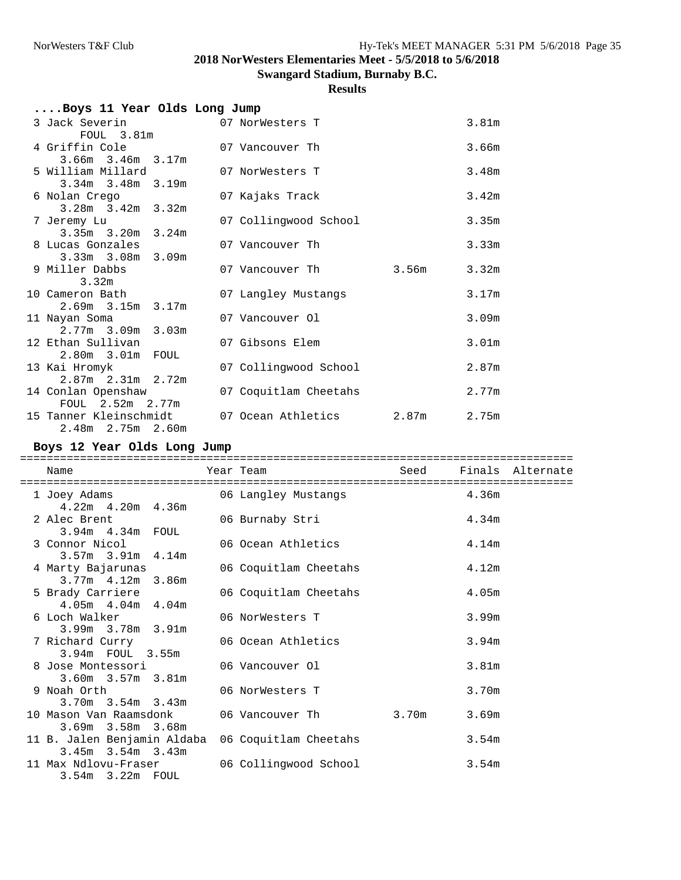**Swangard Stadium, Burnaby B.C.**

## **Results**

| Boys 11 Year Olds Long Jump                  |  |                          |       |                   |
|----------------------------------------------|--|--------------------------|-------|-------------------|
| 3 Jack Severin                               |  | 07 NorWesters T          |       | 3.81 <sub>m</sub> |
| FOUL 3.81m                                   |  |                          |       |                   |
| 4 Griffin Cole                               |  | 07 Vancouver Th          |       | 3.66m             |
| $3.66m$ $3.46m$ $3.17m$<br>5 William Millard |  | 07 NorWesters T          |       | 3.48m             |
| $3.34m$ $3.48m$ $3.19m$                      |  |                          |       |                   |
| 6 Nolan Crego                                |  | 07 Kajaks Track          |       | 3.42m             |
| $3.28m$ $3.42m$ $3.32m$                      |  |                          |       |                   |
| 7 Jeremy Lu                                  |  | 07 Collingwood School    |       | 3.35m             |
| $3.35m$ $3.20m$ $3.24m$                      |  |                          |       |                   |
| 8 Lucas Gonzales                             |  | 07 Vancouver Th          |       | 3.33m             |
| $3.33m$ $3.08m$ $3.09m$                      |  |                          |       |                   |
| 9 Miller Dabbs                               |  | 07 Vancouver Th          | 3.56m | 3.32m             |
| 3.32m                                        |  |                          |       |                   |
| 10 Cameron Bath                              |  | 07 Langley Mustangs      |       | 3.17m             |
| $2.69m$ $3.15m$ $3.17m$                      |  |                          |       |                   |
| 11 Nayan Soma                                |  | 07 Vancouver Ol          |       | 3.09m             |
| $2.77m$ $3.09m$ $3.03m$                      |  |                          |       |                   |
| 12 Ethan Sullivan                            |  | 07 Gibsons Elem          |       | 3.01 <sub>m</sub> |
| $2.80m$ $3.01m$ FOUL                         |  |                          |       |                   |
| 13 Kai Hromyk                                |  | 07 Collingwood School    |       | 2.87m             |
| $2.87m$ $2.31m$ $2.72m$                      |  |                          |       |                   |
| 14 Conlan Openshaw                           |  | 07 Coquitlam Cheetahs    |       | 2.77m             |
| FOUL 2.52m 2.77m                             |  |                          |       |                   |
| 15 Tanner Kleinschmidt                       |  | 07 Ocean Athletics 2.87m |       | 2.75m             |
| $2.48m$ $2.75m$ $2.60m$                      |  |                          |       |                   |

### **Boys 12 Year Olds Long Jump**

| Name                                                                                                                            | Year Team and the state of the state of the state of the state of the state of the state of the state of the s |                   | Seed Finals Alternate |
|---------------------------------------------------------------------------------------------------------------------------------|----------------------------------------------------------------------------------------------------------------|-------------------|-----------------------|
| 1 Joey Adams 6 16 16 16 16 16 17 18 19 18 19 18 19 18 19 18 19 18 19 18 19 18 19 19 19 19 19 19 19 1<br>$4.22m$ $4.20m$ $4.36m$ |                                                                                                                |                   |                       |
| 2 Alec Brent<br>3.94m 4.34m FOUL                                                                                                | 06 Burnaby Stri                                                                                                | 4.34m             |                       |
| 3 Connor Nicol<br>$3.57m$ $3.91m$ $4.14m$                                                                                       | 06 Ocean Athletics                                                                                             | 4.14m             |                       |
| 4 Marty Bajarunas<br>$3.77m + 1.12m + 3.86m$                                                                                    | 06 Coquitlam Cheetahs                                                                                          | 4.12m             |                       |
| 5 Brady Carriere<br>$4.05m$ $4.04m$ $4.04m$                                                                                     | 06 Coquitlam Cheetahs                                                                                          | 4.05m             |                       |
| 6 Loch Walker Local Mark<br>3.99m 3.78m 3.91m                                                                                   | 06 NorWesters T                                                                                                | 3.99m             |                       |
| 7 Richard Curry<br>3.94m FOUL 3.55m                                                                                             | 06 Ocean Athletics                                                                                             | 3.94m             |                       |
| 8 Jose Montessori 66 Vancouver 01<br>$3.60m$ $3.57m$ $3.81m$                                                                    |                                                                                                                | 3.81 <sub>m</sub> |                       |
| 9 Noah Orth<br>$3.70m$ $3.54m$ $3.43m$                                                                                          | 06 NorWesters T                                                                                                | 3.70m             |                       |
| $3.69m$ $3.58m$ $3.68m$                                                                                                         |                                                                                                                | 3.69m             |                       |
| 11 B. Jalen Benjamin Aldaba<br>$3.45m$ $3.54m$ $3.43m$                                                                          | 06 Coquitlam Cheetahs                                                                                          | 3.54m             |                       |
| 11 Max Ndlovu-Fraser 66 Collingwood School<br>3.54m 3.22m FOUL                                                                  |                                                                                                                | 3.54m             |                       |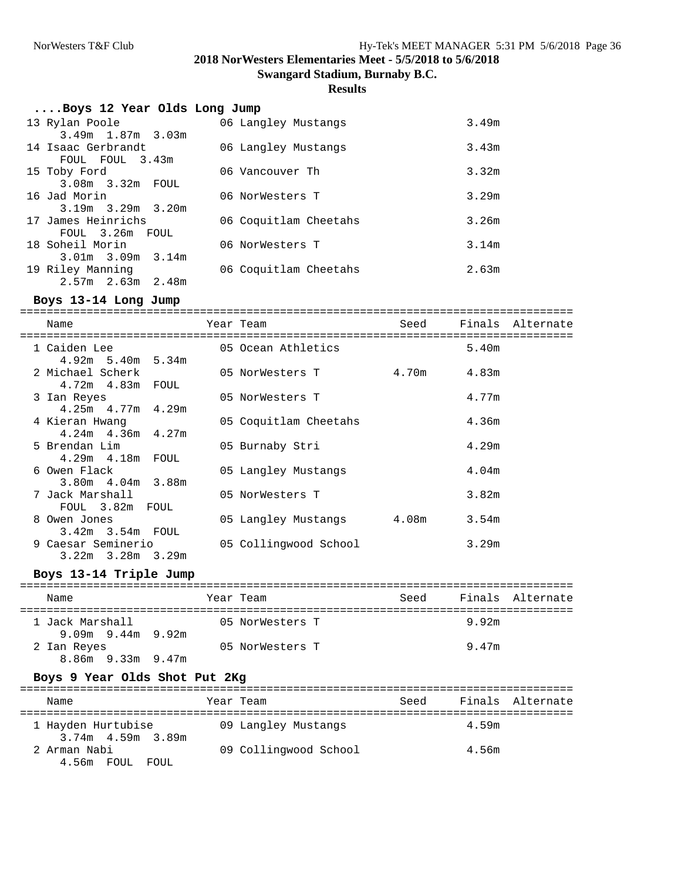**Swangard Stadium, Burnaby B.C.**

#### **Results**

| Boys 12 Year Olds Long Jump |                       |       |
|-----------------------------|-----------------------|-------|
| 13 Rylan Poole              | 06 Langley Mustangs   | 3.49m |
| $3.49m$ 1.87m $3.03m$       |                       |       |
| 14 Isaac Gerbrandt          | 06 Langley Mustangs   | 3.43m |
| FOUL FOUL 3.43m             |                       |       |
| 15 Toby Ford                | 06 Vancouver Th       | 3.32m |
| 3.08m 3.32m FOUL            |                       |       |
| 16 Jad Morin                | 06 NorWesters T       | 3.29m |
| $3.19m$ $3.29m$ $3.20m$     |                       |       |
| 17 James Heinrichs          | 06 Coquitlam Cheetahs | 3.26m |
| FOUL 3.26m FOUL             |                       |       |
| 18 Soheil Morin             | 06 NorWesters T       | 3.14m |
| $3.01m$ $3.09m$ $3.14m$     |                       |       |
| 19 Riley Manning            | 06 Coquitlam Cheetahs | 2.63m |
| $2.57m$ $2.63m$ $2.48m$     |                       |       |

#### **Boys 13-14 Long Jump**

=================================================================================== Seed Finals Alternate =================================================================================== 05 Ocean Athletics 4.92m 5.40m 5.34m 05 NorWesters T 4.70m 4.83m 2 PILCHACE DULLET<br>4.72m 4.83m FOUL<br>3 Ian Reyes 05 NorWesters T 4.77m 4.25m 4.77m 4.29m 05 Coquitlam Cheetahs 4.36m 4.24m 4.36m 4.27m 5 Brendan Lim 05 Burnaby Stri 4.29m 4.29m 4.18m FOUL 05 Langley Mustangs 4.04m 3.80m 4.04m 3.88m<br>7 Jack Marshall 05 NorWesters T 3.82m FOUL 3.82m FOUL<br>8 Owen Jones 8 Owen Jones 05 Langley Mustangs 4.08m 3.54m 3.42m 3.54m FOUL 9 Caesar Seminerio 05 Collingwood School 3.29m 3.22m 3.28m 3.29m

#### **Boys 13-14 Triple Jump**

| Name                                   | Year Team |                 | Seed |       | Finals Alternate |
|----------------------------------------|-----------|-----------------|------|-------|------------------|
| 1 Jack Marshall<br>$9.09m$ 9.44m 9.92m |           | 05 NorWesters T |      | 9.92m |                  |
| 2 Ian Reyes<br>$8.86m$ 9.33m 9.47m     |           | 05 NorWesters T |      | 9.47m |                  |

#### **Boys 9 Year Olds Shot Put 2Kg**

| Name                                    | Year Team             | Seed | Finals Alternate |
|-----------------------------------------|-----------------------|------|------------------|
| 1 Hayden Hurtubise<br>3.74m 4.59m 3.89m | 09 Langley Mustangs   |      | 4.59m            |
| 2 Arman Nabi<br>4.56m FOUL FOUL         | 09 Collingwood School |      | 4.56m            |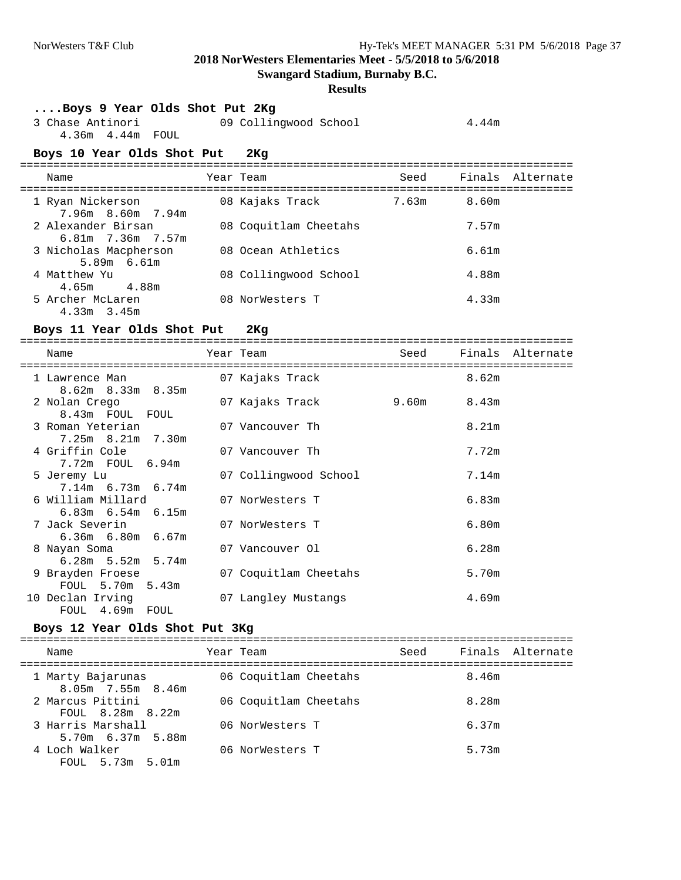**Swangard Stadium, Burnaby B.C.**

## **Results**

| Boys 9 Year Olds Shot Put 2Kg<br>3 Chase Antinori<br>4.36m  4.44m  FOUL |           | 09 Collingwood School |       | 4.44m             |                  |
|-------------------------------------------------------------------------|-----------|-----------------------|-------|-------------------|------------------|
| Boys 10 Year Olds Shot Put 2Kg                                          |           |                       |       |                   |                  |
| Name                                                                    |           | Year Team             | Seed  |                   | Finals Alternate |
| 1 Ryan Nickerson<br>7.96m 8.60m 7.94m                                   |           | 08 Kajaks Track       | 7.63m | 8.60m             |                  |
| 2 Alexander Birsan<br>6.81m 7.36m 7.57m                                 |           | 08 Coquitlam Cheetahs |       | 7.57m             |                  |
| 3 Nicholas Macpherson<br>5.89m 6.61m                                    |           | 08 Ocean Athletics    |       | 6.61m             |                  |
| 4 Matthew Yu<br>4.88m<br>4.65m                                          |           | 08 Collingwood School |       | 4.88m             |                  |
| 5 Archer McLaren<br>$4.33m$ $3.45m$                                     |           | 08 NorWesters T       |       | 4.33m             |                  |
| Boys 11 Year Olds Shot Put                                              |           | 2Kg                   |       |                   |                  |
| Name                                                                    |           | Year Team             | Seed  |                   | Finals Alternate |
| 1 Lawrence Man<br>8.62m 8.33m 8.35m                                     |           | 07 Kajaks Track       |       | 8.62m             |                  |
| 2 Nolan Crego<br>8.43m FOUL FOUL                                        |           | 07 Kajaks Track       | 9.60m | 8.43m             |                  |
| 3 Roman Yeterian<br>7.25m 8.21m 7.30m                                   |           | 07 Vancouver Th       |       | 8.21 <sub>m</sub> |                  |
| 4 Griffin Cole<br>7.72m FOUL 6.94m                                      |           | 07 Vancouver Th       |       | 7.72m             |                  |
| 5 Jeremy Lu<br>7.14m 6.73m 6.74m                                        |           | 07 Collingwood School |       | 7.14m             |                  |
| 6 William Millard<br>$6.83m$ $6.54m$ $6.15m$                            |           | 07 NorWesters T       |       | 6.83m             |                  |
| 7 Jack Severin<br>6.36m 6.80m 6.67m                                     |           | 07 NorWesters T       |       | 6.80m             |                  |
| 8 Nayan Soma<br>$6.28m$ 5.52m 5.74m                                     |           | 07 Vancouver Ol       |       | 6.28m             |                  |
| 9 Brayden Froese<br>FOUL 5.70m 5.43m                                    |           | 07 Coquitlam Cheetahs |       | 5.70m             |                  |
| 10 Declan Irving<br>FOUL 4.69m FOUL                                     |           | 07 Langley Mustangs   |       | 4.69m             |                  |
| Boys 12 Year Olds Shot Put 3Kg                                          |           |                       |       |                   |                  |
| Name                                                                    | Year Team |                       | Seed  |                   | Finals Alternate |
| 1 Marty Bajarunas<br>8.05m 7.55m 8.46m                                  |           | 06 Coquitlam Cheetahs |       | 8.46m             |                  |
| 2 Marcus Pittini                                                        |           | 06 Coquitlam Cheetahs |       | 8.28m             |                  |

FOUL 8.28m 8.22m

5.70m 6.37m 5.88m<br>4 Loch Walker

FOUL 5.73m 5.01m

3 Harris Marshall 6.37m

06 NorWesters T 5.73m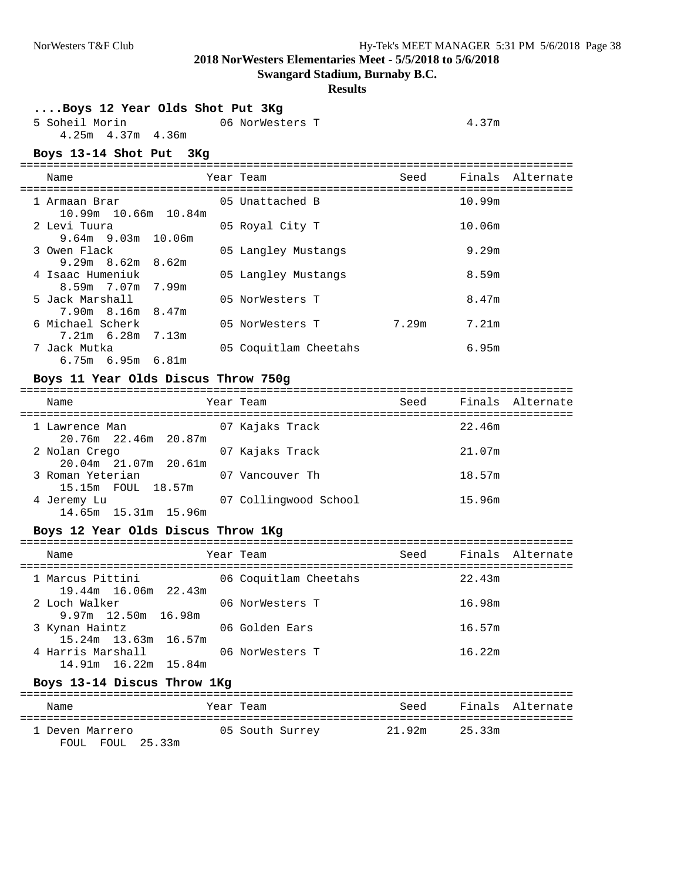**Swangard Stadium, Burnaby B.C.**

#### **Results**

| Boys 12 Year Olds Shot Put 3Kg |                 |       |
|--------------------------------|-----------------|-------|
| 5 Soheil Morin                 | 06 NorWesters T | 4.37m |
| 4.25m 4.37m 4.36m              |                 |       |

===================================================================================

#### **Boys 13-14 Shot Put 3Kg**

| Name                                        | Year Team             | Seed  |        | Finals Alternate |
|---------------------------------------------|-----------------------|-------|--------|------------------|
| 1 Armaan Brar<br>$10.99m$ $10.66m$ $10.84m$ | 05 Unattached B       |       | 10.99m |                  |
| 2 Levi Tuura<br>$9.64m$ $9.03m$ $10.06m$    | 05 Royal City T       |       | 10.06m |                  |
| 3 Owen Flack<br>$9.29m$ $8.62m$ $8.62m$     | 05 Langley Mustangs   |       | 9.29m  |                  |
| 4 Isaac Humeniuk<br>8.59m 7.07m 7.99m       | 05 Langley Mustangs   |       | 8.59m  |                  |
| 5 Jack Marshall<br>7.90m 8.16m 8.47m        | 05 NorWesters T       |       | 8.47m  |                  |
| 6 Michael Scherk<br>$7.21m$ 6.28m $7.13m$   | 05 NorWesters T       | 7.29m | 7.21m  |                  |
| 7 Jack Mutka<br>$6.75m$ $6.95m$ $6.81m$     | 05 Coquitlam Cheetahs |       | 6.95m  |                  |

# **Boys 11 Year Olds Discus Throw 750g**

| Name                                   | Year Team             | Seed |        | Finals Alternate |
|----------------------------------------|-----------------------|------|--------|------------------|
| 1 Lawrence Man<br>20.76m 22.46m 20.87m | 07 Kajaks Track       |      | 22.46m |                  |
| 2 Nolan Crego<br>20.04m 21.07m 20.61m  | 07 Kajaks Track       |      | 21.07m |                  |
| 3 Roman Yeterian<br>15.15m FOUL 18.57m | 07 Vancouver Th       |      | 18.57m |                  |
| 4 Jeremy Lu<br>14.65m 15.31m<br>15.96m | 07 Collingwood School |      | 15.96m |                  |

#### **Boys 12 Year Olds Discus Throw 1Kg**

| Name                                         | Year Team             | Seed Finals Alternate |  |
|----------------------------------------------|-----------------------|-----------------------|--|
| 1 Marcus Pittini<br>19.44m 16.06m 22.43m     | 06 Coquitlam Cheetahs | 22.43m                |  |
| 2 Loch Walker<br>9.97m 12.50m 16.98m         | 06 NorWesters T       | 16.98m                |  |
| 3 Kynan Haintz<br>$15.24m$ $13.63m$ $16.57m$ | 06 Golden Ears        | 16.57m                |  |
| 4 Harris Marshall<br>14.91m 16.22m 15.84m    | 06 NorWesters T       | 16.22m                |  |
| Boys 13-14 Discus Throw 1Kg                  |                       |                       |  |

| Name                                | Year Team       | Seed          | Finals Alternate |  |
|-------------------------------------|-----------------|---------------|------------------|--|
| 1 Deven Marrero<br>FOUL FOUL 25.33m | 05 South Surrey | 21.92m 25.33m |                  |  |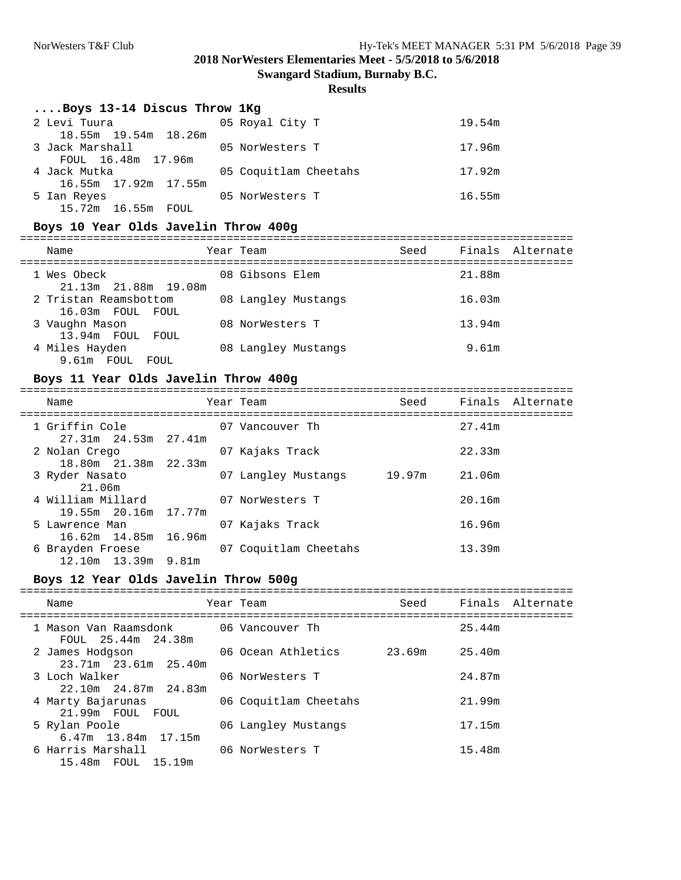**Swangard Stadium, Burnaby B.C.**

## **Results**

#### **....Boys 13-14 Discus Throw 1Kg**

| 2 Levi Tuura<br>18.55m 19.54m 18.26m  | 05 Royal City T       | 19.54m |
|---------------------------------------|-----------------------|--------|
| 3 Jack Marshall<br>FOUL 16.48m 17.96m | 05 NorWesters T       | 17.96m |
| 4 Jack Mutka                          | 05 Coquitlam Cheetahs | 17.92m |
| 16.55m 17.92m 17.55m<br>5 Ian Reyes   | 05 NorWesters T       | 16.55m |
| 15.72m 16.55m FOUL                    |                       |        |

#### **Boys 10 Year Olds Javelin Throw 400g**

| Name                                      | Year Team           | Seed |        | Finals Alternate |
|-------------------------------------------|---------------------|------|--------|------------------|
| 1 Wes Obeck<br>21.13m 21.88m 19.08m       | 08 Gibsons Elem     |      | 21.88m |                  |
| 2 Tristan Reamsbottom<br>16.03m FOUL FOUL | 08 Langley Mustangs |      | 16.03m |                  |
| 3 Vaughn Mason<br>13.94m FOUL FOUL        | 08 NorWesters T     |      | 13.94m |                  |
| 4 Miles Hayden<br>9.61m FOUL<br>FOUL      | 08 Langley Mustangs |      | 9.61m  |                  |

### **Boys 11 Year Olds Javelin Throw 400g**

| Name                                         | Year Team             | Seed   | Finals Alternate |  |
|----------------------------------------------|-----------------------|--------|------------------|--|
| 1 Griffin Cole<br>$27.31m$ $24.53m$ $27.41m$ | 07 Vancouver Th       |        | 27.41m           |  |
| 2 Nolan Crego<br>18.80m 21.38m 22.33m        | 07 Kajaks Track       |        | 22.33m           |  |
| 3 Ryder Nasato<br>21.06m                     | 07 Langley Mustangs   | 19.97m | 21.06m           |  |
| 4 William Millard<br>19.55m 20.16m 17.77m    | 07 NorWesters T       |        | 20.16m           |  |
| 5 Lawrence Man<br>16.62m 14.85m 16.96m       | 07 Kajaks Track       |        | 16.96m           |  |
| 6 Brayden Froese<br>12.10m 13.39m 9.81m      | 07 Coquitlam Cheetahs |        | 13.39m           |  |

#### **Boys 12 Year Olds Javelin Throw 500g**

| Name                                         | Year Team             | Seed   |        | Finals Alternate |
|----------------------------------------------|-----------------------|--------|--------|------------------|
| 1 Mason Van Raamsdonk<br>FOUL 25.44m 24.38m  | 06 Vancouver Th       |        | 25.44m |                  |
| 2 James Hodgson<br>23.71m 23.61m 25.40m      | 06 Ocean Athletics    | 23.69m | 25.40m |                  |
| 3 Loch Walker<br>22.10m 24.87m 24.83m        | 06 NorWesters T       |        | 24.87m |                  |
| 4 Marty Bajarunas<br>21.99m FOUL FOUL        | 06 Coquitlam Cheetahs |        | 21.99m |                  |
| 5 Rylan Poole<br>$6.47m$ 13.84 $m$ 17.15 $m$ | 06 Langley Mustangs   |        | 17.15m |                  |
| 6 Harris Marshall<br>15.48m FOUL<br>15.19m   | 06 NorWesters T       |        | 15.48m |                  |